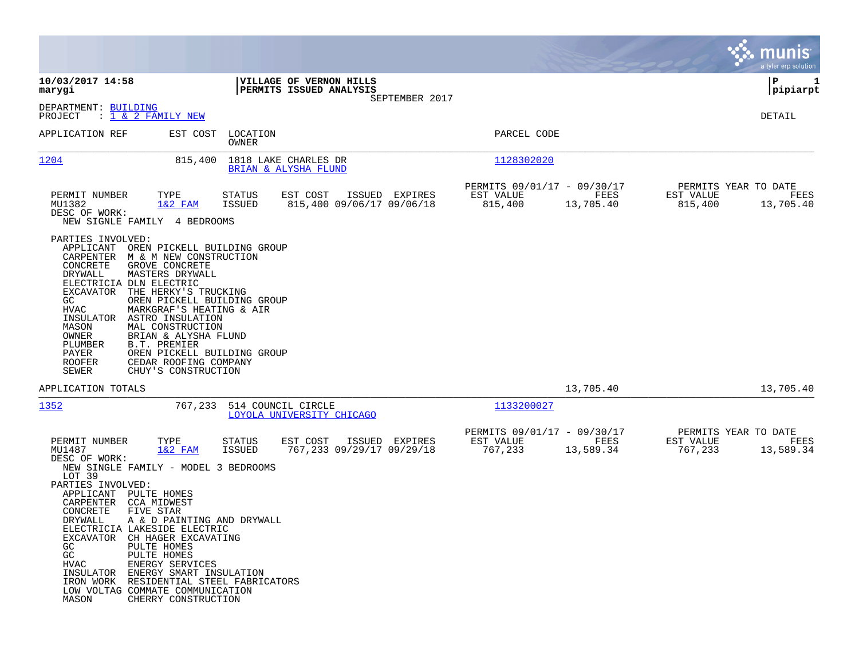|                                                                                                                                                                                                                                                                                                                                                                                                                                                                                                                                                                                                                                                              | a tyler erp solution                                                                                                                          |
|--------------------------------------------------------------------------------------------------------------------------------------------------------------------------------------------------------------------------------------------------------------------------------------------------------------------------------------------------------------------------------------------------------------------------------------------------------------------------------------------------------------------------------------------------------------------------------------------------------------------------------------------------------------|-----------------------------------------------------------------------------------------------------------------------------------------------|
| 10/03/2017 14:58<br>VILLAGE OF VERNON HILLS<br>PERMITS ISSUED ANALYSIS<br>marygi<br>SEPTEMBER 2017                                                                                                                                                                                                                                                                                                                                                                                                                                                                                                                                                           | P<br>1<br> pipiarpt                                                                                                                           |
| DEPARTMENT: BUILDING<br>: 1 & 2 FAMILY NEW<br>PROJECT                                                                                                                                                                                                                                                                                                                                                                                                                                                                                                                                                                                                        | DETAIL                                                                                                                                        |
| LOCATION<br>APPLICATION REF<br>EST COST<br>OWNER                                                                                                                                                                                                                                                                                                                                                                                                                                                                                                                                                                                                             | PARCEL CODE                                                                                                                                   |
| 1204<br>815,400<br>1818 LAKE CHARLES DR<br>BRIAN & ALYSHA FLUND                                                                                                                                                                                                                                                                                                                                                                                                                                                                                                                                                                                              | 1128302020                                                                                                                                    |
| PERMIT NUMBER<br>TYPE<br><b>STATUS</b><br>EST COST<br>ISSUED EXPIRES<br>815,400 09/06/17 09/06/18<br>MU1382<br>$1&2$ FAM<br>ISSUED<br>DESC OF WORK:<br>NEW SIGNLE FAMILY 4 BEDROOMS                                                                                                                                                                                                                                                                                                                                                                                                                                                                          | PERMITS 09/01/17 - 09/30/17<br>PERMITS YEAR TO DATE<br>EST VALUE<br>FEES<br>EST VALUE<br>FEES<br>815,400<br>13,705.40<br>815,400<br>13,705.40 |
| PARTIES INVOLVED:<br>APPLICANT OREN PICKELL BUILDING GROUP<br>CARPENTER M & M NEW CONSTRUCTION<br>CONCRETE<br>GROVE CONCRETE<br>DRYWALL<br>MASTERS DRYWALL<br>ELECTRICIA DLN ELECTRIC<br><b>EXCAVATOR</b><br>THE HERKY'S TRUCKING<br>GC.<br>OREN PICKELL BUILDING GROUP<br>MARKGRAF'S HEATING & AIR<br>HVAC<br>INSULATOR<br>ASTRO INSULATION<br>MAL CONSTRUCTION<br>MASON<br>BRIAN & ALYSHA FLUND<br>OWNER<br>PLUMBER<br><b>B.T. PREMIER</b><br>PAYER<br>OREN PICKELL BUILDING GROUP<br><b>ROOFER</b><br>CEDAR ROOFING COMPANY<br>SEWER<br>CHUY'S CONSTRUCTION                                                                                               |                                                                                                                                               |
| APPLICATION TOTALS                                                                                                                                                                                                                                                                                                                                                                                                                                                                                                                                                                                                                                           | 13,705.40<br>13,705.40                                                                                                                        |
| 1352<br>767,233<br>514 COUNCIL CIRCLE<br>LOYOLA UNIVERSITY CHICAGO                                                                                                                                                                                                                                                                                                                                                                                                                                                                                                                                                                                           | 1133200027                                                                                                                                    |
| PERMIT NUMBER<br>TYPE<br>EST COST<br>ISSUED EXPIRES<br><b>STATUS</b><br>MU1487<br>$1&2$ FAM<br><b>ISSUED</b><br>767,233 09/29/17 09/29/18<br>DESC OF WORK:<br>NEW SINGLE FAMILY - MODEL 3 BEDROOMS<br>LOT 39<br>PARTIES INVOLVED:<br>APPLICANT<br>PULTE HOMES<br><b>CCA MIDWEST</b><br>CARPENTER<br>CONCRETE<br>FIVE STAR<br>DRYWALL<br>A & D PAINTING AND DRYWALL<br>ELECTRICIA LAKESIDE ELECTRIC<br>EXCAVATOR CH HAGER EXCAVATING<br>PULTE HOMES<br>GC<br>GC<br>PULTE HOMES<br>ENERGY SERVICES<br>HVAC<br>INSULATOR ENERGY SMART INSULATION<br>IRON WORK RESIDENTIAL STEEL FABRICATORS<br>LOW VOLTAG COMMATE COMMUNICATION<br>CHERRY CONSTRUCTION<br>MASON | PERMITS 09/01/17 - 09/30/17<br>PERMITS YEAR TO DATE<br>EST VALUE<br>FEES<br>EST VALUE<br>FEES<br>767,233<br>13,589.34<br>767,233<br>13,589.34 |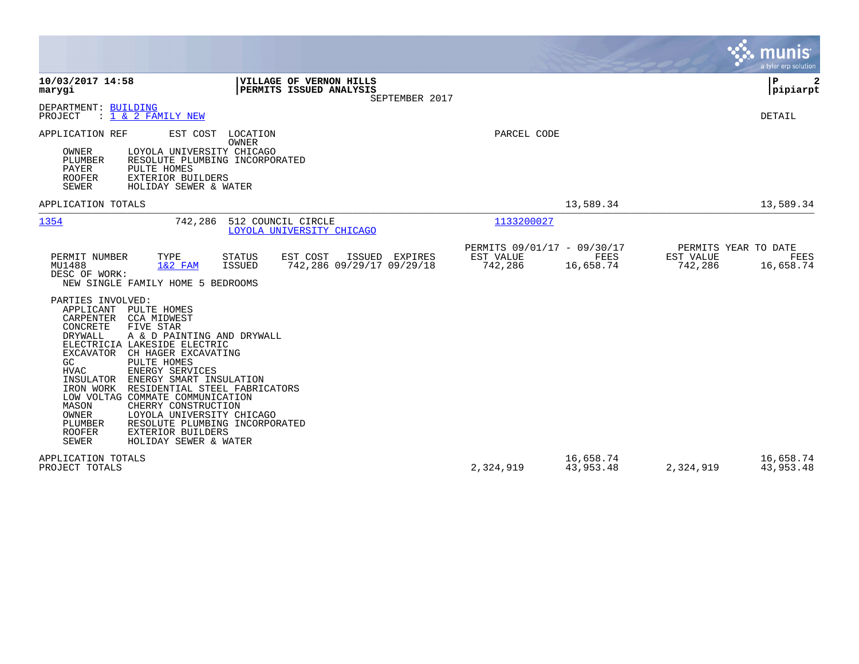|                                                                                                                                                                                                                                                                                                                                                                                                                                                                                                                                                                                                 |                                                     |                        |                      | munis<br>a tyler erp solution             |
|-------------------------------------------------------------------------------------------------------------------------------------------------------------------------------------------------------------------------------------------------------------------------------------------------------------------------------------------------------------------------------------------------------------------------------------------------------------------------------------------------------------------------------------------------------------------------------------------------|-----------------------------------------------------|------------------------|----------------------|-------------------------------------------|
| 10/03/2017 14:58<br>VILLAGE OF VERNON HILLS<br>PERMITS ISSUED ANALYSIS<br>marygi<br>SEPTEMBER 2017                                                                                                                                                                                                                                                                                                                                                                                                                                                                                              |                                                     |                        |                      | $\mathbf{P}$<br> pipiarpt                 |
| DEPARTMENT: BUILDING<br>: 1 & 2 FAMILY NEW<br>PROJECT                                                                                                                                                                                                                                                                                                                                                                                                                                                                                                                                           |                                                     |                        |                      | DETAIL                                    |
| APPLICATION REF<br>EST COST<br>LOCATION<br>OWNER<br>LOYOLA UNIVERSITY CHICAGO<br>OWNER<br>PLUMBER<br>RESOLUTE PLUMBING INCORPORATED<br>PAYER<br>PULTE HOMES<br><b>ROOFER</b><br>EXTERIOR BUILDERS<br>SEWER<br>HOLIDAY SEWER & WATER                                                                                                                                                                                                                                                                                                                                                             | PARCEL CODE                                         |                        |                      |                                           |
| APPLICATION TOTALS                                                                                                                                                                                                                                                                                                                                                                                                                                                                                                                                                                              |                                                     | 13,589.34              |                      | 13,589.34                                 |
| 1354<br>742,286<br>512 COUNCIL CIRCLE<br>LOYOLA UNIVERSITY CHICAGO                                                                                                                                                                                                                                                                                                                                                                                                                                                                                                                              | 1133200027                                          |                        |                      |                                           |
| TYPE<br>EST COST<br>PERMIT NUMBER<br><b>STATUS</b><br>ISSUED EXPIRES<br>MU1488<br>742,286 09/29/17 09/29/18<br>$1&2$ FAM<br>ISSUED<br>DESC OF WORK:<br>NEW SINGLE FAMILY HOME 5 BEDROOMS                                                                                                                                                                                                                                                                                                                                                                                                        | PERMITS 09/01/17 - 09/30/17<br>EST VALUE<br>742,286 | FEES<br>16,658.74      | EST VALUE<br>742,286 | PERMITS YEAR TO DATE<br>FEES<br>16,658.74 |
| PARTIES INVOLVED:<br>APPLICANT<br>PULTE HOMES<br>CARPENTER<br>CCA MIDWEST<br>CONCRETE<br>FIVE STAR<br>DRYWALL<br>A & D PAINTING AND DRYWALL<br>ELECTRICIA LAKESIDE ELECTRIC<br>EXCAVATOR CH HAGER EXCAVATING<br>PULTE HOMES<br>GC<br><b>HVAC</b><br>ENERGY SERVICES<br>ENERGY SMART INSULATION<br>INSULATOR<br>IRON WORK<br>RESIDENTIAL STEEL FABRICATORS<br>LOW VOLTAG COMMATE COMMUNICATION<br>MASON<br>CHERRY CONSTRUCTION<br>OWNER<br>LOYOLA UNIVERSITY CHICAGO<br>RESOLUTE PLUMBING INCORPORATED<br>PLUMBER<br><b>ROOFER</b><br>EXTERIOR BUILDERS<br><b>SEWER</b><br>HOLIDAY SEWER & WATER |                                                     |                        |                      |                                           |
| APPLICATION TOTALS<br>PROJECT TOTALS                                                                                                                                                                                                                                                                                                                                                                                                                                                                                                                                                            | 2,324,919                                           | 16,658.74<br>43,953.48 | 2,324,919            | 16,658.74<br>43,953.48                    |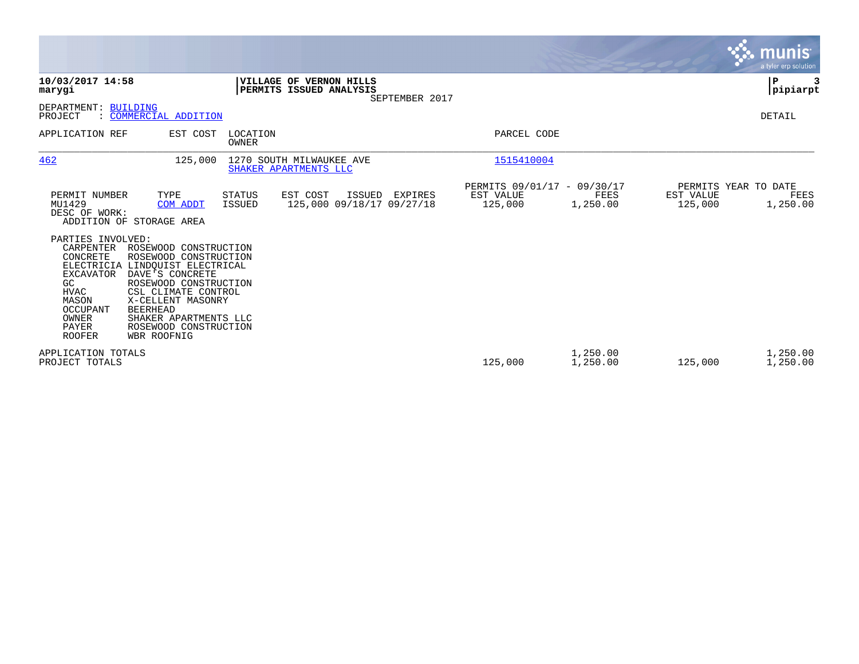|                                                                                                                         |                                                                                                                                                                                                                                                                         |                         |                                                           |                |                                                     |                      |                      | <b>munis</b><br>a tyler erp solution     |
|-------------------------------------------------------------------------------------------------------------------------|-------------------------------------------------------------------------------------------------------------------------------------------------------------------------------------------------------------------------------------------------------------------------|-------------------------|-----------------------------------------------------------|----------------|-----------------------------------------------------|----------------------|----------------------|------------------------------------------|
| 10/03/2017 14:58<br>marygi                                                                                              |                                                                                                                                                                                                                                                                         |                         | <b>VILLAGE OF VERNON HILLS</b><br>PERMITS ISSUED ANALYSIS | SEPTEMBER 2017 |                                                     |                      |                      | P<br> pipiarpt                           |
| DEPARTMENT: BUILDING<br>PROJECT                                                                                         | COMMERCIAL ADDITION                                                                                                                                                                                                                                                     |                         |                                                           |                |                                                     |                      |                      | DETAIL                                   |
| APPLICATION REF                                                                                                         | EST COST                                                                                                                                                                                                                                                                | LOCATION<br>OWNER       |                                                           |                | PARCEL CODE                                         |                      |                      |                                          |
| 462                                                                                                                     | 125,000                                                                                                                                                                                                                                                                 |                         | 1270 SOUTH MILWAUKEE AVE<br>SHAKER APARTMENTS LLC         |                | 1515410004                                          |                      |                      |                                          |
| PERMIT NUMBER<br>MU1429<br>DESC OF WORK:                                                                                | TYPE<br>COM ADDT<br>ADDITION OF STORAGE AREA                                                                                                                                                                                                                            | <b>STATUS</b><br>ISSUED | EST COST<br>ISSUED<br>125,000 09/18/17 09/27/18           | EXPIRES        | PERMITS 09/01/17 - 09/30/17<br>EST VALUE<br>125,000 | FEES<br>1,250.00     | EST VALUE<br>125,000 | PERMITS YEAR TO DATE<br>FEES<br>1,250.00 |
| PARTIES INVOLVED:<br>CONCRETE<br>EXCAVATOR<br>GC<br>HVAC<br>MASON<br><b>OCCUPANT</b><br>OWNER<br>PAYER<br><b>ROOFER</b> | CARPENTER ROSEWOOD CONSTRUCTION<br>ROSEWOOD CONSTRUCTION<br>ELECTRICIA LINDOUIST ELECTRICAL<br>DAVE'S CONCRETE<br>ROSEWOOD CONSTRUCTION<br>CSL CLIMATE CONTROL<br>X-CELLENT MASONRY<br><b>BEERHEAD</b><br>SHAKER APARTMENTS LLC<br>ROSEWOOD CONSTRUCTION<br>WBR ROOFNIG |                         |                                                           |                |                                                     |                      |                      |                                          |
| APPLICATION TOTALS<br>PROJECT TOTALS                                                                                    |                                                                                                                                                                                                                                                                         |                         |                                                           |                | 125,000                                             | 1,250.00<br>1,250.00 | 125,000              | 1,250.00<br>1,250.00                     |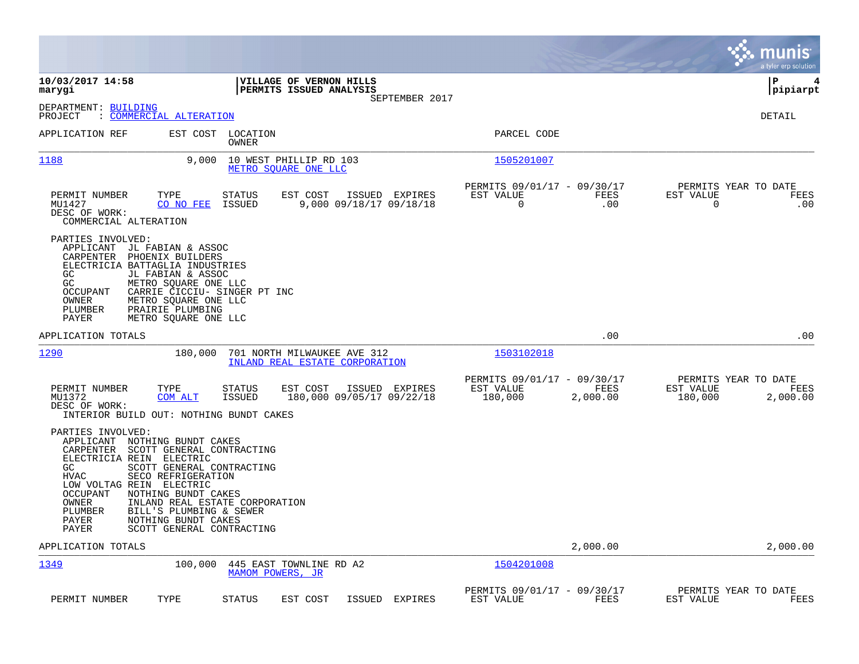|                                                                                                                                                                                                 |                                                                                                                                                                                                                      |                                |                                                               |                                           |                                                     |                  |                                              | munis<br>a tyler erp solution |
|-------------------------------------------------------------------------------------------------------------------------------------------------------------------------------------------------|----------------------------------------------------------------------------------------------------------------------------------------------------------------------------------------------------------------------|--------------------------------|---------------------------------------------------------------|-------------------------------------------|-----------------------------------------------------|------------------|----------------------------------------------|-------------------------------|
| 10/03/2017 14:58<br>marygi                                                                                                                                                                      |                                                                                                                                                                                                                      |                                | VILLAGE OF VERNON HILLS<br>PERMITS ISSUED ANALYSIS            | SEPTEMBER 2017                            |                                                     |                  |                                              | ΙP<br>4<br>pipiarpt           |
| DEPARTMENT: BUILDING<br>PROJECT                                                                                                                                                                 | : COMMERCIAL ALTERATION                                                                                                                                                                                              |                                |                                                               |                                           |                                                     |                  |                                              | DETAIL                        |
| APPLICATION REF                                                                                                                                                                                 |                                                                                                                                                                                                                      | EST COST LOCATION<br>OWNER     |                                                               |                                           | PARCEL CODE                                         |                  |                                              |                               |
| 1188                                                                                                                                                                                            | 9,000                                                                                                                                                                                                                |                                | 10 WEST PHILLIP RD 103<br>METRO SQUARE ONE LLC                |                                           | 1505201007                                          |                  |                                              |                               |
| PERMIT NUMBER<br>MU1427<br>DESC OF WORK:<br>COMMERCIAL ALTERATION                                                                                                                               | TYPE<br>CO NO FEE                                                                                                                                                                                                    | STATUS<br>ISSUED               | EST COST                                                      | ISSUED EXPIRES<br>9,000 09/18/17 09/18/18 | PERMITS 09/01/17 - 09/30/17<br>EST VALUE<br>0       | FEES<br>.00      | PERMITS YEAR TO DATE<br>EST VALUE<br>0       | FEES<br>.00                   |
| PARTIES INVOLVED:<br>APPLICANT<br>CARPENTER<br>ELECTRICIA BATTAGLIA INDUSTRIES<br>GC.<br>GC<br><b>OCCUPANT</b><br>OWNER<br>PLUMBER<br>PAYER                                                     | JL FABIAN & ASSOC<br>PHOENIX BUILDERS<br>JL FABIAN & ASSOC<br>METRO SQUARE ONE LLC<br>CARRIE CICCIU- SINGER PT INC<br>METRO SQUARE ONE LLC<br>PRAIRIE PLUMBING<br>METRO SQUARE ONE LLC                               |                                |                                                               |                                           |                                                     |                  |                                              |                               |
| APPLICATION TOTALS                                                                                                                                                                              |                                                                                                                                                                                                                      |                                |                                                               |                                           |                                                     | .00              |                                              | .00                           |
| 1290                                                                                                                                                                                            | 180,000                                                                                                                                                                                                              |                                | 701 NORTH MILWAUKEE AVE 312<br>INLAND REAL ESTATE CORPORATION |                                           | 1503102018                                          |                  |                                              |                               |
| PERMIT NUMBER<br>MU1372<br>DESC OF WORK:<br>INTERIOR BUILD OUT: NOTHING BUNDT CAKES                                                                                                             | TYPE<br>COM ALT                                                                                                                                                                                                      | <b>STATUS</b><br><b>ISSUED</b> | EST COST<br>180,000 09/05/17 09/22/18                         | ISSUED EXPIRES                            | PERMITS 09/01/17 - 09/30/17<br>EST VALUE<br>180,000 | FEES<br>2,000.00 | PERMITS YEAR TO DATE<br>EST VALUE<br>180,000 | FEES<br>2,000.00              |
| PARTIES INVOLVED:<br>APPLICANT NOTHING BUNDT CAKES<br>CARPENTER<br>ELECTRICIA REIN ELECTRIC<br>GC.<br><b>HVAC</b><br>LOW VOLTAG REIN ELECTRIC<br>OCCUPANT<br>OWNER<br>PLUMBER<br>PAYER<br>PAYER | SCOTT GENERAL CONTRACTING<br>SCOTT GENERAL CONTRACTING<br>SECO REFRIGERATION<br>NOTHING BUNDT CAKES<br>INLAND REAL ESTATE CORPORATION<br>BILL'S PLUMBING & SEWER<br>NOTHING BUNDT CAKES<br>SCOTT GENERAL CONTRACTING |                                |                                                               |                                           |                                                     |                  |                                              |                               |
| APPLICATION TOTALS                                                                                                                                                                              |                                                                                                                                                                                                                      |                                |                                                               |                                           |                                                     | 2,000.00         |                                              | 2,000.00                      |
| 1349                                                                                                                                                                                            | 100,000                                                                                                                                                                                                              | MAMOM POWERS, JR               | 445 EAST TOWNLINE RD A2                                       |                                           | 1504201008                                          |                  |                                              |                               |
| PERMIT NUMBER                                                                                                                                                                                   | TYPE                                                                                                                                                                                                                 | STATUS                         | EST COST                                                      | ISSUED EXPIRES                            | PERMITS 09/01/17 - 09/30/17<br>EST VALUE            | FEES             | PERMITS YEAR TO DATE<br>EST VALUE            | FEES                          |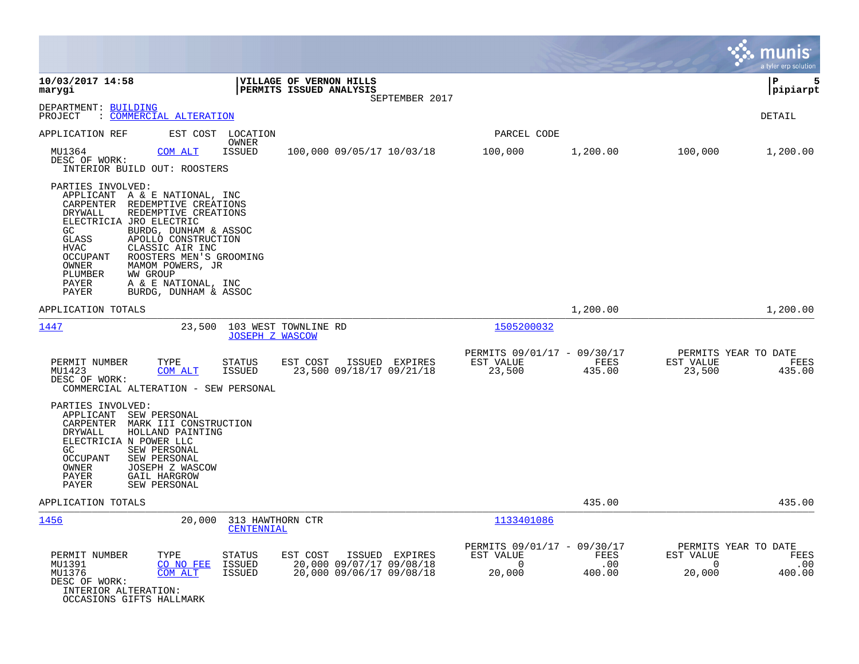|                                                                                                                                                                                                                                                                                                                                                                                                                            |                                   |                                                                  |                |                                                                |                       |                                 | munis<br>a tyler erp solution                 |
|----------------------------------------------------------------------------------------------------------------------------------------------------------------------------------------------------------------------------------------------------------------------------------------------------------------------------------------------------------------------------------------------------------------------------|-----------------------------------|------------------------------------------------------------------|----------------|----------------------------------------------------------------|-----------------------|---------------------------------|-----------------------------------------------|
| 10/03/2017 14:58<br>marygi                                                                                                                                                                                                                                                                                                                                                                                                 |                                   | VILLAGE OF VERNON HILLS<br>PERMITS ISSUED ANALYSIS               | SEPTEMBER 2017 |                                                                |                       |                                 | lР<br>5<br> pipiarpt                          |
| DEPARTMENT: BUILDING<br>: COMMERCIAL ALTERATION<br>PROJECT                                                                                                                                                                                                                                                                                                                                                                 |                                   |                                                                  |                |                                                                |                       |                                 | DETAIL                                        |
| APPLICATION REF                                                                                                                                                                                                                                                                                                                                                                                                            | EST COST LOCATION<br>OWNER        |                                                                  |                | PARCEL CODE                                                    |                       |                                 |                                               |
| MU1364<br><b>COM ALT</b><br>DESC OF WORK:<br>INTERIOR BUILD OUT: ROOSTERS                                                                                                                                                                                                                                                                                                                                                  | ISSUED                            | 100,000 09/05/17 10/03/18                                        |                | 100,000                                                        | 1,200.00              | 100,000                         | 1,200.00                                      |
| PARTIES INVOLVED:<br>APPLICANT A & E NATIONAL, INC<br>CARPENTER<br>REDEMPTIVE CREATIONS<br>REDEMPTIVE CREATIONS<br>DRYWALL<br>ELECTRICIA JRO ELECTRIC<br>GC<br>BURDG, DUNHAM & ASSOC<br>APOLLO CONSTRUCTION<br>GLASS<br><b>HVAC</b><br>CLASSIC AIR INC<br>ROOSTERS MEN'S GROOMING<br>OCCUPANT<br>OWNER<br>MAMOM POWERS, JR<br>PLUMBER<br><b>WW GROUP</b><br>PAYER<br>A & E NATIONAL, INC<br>PAYER<br>BURDG, DUNHAM & ASSOC |                                   |                                                                  |                |                                                                |                       |                                 |                                               |
| APPLICATION TOTALS                                                                                                                                                                                                                                                                                                                                                                                                         |                                   |                                                                  |                |                                                                | 1,200.00              |                                 | 1,200.00                                      |
| 1447<br>23,500                                                                                                                                                                                                                                                                                                                                                                                                             | <b>JOSEPH Z WASCOW</b>            | 103 WEST TOWNLINE RD                                             |                | 1505200032                                                     |                       |                                 |                                               |
| PERMIT NUMBER<br>TYPE<br>MU1423<br><b>COM ALT</b><br>DESC OF WORK:<br>COMMERCIAL ALTERATION - SEW PERSONAL                                                                                                                                                                                                                                                                                                                 | STATUS<br>ISSUED                  | EST COST<br>23,500 09/18/17 09/21/18                             | ISSUED EXPIRES | PERMITS 09/01/17 - 09/30/17<br>EST VALUE<br>23,500             | FEES<br>435.00        | EST VALUE<br>23,500             | PERMITS YEAR TO DATE<br>FEES<br>435.00        |
| PARTIES INVOLVED:<br>APPLICANT<br>SEW PERSONAL<br>CARPENTER<br>MARK III CONSTRUCTION<br>HOLLAND PAINTING<br>DRYWALL<br>ELECTRICIA N POWER LLC<br>GC<br>SEW PERSONAL<br><b>OCCUPANT</b><br>SEW PERSONAL<br>JOSEPH Z WASCOW<br>OWNER<br>PAYER<br>GAIL HARGROW<br><b>PAYER</b><br>SEW PERSONAL                                                                                                                                |                                   |                                                                  |                |                                                                |                       |                                 |                                               |
| APPLICATION TOTALS                                                                                                                                                                                                                                                                                                                                                                                                         |                                   |                                                                  |                |                                                                | 435.00                |                                 | 435.00                                        |
| 1456<br>20,000                                                                                                                                                                                                                                                                                                                                                                                                             | 313 HAWTHORN CTR<br>CENTENNIAL    |                                                                  |                | 1133401086                                                     |                       |                                 |                                               |
| PERMIT NUMBER<br>TYPE<br>MU1391<br>CO NO FEE<br>MU1376<br>COM ALT<br>DESC OF WORK:<br>INTERIOR ALTERATION:<br>OCCASIONS GIFTS HALLMARK                                                                                                                                                                                                                                                                                     | STATUS<br>ISSUED<br><b>ISSUED</b> | EST COST<br>20,000 09/07/17 09/08/18<br>20,000 09/06/17 09/08/18 | ISSUED EXPIRES | PERMITS 09/01/17 - 09/30/17<br>EST VALUE<br>$\Omega$<br>20,000 | FEES<br>.00<br>400.00 | EST VALUE<br>$\Omega$<br>20,000 | PERMITS YEAR TO DATE<br>FEES<br>.00<br>400.00 |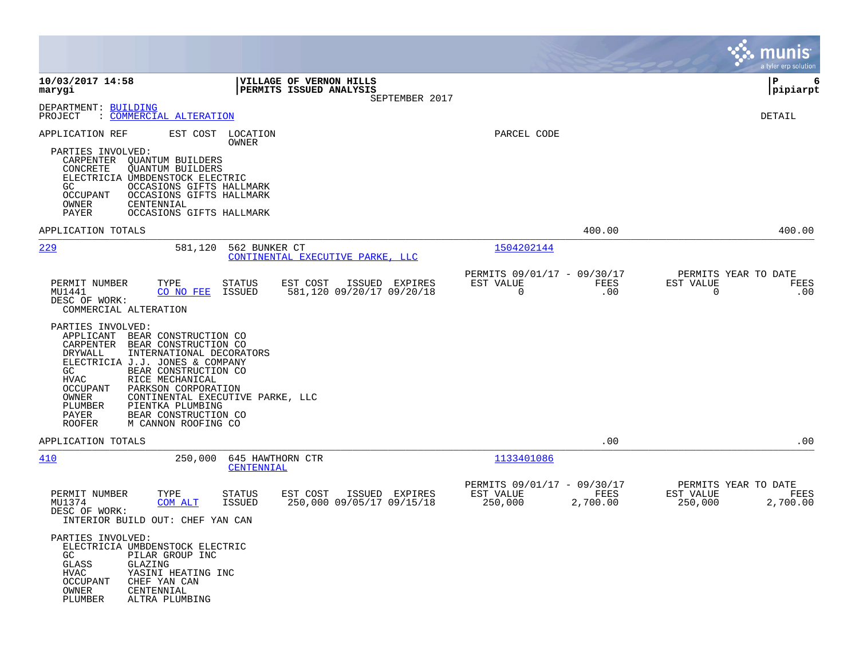|                                                                                                                                                                                                                                                                                                                                                                                                                 |                                                                         | munis<br>a tyler erp solution                                       |
|-----------------------------------------------------------------------------------------------------------------------------------------------------------------------------------------------------------------------------------------------------------------------------------------------------------------------------------------------------------------------------------------------------------------|-------------------------------------------------------------------------|---------------------------------------------------------------------|
| 10/03/2017 14:58<br>VILLAGE OF VERNON HILLS<br>PERMITS ISSUED ANALYSIS<br>marygi<br>SEPTEMBER 2017                                                                                                                                                                                                                                                                                                              |                                                                         | ΙP<br>6<br> pipiarpt                                                |
| DEPARTMENT: BUILDING<br>: COMMERCIAL ALTERATION<br>PROJECT                                                                                                                                                                                                                                                                                                                                                      |                                                                         | DETAIL                                                              |
| APPLICATION REF<br>EST COST<br>LOCATION<br>OWNER<br>PARTIES INVOLVED:<br>CARPENTER<br><b>QUANTUM BUILDERS</b><br>CONCRETE<br><b>QUANTUM BUILDERS</b><br>ELECTRICIA UMBDENSTOCK ELECTRIC<br>GC.<br>OCCASIONS GIFTS HALLMARK<br>OCCASIONS GIFTS HALLMARK<br>OCCUPANT<br>OWNER<br>CENTENNIAL<br>PAYER<br>OCCASIONS GIFTS HALLMARK                                                                                  | PARCEL CODE                                                             |                                                                     |
| APPLICATION TOTALS                                                                                                                                                                                                                                                                                                                                                                                              | 400.00                                                                  | 400.00                                                              |
| 229<br>581,120<br>562 BUNKER CT<br>CONTINENTAL EXECUTIVE PARKE, LLC                                                                                                                                                                                                                                                                                                                                             | 1504202144                                                              |                                                                     |
| PERMIT NUMBER<br>TYPE<br><b>STATUS</b><br>EST COST<br>ISSUED EXPIRES<br>ISSUED<br>581,120 09/20/17 09/20/18<br>MU1441<br>CO NO FEE<br>DESC OF WORK:<br>COMMERCIAL ALTERATION                                                                                                                                                                                                                                    | PERMITS 09/01/17 - 09/30/17<br>EST VALUE<br>FEES<br>$\mathbf 0$<br>.00  | PERMITS YEAR TO DATE<br>EST VALUE<br><b>FEES</b><br>$\Omega$<br>.00 |
| PARTIES INVOLVED:<br>APPLICANT<br>BEAR CONSTRUCTION CO<br>CARPENTER<br>BEAR CONSTRUCTION CO<br>INTERNATIONAL DECORATORS<br>DRYWALL<br>ELECTRICIA J.J. JONES & COMPANY<br>BEAR CONSTRUCTION CO<br>GC<br>RICE MECHANICAL<br>HVAC<br>OCCUPANT<br>PARKSON CORPORATION<br>OWNER<br>CONTINENTAL EXECUTIVE PARKE, LLC<br>PIENTKA PLUMBING<br>PLUMBER<br>PAYER<br>BEAR CONSTRUCTION CO<br>ROOFER<br>M CANNON ROOFING CO |                                                                         |                                                                     |
| APPLICATION TOTALS                                                                                                                                                                                                                                                                                                                                                                                              | .00                                                                     | .00                                                                 |
| 410<br>250,000<br>645 HAWTHORN CTR<br>CENTENNIAL                                                                                                                                                                                                                                                                                                                                                                | 1133401086                                                              |                                                                     |
| PERMIT NUMBER<br>TYPE<br>ISSUED EXPIRES<br>STATUS<br>EST COST<br>MU1374<br><b>COM ALT</b><br><b>ISSUED</b><br>250,000 09/05/17 09/15/18<br>DESC OF WORK:<br>INTERIOR BUILD OUT: CHEF YAN CAN                                                                                                                                                                                                                    | PERMITS 09/01/17 - 09/30/17<br>EST VALUE<br>FEES<br>250,000<br>2,700.00 | PERMITS YEAR TO DATE<br>EST VALUE<br>FEES<br>250,000<br>2,700.00    |
| PARTIES INVOLVED:<br>ELECTRICIA UMBDENSTOCK ELECTRIC<br>GC<br>PILAR GROUP INC<br>GLASS<br>GLAZING<br><b>HVAC</b><br>YASINI HEATING INC<br><b>OCCUPANT</b><br>CHEF YAN CAN<br>OWNER<br>CENTENNIAL<br>PLUMBER<br>ALTRA PLUMBING                                                                                                                                                                                   |                                                                         |                                                                     |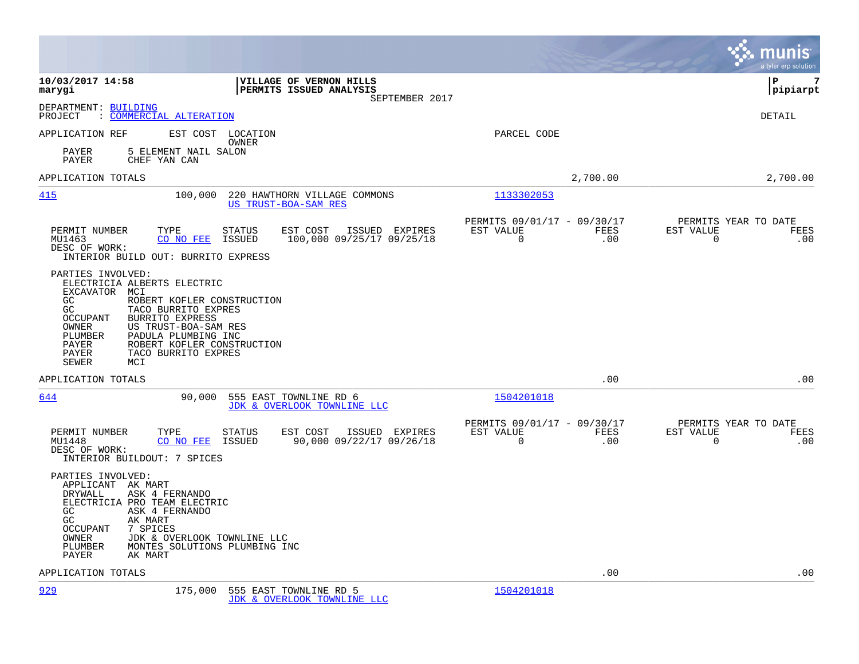|                                                                                                                                                                                                                                                                                                                                                   |                                             |                                                         |                    |                          | munis<br>a tyler erp solution       |
|---------------------------------------------------------------------------------------------------------------------------------------------------------------------------------------------------------------------------------------------------------------------------------------------------------------------------------------------------|---------------------------------------------|---------------------------------------------------------|--------------------|--------------------------|-------------------------------------|
| 10/03/2017 14:58<br><b>VILLAGE OF VERNON HILLS</b><br><b>PERMITS ISSUED ANALYSIS</b><br>marygi                                                                                                                                                                                                                                                    | SEPTEMBER 2017                              |                                                         |                    |                          | l P<br>7<br> pipiarpt               |
| DEPARTMENT: BUILDING<br>: COMMERCIAL ALTERATION<br>PROJECT                                                                                                                                                                                                                                                                                        |                                             |                                                         |                    |                          | DETAIL                              |
| APPLICATION REF<br>EST COST LOCATION<br>OWNER                                                                                                                                                                                                                                                                                                     |                                             | PARCEL CODE                                             |                    |                          |                                     |
| 5 ELEMENT NAIL SALON<br>PAYER<br>PAYER<br>CHEF YAN CAN                                                                                                                                                                                                                                                                                            |                                             |                                                         |                    |                          |                                     |
| APPLICATION TOTALS                                                                                                                                                                                                                                                                                                                                |                                             |                                                         | 2,700.00           |                          | 2,700.00                            |
| 415<br>100,000<br>220 HAWTHORN VILLAGE COMMONS<br>US TRUST-BOA-SAM RES                                                                                                                                                                                                                                                                            |                                             | 1133302053                                              |                    |                          |                                     |
| <b>STATUS</b><br>EST COST<br>PERMIT NUMBER<br>TYPE<br>MU1463<br>CO NO FEE<br>ISSUED<br>DESC OF WORK:<br>INTERIOR BUILD OUT: BURRITO EXPRESS                                                                                                                                                                                                       | ISSUED EXPIRES<br>100,000 09/25/17 09/25/18 | PERMITS 09/01/17 - 09/30/17<br>EST VALUE<br>$\mathbf 0$ | FEES<br>.00        | EST VALUE<br>$\mathbf 0$ | PERMITS YEAR TO DATE<br>FEES<br>.00 |
| PARTIES INVOLVED:<br>ELECTRICIA ALBERTS ELECTRIC<br>EXCAVATOR MCI<br>GC.<br>ROBERT KOFLER CONSTRUCTION<br>GC<br>TACO BURRITO EXPRES<br><b>OCCUPANT</b><br><b>BURRITO EXPRESS</b><br>OWNER<br>US TRUST-BOA-SAM RES<br>PADULA PLUMBING INC<br>PLUMBER<br>ROBERT KOFLER CONSTRUCTION<br>PAYER<br>PAYER<br>TACO BURRITO EXPRES<br><b>SEWER</b><br>MCI |                                             |                                                         |                    |                          |                                     |
| APPLICATION TOTALS                                                                                                                                                                                                                                                                                                                                |                                             |                                                         | .00                |                          | .00                                 |
| 644<br>90,000<br>555 EAST TOWNLINE RD 6<br>JDK & OVERLOOK TOWNLINE LLC                                                                                                                                                                                                                                                                            |                                             | 1504201018                                              |                    |                          |                                     |
| PERMIT NUMBER<br>TYPE<br>STATUS<br>EST COST<br>MU1448<br>CO NO FEE<br>ISSUED<br>DESC OF WORK:<br>INTERIOR BUILDOUT: 7 SPICES                                                                                                                                                                                                                      | ISSUED EXPIRES<br>90,000 09/22/17 09/26/18  | PERMITS 09/01/17 - 09/30/17<br>EST VALUE<br>$\mathbf 0$ | <b>FEES</b><br>.00 | EST VALUE<br>$\mathbf 0$ | PERMITS YEAR TO DATE<br>FEES<br>.00 |
| PARTIES INVOLVED:<br>APPLICANT AK MART<br>ASK 4 FERNANDO<br>DRYWALL<br>ELECTRICIA PRO TEAM ELECTRIC<br>GC.<br>ASK 4 FERNANDO<br>GC<br>AK MART<br>OCCUPANT<br>7 SPICES<br>OWNER<br>JDK & OVERLOOK TOWNLINE LLC<br>PLUMBER<br>MONTES SOLUTIONS PLUMBING INC<br>AK MART<br>PAYER                                                                     |                                             |                                                         |                    |                          |                                     |
| APPLICATION TOTALS                                                                                                                                                                                                                                                                                                                                |                                             |                                                         | .00                |                          | .00                                 |
| 929<br>175,000<br>555 EAST TOWNLINE RD 5<br>JDK & OVERLOOK TOWNLINE LLC                                                                                                                                                                                                                                                                           |                                             | 1504201018                                              |                    |                          |                                     |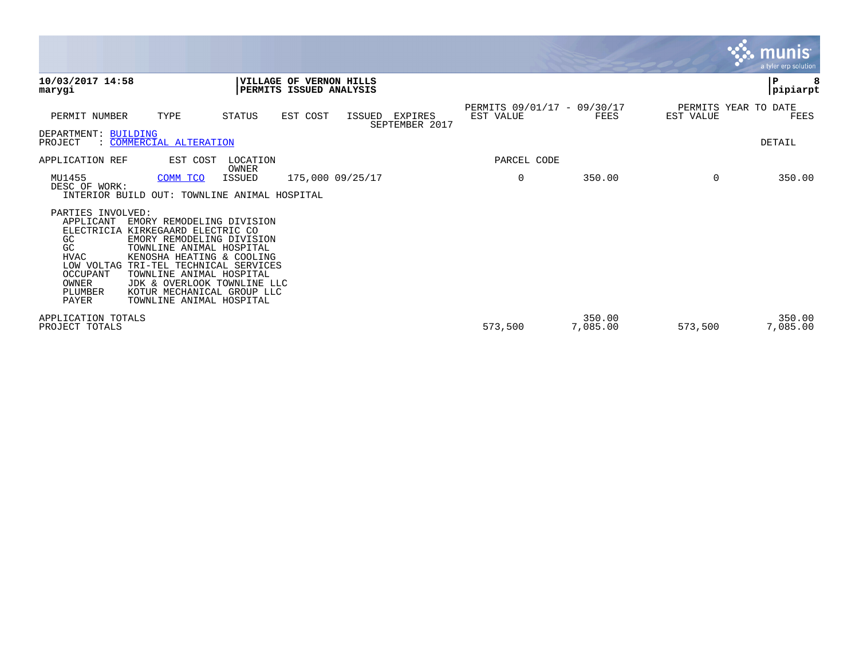|                                                                                             |                                                                                                                                                                                                                                                                                                                    |                   |                                                           |        |                           |                                          |                    |           | $\sim$ munis<br>a tyler erp solution |
|---------------------------------------------------------------------------------------------|--------------------------------------------------------------------------------------------------------------------------------------------------------------------------------------------------------------------------------------------------------------------------------------------------------------------|-------------------|-----------------------------------------------------------|--------|---------------------------|------------------------------------------|--------------------|-----------|--------------------------------------|
| 10/03/2017 14:58<br>marygi                                                                  |                                                                                                                                                                                                                                                                                                                    |                   | VILLAGE OF VERNON HILLS<br><b>PERMITS ISSUED ANALYSIS</b> |        |                           |                                          |                    |           | P<br> pipiarpt                       |
| PERMIT NUMBER                                                                               | TYPE                                                                                                                                                                                                                                                                                                               | STATUS            | EST COST                                                  | ISSUED | EXPIRES<br>SEPTEMBER 2017 | PERMITS 09/01/17 - 09/30/17<br>EST VALUE | FEES               | EST VALUE | PERMITS YEAR TO DATE<br>FEES         |
| DEPARTMENT: BUILDING<br>PROJECT                                                             | : COMMERCIAL ALTERATION                                                                                                                                                                                                                                                                                            |                   |                                                           |        |                           |                                          |                    |           | DETAIL                               |
| APPLICATION REF                                                                             | EST COST                                                                                                                                                                                                                                                                                                           | LOCATION<br>OWNER |                                                           |        |                           | PARCEL CODE                              |                    |           |                                      |
| MU1455<br>DESC OF WORK:                                                                     | COMM TCO<br>INTERIOR BUILD OUT: TOWNLINE ANIMAL HOSPITAL                                                                                                                                                                                                                                                           | ISSUED            | 175,000 09/25/17                                          |        |                           | 0                                        | 350.00             | 0         | 350.00                               |
| PARTIES INVOLVED:<br>APPLICANT<br>GC<br>GC<br>HVAC<br>OCCUPANT<br>OWNER<br>PLUMBER<br>PAYER | EMORY REMODELING DIVISION<br>ELECTRICIA KIRKEGAARD ELECTRIC CO<br>EMORY REMODELING DIVISION<br>TOWNLINE ANIMAL HOSPITAL<br>KENOSHA HEATING & COOLING<br>LOW VOLTAG TRI-TEL TECHNICAL SERVICES<br>TOWNLINE ANIMAL HOSPITAL<br>JDK & OVERLOOK TOWNLINE LLC<br>KOTUR MECHANICAL GROUP LLC<br>TOWNLINE ANIMAL HOSPITAL |                   |                                                           |        |                           |                                          |                    |           |                                      |
| APPLICATION TOTALS<br>PROJECT TOTALS                                                        |                                                                                                                                                                                                                                                                                                                    |                   |                                                           |        |                           | 573,500                                  | 350.00<br>7,085.00 | 573,500   | 350.00<br>7,085.00                   |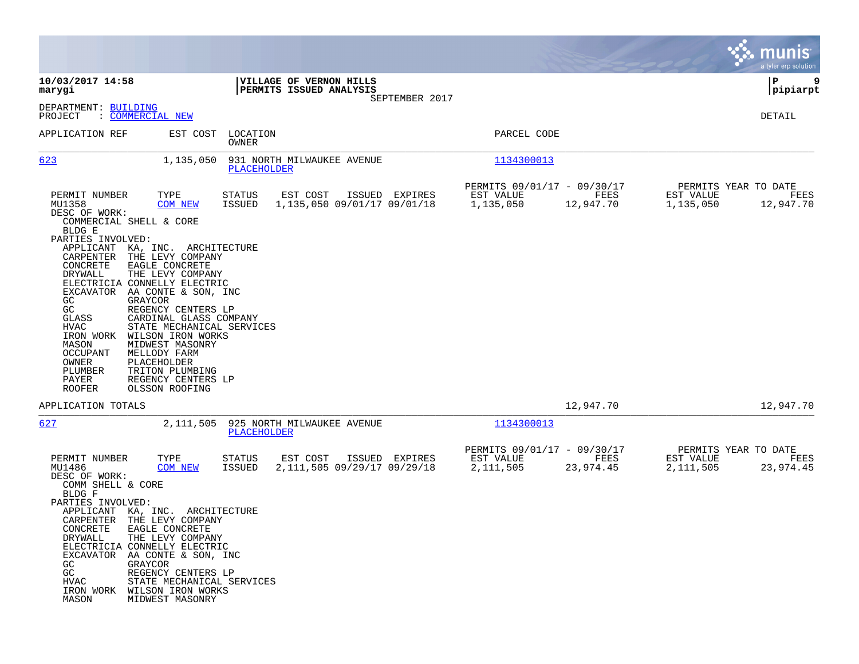|                                                                                                                                                                                                                                                                                                                                                                                                                                                                                                                                                                                                                                                                                 |                                                                                        |                                                                            | munis<br>a tyler erp solution                                       |
|---------------------------------------------------------------------------------------------------------------------------------------------------------------------------------------------------------------------------------------------------------------------------------------------------------------------------------------------------------------------------------------------------------------------------------------------------------------------------------------------------------------------------------------------------------------------------------------------------------------------------------------------------------------------------------|----------------------------------------------------------------------------------------|----------------------------------------------------------------------------|---------------------------------------------------------------------|
| 10/03/2017 14:58<br>marygi                                                                                                                                                                                                                                                                                                                                                                                                                                                                                                                                                                                                                                                      | VILLAGE OF VERNON HILLS<br><b>PERMITS ISSUED ANALYSIS</b><br>SEPTEMBER 2017            |                                                                            | ∣P<br> pipiarpt                                                     |
| DEPARTMENT: BUILDING<br>PROJECT<br>: COMMERCIAL NEW                                                                                                                                                                                                                                                                                                                                                                                                                                                                                                                                                                                                                             |                                                                                        |                                                                            | DETAIL                                                              |
| APPLICATION REF<br>EST COST                                                                                                                                                                                                                                                                                                                                                                                                                                                                                                                                                                                                                                                     | LOCATION<br>OWNER                                                                      | PARCEL CODE                                                                |                                                                     |
| 623<br>1,135,050                                                                                                                                                                                                                                                                                                                                                                                                                                                                                                                                                                                                                                                                | 931 NORTH MILWAUKEE AVENUE<br>PLACEHOLDER                                              | 1134300013                                                                 |                                                                     |
| TYPE<br>PERMIT NUMBER<br>MU1358<br><b>COM NEW</b><br>DESC OF WORK:<br>COMMERCIAL SHELL & CORE<br>BLDG E<br>PARTIES INVOLVED:<br>APPLICANT<br>KA, INC. ARCHITECTURE<br>CARPENTER<br>THE LEVY COMPANY<br>CONCRETE<br>EAGLE CONCRETE<br><b>DRYWALL</b><br>THE LEVY COMPANY<br>ELECTRICIA CONNELLY ELECTRIC<br>EXCAVATOR AA CONTE & SON, INC<br>GRAYCOR<br>GC<br>GC<br>REGENCY CENTERS LP<br>GLASS<br>CARDINAL GLASS COMPANY<br>HVAC<br>STATE MECHANICAL SERVICES<br>WILSON IRON WORKS<br>IRON WORK<br>MIDWEST MASONRY<br>MASON<br>MELLODY FARM<br>OCCUPANT<br>PLACEHOLDER<br>OWNER<br>PLUMBER<br>TRITON PLUMBING<br>PAYER<br>REGENCY CENTERS LP<br><b>ROOFER</b><br>OLSSON ROOFING | STATUS<br>EST COST<br>ISSUED EXPIRES<br>1,135,050 09/01/17 09/01/18<br><b>ISSUED</b>   | PERMITS 09/01/17 - 09/30/17<br>EST VALUE<br>FEES<br>1,135,050<br>12,947.70 | PERMITS YEAR TO DATE<br>EST VALUE<br>FEES<br>1,135,050<br>12,947.70 |
| APPLICATION TOTALS                                                                                                                                                                                                                                                                                                                                                                                                                                                                                                                                                                                                                                                              |                                                                                        | 12,947.70                                                                  | 12,947.70                                                           |
| 627<br>2,111,505                                                                                                                                                                                                                                                                                                                                                                                                                                                                                                                                                                                                                                                                | 925 NORTH MILWAUKEE AVENUE<br><b>PLACEHOLDER</b>                                       | 1134300013                                                                 |                                                                     |
| PERMIT NUMBER<br>TYPE<br>MU1486<br>COM NEW<br>DESC OF WORK:<br>COMM SHELL & CORE<br>BLDG F<br>PARTIES INVOLVED:<br>APPLICANT KA, INC. ARCHITECTURE<br>CARPENTER<br>THE LEVY COMPANY<br>CONCRETE<br>EAGLE CONCRETE<br>DRYWALL<br>THE LEVY COMPANY<br>ELECTRICIA CONNELLY ELECTRIC<br>EXCAVATOR<br>AA CONTE & SON, INC<br>GC.<br>GRAYCOR<br>GC<br>REGENCY CENTERS LP<br><b>HVAC</b><br>STATE MECHANICAL SERVICES<br>IRON WORK<br>WILSON IRON WORKS<br>MASON<br>MIDWEST MASONRY                                                                                                                                                                                                    | EST COST<br>ISSUED EXPIRES<br><b>STATUS</b><br>2, 111, 505 09/29/17 09/29/18<br>ISSUED | PERMITS 09/01/17 - 09/30/17<br>EST VALUE<br>FEES<br>2,111,505<br>23,974.45 | PERMITS YEAR TO DATE<br>EST VALUE<br>FEES<br>2,111,505<br>23,974.45 |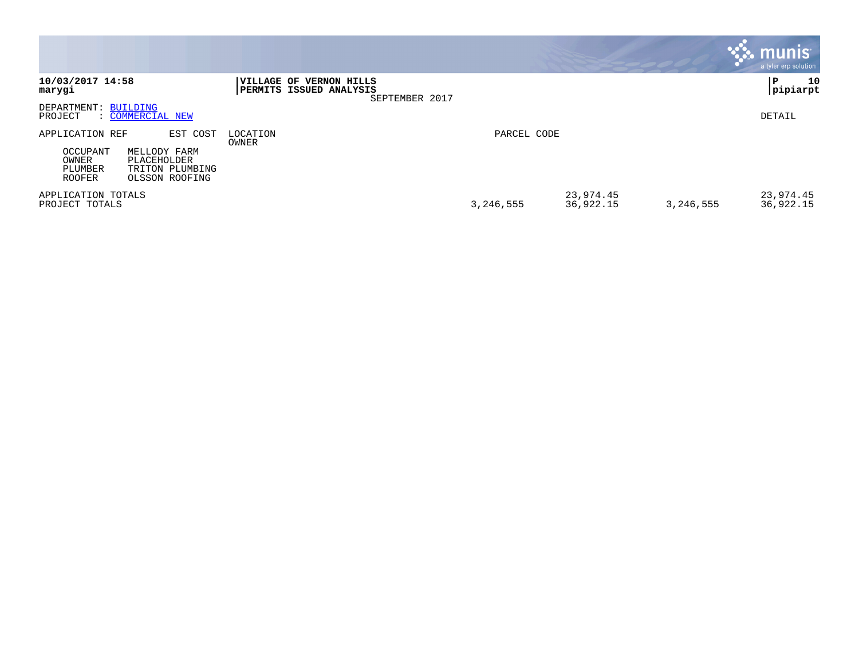|                                                                  |                                                                              |                                                                             |             |                        |           | <b>munis</b><br>a tyler erp solution |
|------------------------------------------------------------------|------------------------------------------------------------------------------|-----------------------------------------------------------------------------|-------------|------------------------|-----------|--------------------------------------|
| 10/03/2017 14:58<br>marygi                                       |                                                                              | VILLAGE OF VERNON HILLS<br><b>PERMITS ISSUED ANALYSIS</b><br>SEPTEMBER 2017 |             |                        |           | 10<br>l P<br> pipiarpt               |
| DEPARTMENT: BUILDING<br>PROJECT                                  | : COMMERCIAL NEW                                                             |                                                                             |             |                        |           | DETAIL                               |
| APPLICATION REF<br>OCCUPANT<br>OWNER<br>PLUMBER<br><b>ROOFER</b> | EST COST<br>MELLODY FARM<br>PLACEHOLDER<br>TRITON PLUMBING<br>OLSSON ROOFING | LOCATION<br>OWNER                                                           | PARCEL CODE |                        |           |                                      |
| APPLICATION TOTALS<br>PROJECT TOTALS                             |                                                                              |                                                                             | 3, 246, 555 | 23,974.45<br>36,922.15 | 3,246,555 | 23,974.45<br>36,922.15               |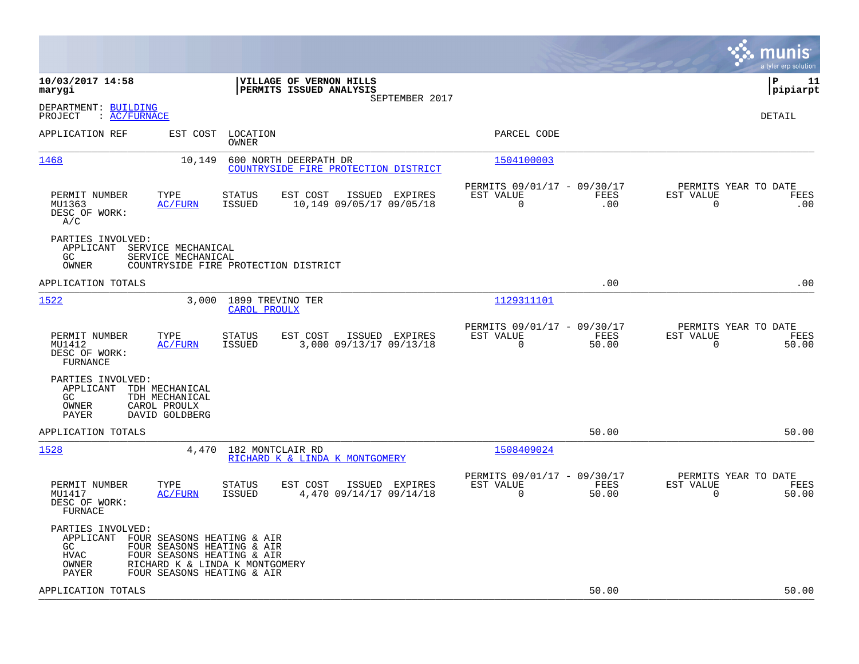|                                                                        |                                                                                                                      |                                      |                                                    |                |                                                         |               |                          | munis<br>a tyler erp solution         |
|------------------------------------------------------------------------|----------------------------------------------------------------------------------------------------------------------|--------------------------------------|----------------------------------------------------|----------------|---------------------------------------------------------|---------------|--------------------------|---------------------------------------|
| 10/03/2017 14:58<br>marygi                                             |                                                                                                                      |                                      | VILLAGE OF VERNON HILLS<br>PERMITS ISSUED ANALYSIS | SEPTEMBER 2017 |                                                         |               |                          | l P<br>11<br> pipiarpt                |
| DEPARTMENT: BUILDING<br>: AC/FURNACE<br>PROJECT                        |                                                                                                                      |                                      |                                                    |                |                                                         |               |                          | <b>DETAIL</b>                         |
| APPLICATION REF                                                        | EST COST                                                                                                             | LOCATION<br>OWNER                    |                                                    |                | PARCEL CODE                                             |               |                          |                                       |
| 1468                                                                   | 10,149                                                                                                               | 600 NORTH DEERPATH DR                | COUNTRYSIDE FIRE PROTECTION DISTRICT               |                | 1504100003                                              |               |                          |                                       |
| PERMIT NUMBER<br>MU1363<br>DESC OF WORK:<br>A/C                        | TYPE<br><b>AC/FURN</b>                                                                                               | <b>STATUS</b><br><b>ISSUED</b>       | EST COST<br>10,149 09/05/17 09/05/18               | ISSUED EXPIRES | PERMITS 09/01/17 - 09/30/17<br>EST VALUE<br>$\mathbf 0$ | FEES<br>.00   | EST VALUE<br>$\mathbf 0$ | PERMITS YEAR TO DATE<br>FEES<br>.00   |
| PARTIES INVOLVED:<br>APPLICANT<br>GC<br>OWNER                          | SERVICE MECHANICAL<br>SERVICE MECHANICAL                                                                             | COUNTRYSIDE FIRE PROTECTION DISTRICT |                                                    |                |                                                         |               |                          |                                       |
| APPLICATION TOTALS                                                     |                                                                                                                      |                                      |                                                    |                |                                                         | .00           |                          | .00                                   |
| 1522                                                                   | 3,000                                                                                                                | 1899 TREVINO TER<br>CAROL PROULX     |                                                    |                | 1129311101                                              |               |                          |                                       |
| PERMIT NUMBER<br>MU1412<br>DESC OF WORK:<br>FURNANCE                   | TYPE<br>AC/FURN                                                                                                      | STATUS<br><b>ISSUED</b>              | EST COST<br>3,000 09/13/17 09/13/18                | ISSUED EXPIRES | PERMITS 09/01/17 - 09/30/17<br>EST VALUE<br>$\mathbf 0$ | FEES<br>50.00 | EST VALUE<br>0           | PERMITS YEAR TO DATE<br>FEES<br>50.00 |
| PARTIES INVOLVED:<br>APPLICANT<br>GC<br>OWNER<br>PAYER                 | TDH MECHANICAL<br>TDH MECHANICAL<br>CAROL PROULX<br>DAVID GOLDBERG                                                   |                                      |                                                    |                |                                                         |               |                          |                                       |
| APPLICATION TOTALS                                                     |                                                                                                                      |                                      |                                                    |                |                                                         | 50.00         |                          | 50.00                                 |
| 1528                                                                   | 4,470                                                                                                                | 182 MONTCLAIR RD                     | RICHARD K & LINDA K MONTGOMERY                     |                | 1508409024                                              |               |                          |                                       |
| PERMIT NUMBER<br>MU1417<br>DESC OF WORK:<br>FURNACE                    | TYPE<br><b>AC/FURN</b>                                                                                               | STATUS<br><b>ISSUED</b>              | EST COST<br>4,470 09/14/17 09/14/18                | ISSUED EXPIRES | PERMITS 09/01/17 - 09/30/17<br>EST VALUE<br>$\Omega$    | FEES<br>50.00 | EST VALUE<br>$\mathbf 0$ | PERMITS YEAR TO DATE<br>FEES<br>50.00 |
| PARTIES INVOLVED:<br>APPLICANT<br>GC.<br><b>HVAC</b><br>OWNER<br>PAYER | FOUR SEASONS HEATING & AIR<br>FOUR SEASONS HEATING & AIR<br>FOUR SEASONS HEATING & AIR<br>FOUR SEASONS HEATING & AIR | RICHARD K & LINDA K MONTGOMERY       |                                                    |                |                                                         |               |                          |                                       |
| APPLICATION TOTALS                                                     |                                                                                                                      |                                      |                                                    |                |                                                         | 50.00         |                          | 50.00                                 |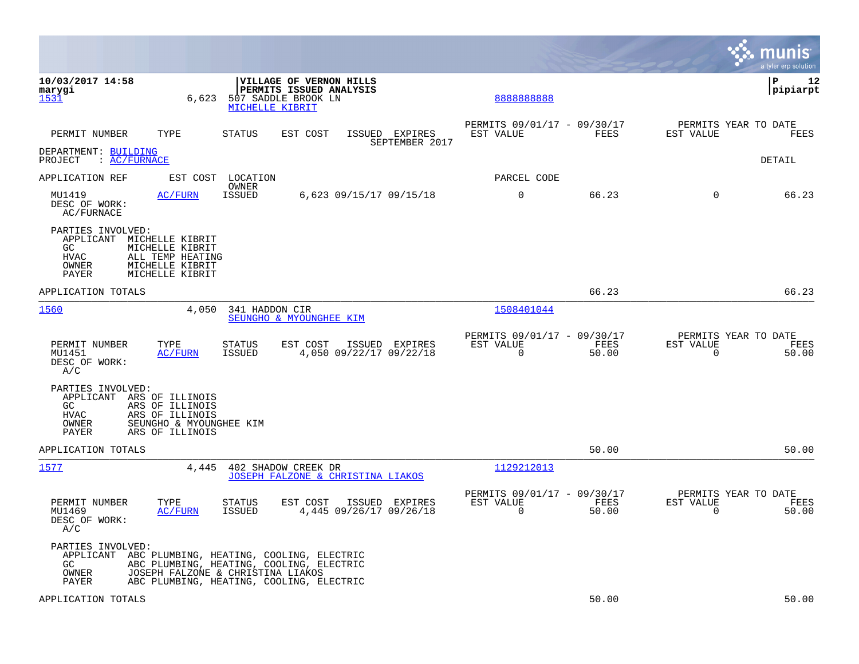|                                                                                                 |                                                                                                                           |                                |                                                                                  |                                           |                                                         |               |                                                  | munis<br>a tyler erp solution |
|-------------------------------------------------------------------------------------------------|---------------------------------------------------------------------------------------------------------------------------|--------------------------------|----------------------------------------------------------------------------------|-------------------------------------------|---------------------------------------------------------|---------------|--------------------------------------------------|-------------------------------|
| 10/03/2017 14:58<br>marygi<br>1531                                                              | 6,623                                                                                                                     | MICHELLE KIBRIT                | <b>VILLAGE OF VERNON HILLS</b><br>PERMITS ISSUED ANALYSIS<br>507 SADDLE BROOK LN |                                           | 8888888888                                              |               |                                                  | P<br>12<br> pipiarpt          |
| PERMIT NUMBER                                                                                   | TYPE                                                                                                                      | <b>STATUS</b>                  | EST COST                                                                         | ISSUED EXPIRES<br>SEPTEMBER 2017          | PERMITS 09/01/17 - 09/30/17<br>EST VALUE                | FEES          | PERMITS YEAR TO DATE<br>EST VALUE                | FEES                          |
| DEPARTMENT: BUILDING<br>: <u>AC/FURNACE</u><br>PROJECT                                          |                                                                                                                           |                                |                                                                                  |                                           |                                                         |               |                                                  | DETAIL                        |
| APPLICATION REF                                                                                 | EST COST                                                                                                                  | LOCATION<br>OWNER              |                                                                                  |                                           | PARCEL CODE                                             |               |                                                  |                               |
| MU1419<br>DESC OF WORK:<br>AC/FURNACE                                                           | AC/FURN                                                                                                                   | <b>ISSUED</b>                  |                                                                                  | 6,623 09/15/17 09/15/18                   | $\mathbf 0$                                             | 66.23         | $\Omega$                                         | 66.23                         |
| PARTIES INVOLVED:<br>APPLICANT<br>GC<br><b>HVAC</b><br>OWNER<br>PAYER                           | MICHELLE KIBRIT<br>MICHELLE KIBRIT<br>ALL TEMP HEATING<br>MICHELLE KIBRIT<br>MICHELLE KIBRIT                              |                                |                                                                                  |                                           |                                                         |               |                                                  |                               |
| APPLICATION TOTALS                                                                              |                                                                                                                           |                                |                                                                                  |                                           |                                                         | 66.23         |                                                  | 66.23                         |
| 1560                                                                                            | 4,050                                                                                                                     | 341 HADDON CIR                 | SEUNGHO & MYOUNGHEE KIM                                                          |                                           | 1508401044                                              |               |                                                  |                               |
| PERMIT NUMBER<br>MU1451<br>DESC OF WORK:<br>A/C                                                 | TYPE<br>AC/FURN                                                                                                           | <b>STATUS</b><br><b>ISSUED</b> | EST COST                                                                         | ISSUED EXPIRES<br>4,050 09/22/17 09/22/18 | PERMITS 09/01/17 - 09/30/17<br>EST VALUE<br>$\mathbf 0$ | FEES<br>50.00 | PERMITS YEAR TO DATE<br>EST VALUE<br>$\mathbf 0$ | FEES<br>50.00                 |
| PARTIES INVOLVED:<br>APPLICANT ARS OF ILLINOIS<br>GC.<br><b>HVAC</b><br>OWNER<br>PAYER          | ARS OF ILLINOIS<br>ARS OF ILLINOIS<br>SEUNGHO & MYOUNGHEE KIM<br>ARS OF ILLINOIS                                          |                                |                                                                                  |                                           |                                                         |               |                                                  |                               |
| APPLICATION TOTALS                                                                              |                                                                                                                           |                                |                                                                                  |                                           |                                                         | 50.00         |                                                  | 50.00                         |
| 1577                                                                                            | 4,445                                                                                                                     |                                | 402 SHADOW CREEK DR<br>JOSEPH FALZONE & CHRISTINA LIAKOS                         |                                           | 1129212013                                              |               |                                                  |                               |
| PERMIT NUMBER<br>MU1469<br>DESC OF WORK:<br>A/C                                                 | TYPE<br>AC/FURN                                                                                                           | STATUS<br><b>ISSUED</b>        | EST COST                                                                         | ISSUED EXPIRES<br>4,445 09/26/17 09/26/18 | PERMITS 09/01/17 - 09/30/17<br>EST VALUE<br>$\mathbf 0$ | FEES<br>50.00 | PERMITS YEAR TO DATE<br>EST VALUE<br>0           | FEES<br>50.00                 |
| PARTIES INVOLVED:<br>APPLICANT ABC PLUMBING, HEATING, COOLING, ELECTRIC<br>GC<br>OWNER<br>PAYER | ABC PLUMBING, HEATING, COOLING, ELECTRIC<br>JOSEPH FALZONE & CHRISTINA LIAKOS<br>ABC PLUMBING, HEATING, COOLING, ELECTRIC |                                |                                                                                  |                                           |                                                         |               |                                                  |                               |
| APPLICATION TOTALS                                                                              |                                                                                                                           |                                |                                                                                  |                                           |                                                         | 50.00         |                                                  | 50.00                         |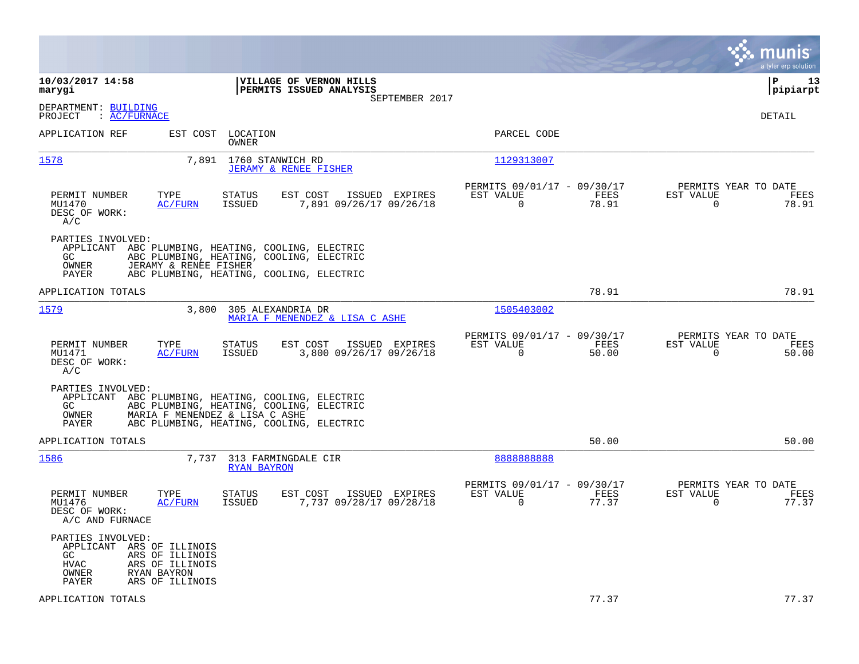|                                                                                        |                                                                      |                                                                                                                                                                    |                |                                                            |               |                          | munis<br>a tyler erp solution         |
|----------------------------------------------------------------------------------------|----------------------------------------------------------------------|--------------------------------------------------------------------------------------------------------------------------------------------------------------------|----------------|------------------------------------------------------------|---------------|--------------------------|---------------------------------------|
| 10/03/2017 14:58<br>marygi                                                             |                                                                      | VILLAGE OF VERNON HILLS<br>PERMITS ISSUED ANALYSIS                                                                                                                 | SEPTEMBER 2017 |                                                            |               |                          | l P<br>13<br> pipiarpt                |
| DEPARTMENT: BUILDING<br>PROJECT<br>$\colon$ AC/FURNACE                                 |                                                                      |                                                                                                                                                                    |                |                                                            |               |                          | DETAIL                                |
| APPLICATION REF                                                                        | EST COST                                                             | LOCATION<br>OWNER                                                                                                                                                  |                | PARCEL CODE                                                |               |                          |                                       |
| 1578                                                                                   | 7,891                                                                | 1760 STANWICH RD<br><b>JERAMY &amp; RENEE FISHER</b>                                                                                                               |                | 1129313007                                                 |               |                          |                                       |
| PERMIT NUMBER<br>MU1470<br>DESC OF WORK:<br>A/C                                        | TYPE<br>AC/FURN                                                      | STATUS<br>EST COST<br><b>ISSUED</b><br>7,891 09/26/17 09/26/18                                                                                                     | ISSUED EXPIRES | PERMITS 09/01/17 - 09/30/17<br>EST VALUE<br>$\overline{0}$ | FEES<br>78.91 | EST VALUE<br>$\mathbf 0$ | PERMITS YEAR TO DATE<br>FEES<br>78.91 |
| PARTIES INVOLVED:<br>APPLICANT<br>GC.<br>OWNER<br>PAYER                                | JERAMY & RENEE FISHER                                                | ABC PLUMBING, HEATING, COOLING, ELECTRIC<br>ABC PLUMBING, HEATING, COOLING, ELECTRIC<br>ABC PLUMBING, HEATING, COOLING, ELECTRIC                                   |                |                                                            |               |                          |                                       |
| APPLICATION TOTALS                                                                     |                                                                      |                                                                                                                                                                    |                |                                                            | 78.91         |                          | 78.91                                 |
| <u>1579</u>                                                                            | 3,800                                                                | 305 ALEXANDRIA DR<br>MARIA F MENENDEZ & LISA C ASHE                                                                                                                |                | 1505403002                                                 |               |                          |                                       |
| PERMIT NUMBER<br>MU1471<br>DESC OF WORK:<br>A/C                                        | TYPE<br>AC/FURN                                                      | <b>STATUS</b><br>EST COST<br><b>ISSUED</b><br>3,800 09/26/17 09/26/18                                                                                              | ISSUED EXPIRES | PERMITS 09/01/17 - 09/30/17<br>EST VALUE<br>$\mathbf 0$    | FEES<br>50.00 | EST VALUE<br>$\mathbf 0$ | PERMITS YEAR TO DATE<br>FEES<br>50.00 |
| PARTIES INVOLVED:<br>APPLICANT<br>GC.<br>OWNER<br>PAYER                                |                                                                      | ABC PLUMBING, HEATING, COOLING, ELECTRIC<br>ABC PLUMBING, HEATING, COOLING, ELECTRIC<br>MARIA F MENENDEZ & LISA C ASHE<br>ABC PLUMBING, HEATING, COOLING, ELECTRIC |                |                                                            |               |                          |                                       |
| APPLICATION TOTALS                                                                     |                                                                      |                                                                                                                                                                    |                |                                                            | 50.00         |                          | 50.00                                 |
| 1586                                                                                   | 7,737                                                                | 313 FARMINGDALE CIR<br>RYAN BAYRON                                                                                                                                 |                | 888888888                                                  |               |                          |                                       |
| PERMIT NUMBER<br>MU1476<br>DESC OF WORK:<br>A/C AND FURNACE                            | TYPE<br>AC/FURN                                                      | <b>STATUS</b><br>EST COST<br>7,737 09/28/17 09/28/18<br><b>ISSUED</b>                                                                                              | ISSUED EXPIRES | PERMITS 09/01/17 - 09/30/17<br>EST VALUE<br>0              | FEES<br>77.37 | EST VALUE<br>$\Omega$    | PERMITS YEAR TO DATE<br>FEES<br>77.37 |
| PARTIES INVOLVED:<br>APPLICANT ARS OF ILLINOIS<br>GC.<br>HVAC<br>OWNER<br><b>PAYER</b> | ARS OF ILLINOIS<br>ARS OF ILLINOIS<br>RYAN BAYRON<br>ARS OF ILLINOIS |                                                                                                                                                                    |                |                                                            |               |                          |                                       |
| APPLICATION TOTALS                                                                     |                                                                      |                                                                                                                                                                    |                |                                                            | 77.37         |                          | 77.37                                 |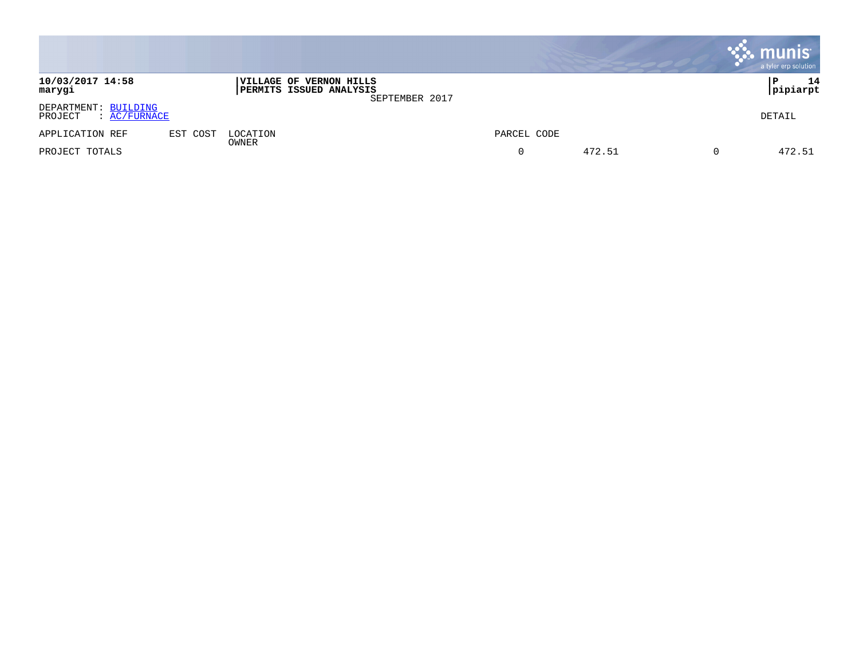|                                                 |          |                                                    |                |             |        | munis<br>a tyler erp solution |
|-------------------------------------------------|----------|----------------------------------------------------|----------------|-------------|--------|-------------------------------|
| 10/03/2017 14:58<br>marygi                      |          | VILLAGE OF VERNON HILLS<br>PERMITS ISSUED ANALYSIS | SEPTEMBER 2017 |             |        | 14<br> P<br>pipiarpt          |
| DEPARTMENT: BUILDING<br>PROJECT<br>: AC/FURNACE |          |                                                    |                |             |        | DETAIL                        |
| APPLICATION REF                                 | EST COST | LOCATION                                           |                | PARCEL CODE |        |                               |
| PROJECT TOTALS                                  |          | OWNER                                              |                | $\Omega$    | 472.51 | 472.51                        |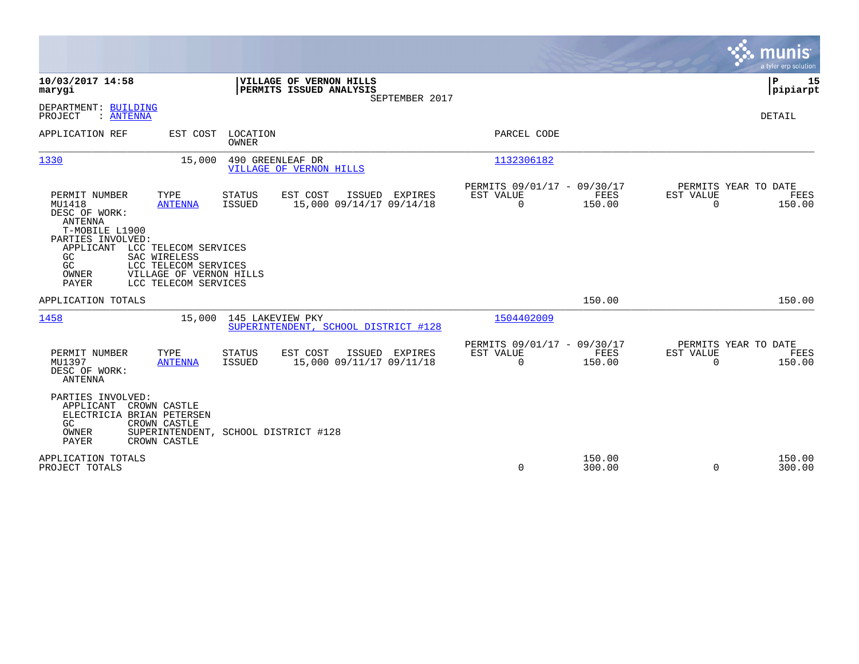|                                                                                          |                                                                                         |                                |                                                           |                |                                                         |                  |                          | munis<br>a tyler erp solution          |
|------------------------------------------------------------------------------------------|-----------------------------------------------------------------------------------------|--------------------------------|-----------------------------------------------------------|----------------|---------------------------------------------------------|------------------|--------------------------|----------------------------------------|
| 10/03/2017 14:58<br>marygi                                                               |                                                                                         |                                | <b>VILLAGE OF VERNON HILLS</b><br>PERMITS ISSUED ANALYSIS | SEPTEMBER 2017 |                                                         |                  |                          | ΙP<br>15<br> pipiarpt                  |
| DEPARTMENT: BUILDING<br>: ANTENNA<br>PROJECT                                             |                                                                                         |                                |                                                           |                |                                                         |                  |                          | DETAIL                                 |
| APPLICATION REF                                                                          | EST COST                                                                                | LOCATION<br><b>OWNER</b>       |                                                           |                | PARCEL CODE                                             |                  |                          |                                        |
| 1330                                                                                     | 15,000                                                                                  | 490 GREENLEAF DR               | VILLAGE OF VERNON HILLS                                   |                | 1132306182                                              |                  |                          |                                        |
| PERMIT NUMBER<br>MU1418<br>DESC OF WORK:<br><b>ANTENNA</b><br>T-MOBILE L1900             | TYPE<br><b>ANTENNA</b>                                                                  | <b>STATUS</b><br><b>ISSUED</b> | EST COST<br>15,000 09/14/17 09/14/18                      | ISSUED EXPIRES | PERMITS 09/01/17 - 09/30/17<br>EST VALUE<br>$\mathbf 0$ | FEES<br>150.00   | EST VALUE<br>$\mathbf 0$ | PERMITS YEAR TO DATE<br>FEES<br>150.00 |
| PARTIES INVOLVED:<br>APPLICANT LCC TELECOM SERVICES<br>GC<br>GC<br>OWNER<br><b>PAYER</b> | SAC WIRELESS<br>LCC TELECOM SERVICES<br>VILLAGE OF VERNON HILLS<br>LCC TELECOM SERVICES |                                |                                                           |                |                                                         |                  |                          |                                        |
| APPLICATION TOTALS                                                                       |                                                                                         |                                |                                                           |                |                                                         | 150.00           |                          | 150.00                                 |
| 1458                                                                                     | 15,000                                                                                  | 145 LAKEVIEW PKY               | SUPERINTENDENT, SCHOOL DISTRICT #128                      |                | 1504402009                                              |                  |                          |                                        |
| PERMIT NUMBER<br>MU1397<br>DESC OF WORK:<br><b>ANTENNA</b>                               | TYPE<br><b>ANTENNA</b>                                                                  | <b>STATUS</b><br><b>ISSUED</b> | EST COST<br>15,000 09/11/17 09/11/18                      | ISSUED EXPIRES | PERMITS 09/01/17 - 09/30/17<br>EST VALUE<br>$\mathbf 0$ | FEES<br>150.00   | EST VALUE<br>$\Omega$    | PERMITS YEAR TO DATE<br>FEES<br>150.00 |
| PARTIES INVOLVED:<br>APPLICANT<br>ELECTRICIA BRIAN PETERSEN<br>GC<br>OWNER<br>PAYER      | CROWN CASTLE<br>CROWN CASTLE<br>SUPERINTENDENT, SCHOOL DISTRICT #128<br>CROWN CASTLE    |                                |                                                           |                |                                                         |                  |                          |                                        |
| APPLICATION TOTALS<br>PROJECT TOTALS                                                     |                                                                                         |                                |                                                           |                | $\mathbf 0$                                             | 150.00<br>300.00 | $\mathbf 0$              | 150.00<br>300.00                       |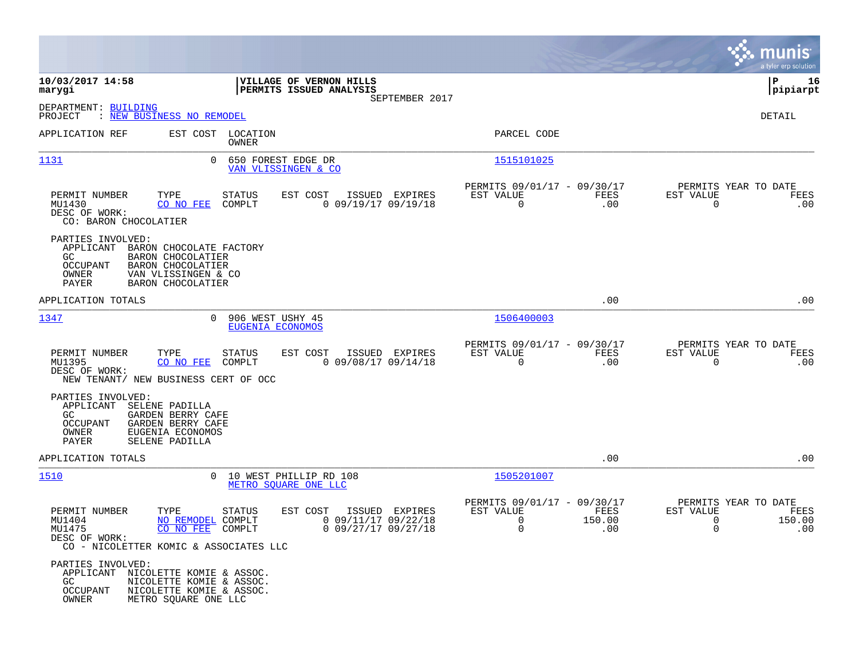|                                                                                                                                                                                                   |                                           |                                                            |                |                                                                        |                       |                                                                 | munis<br>a tyler erp solution |
|---------------------------------------------------------------------------------------------------------------------------------------------------------------------------------------------------|-------------------------------------------|------------------------------------------------------------|----------------|------------------------------------------------------------------------|-----------------------|-----------------------------------------------------------------|-------------------------------|
| 10/03/2017 14:58<br>marygi                                                                                                                                                                        |                                           | VILLAGE OF VERNON HILLS<br>PERMITS ISSUED ANALYSIS         |                |                                                                        |                       |                                                                 | l P<br>16<br> pipiarpt        |
| DEPARTMENT: BUILDING<br>: NEW BUSINESS NO REMODEL<br>PROJECT                                                                                                                                      |                                           |                                                            | SEPTEMBER 2017 |                                                                        |                       |                                                                 | DETAIL                        |
| APPLICATION REF                                                                                                                                                                                   | EST COST LOCATION<br>OWNER                |                                                            |                | PARCEL CODE                                                            |                       |                                                                 |                               |
| 1131<br>0                                                                                                                                                                                         | 650 FOREST EDGE DR<br>VAN VLISSINGEN & CO |                                                            |                | 1515101025                                                             |                       |                                                                 |                               |
| PERMIT NUMBER<br>TYPE<br>MU1430<br>CO NO FEE<br>DESC OF WORK:<br>CO: BARON CHOCOLATIER                                                                                                            | <b>STATUS</b><br>COMPLT                   | EST COST<br>$0$ 09/19/17 09/19/18                          | ISSUED EXPIRES | PERMITS 09/01/17 - 09/30/17<br>EST VALUE<br>$\Omega$                   | FEES<br>.00           | PERMITS YEAR TO DATE<br>EST VALUE<br>$\Omega$                   | FEES<br>.00                   |
| PARTIES INVOLVED:<br>APPLICANT<br>BARON CHOCOLATE FACTORY<br>GC<br><b>BARON CHOCOLATIER</b><br>OCCUPANT<br>BARON CHOCOLATIER<br>OWNER<br>VAN VLISSINGEN & CO<br><b>BARON CHOCOLATIER</b><br>PAYER |                                           |                                                            |                |                                                                        |                       |                                                                 |                               |
| APPLICATION TOTALS                                                                                                                                                                                |                                           |                                                            |                |                                                                        | .00                   |                                                                 | .00                           |
| 1347<br>$\Omega$                                                                                                                                                                                  | 906 WEST USHY 45<br>EUGENIA ECONOMOS      |                                                            |                | 1506400003                                                             |                       |                                                                 |                               |
| PERMIT NUMBER<br>TYPE<br>MU1395<br>CO NO FEE<br>DESC OF WORK:<br>NEW TENANT/ NEW BUSINESS CERT OF OCC                                                                                             | <b>STATUS</b><br>COMPLT                   | EST COST<br>$0$ 09/08/17 09/14/18                          | ISSUED EXPIRES | PERMITS 09/01/17 - 09/30/17<br>EST VALUE<br>$\mathbf 0$                | <b>FEES</b><br>.00    | PERMITS YEAR TO DATE<br>EST VALUE<br>0                          | FEES<br>.00                   |
| PARTIES INVOLVED:<br>APPLICANT<br>SELENE PADILLA<br>GARDEN BERRY CAFE<br>GC.<br>OCCUPANT<br>GARDEN BERRY CAFE<br>OWNER<br>EUGENIA ECONOMOS<br>PAYER<br>SELENE PADILLA                             |                                           |                                                            |                |                                                                        |                       |                                                                 |                               |
| APPLICATION TOTALS                                                                                                                                                                                |                                           |                                                            |                |                                                                        | .00                   |                                                                 | .00                           |
| 1510<br>$\Omega$                                                                                                                                                                                  |                                           | 10 WEST PHILLIP RD 108<br>METRO SOUARE ONE LLC             |                | 1505201007                                                             |                       |                                                                 |                               |
| PERMIT NUMBER<br>TYPE<br>MU1404<br>NO REMODEL COMPLT<br>MU1475<br>CO NO FEE<br>DESC OF WORK:<br>CO - NICOLETTER KOMIC & ASSOCIATES LLC                                                            | STATUS<br>COMPLT                          | EST COST<br>$0$ 09/11/17 09/22/18<br>$0$ 09/27/17 09/27/18 | ISSUED EXPIRES | PERMITS 09/01/17 - 09/30/17<br>EST VALUE<br>$\mathbf 0$<br>$\mathbf 0$ | FEES<br>150.00<br>.00 | PERMITS YEAR TO DATE<br>EST VALUE<br>$\mathbf 0$<br>$\mathbf 0$ | FEES<br>150.00<br>.00         |
| PARTIES INVOLVED:<br>APPLICANT<br>NICOLETTE KOMIE & ASSOC.<br>NICOLETTE KOMIE & ASSOC.<br>GC.<br>NICOLETTE KOMIE & ASSOC.<br>OCCUPANT<br>OWNER<br>METRO SQUARE ONE LLC                            |                                           |                                                            |                |                                                                        |                       |                                                                 |                               |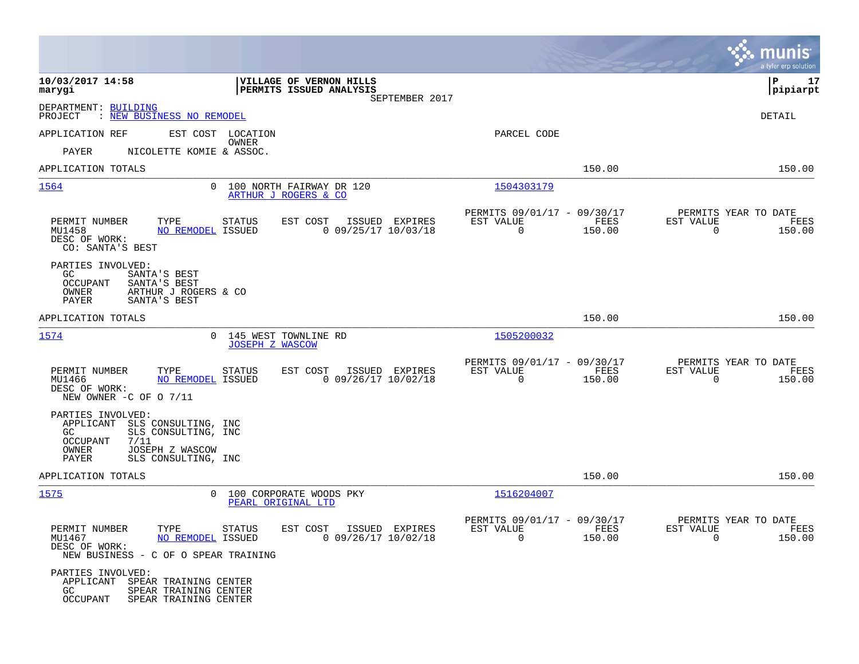|                                                                                                                                                                 |                                                                      |                                                                              | munis<br>a tyler erp solution                                      |
|-----------------------------------------------------------------------------------------------------------------------------------------------------------------|----------------------------------------------------------------------|------------------------------------------------------------------------------|--------------------------------------------------------------------|
| 10/03/2017 14:58<br>marygi                                                                                                                                      | VILLAGE OF VERNON HILLS<br>PERMITS ISSUED ANALYSIS<br>SEPTEMBER 2017 |                                                                              | 17<br>ΙP<br> pipiarpt                                              |
| DEPARTMENT: BUILDING<br>PROJECT<br>: NEW BUSINESS NO REMODEL                                                                                                    |                                                                      |                                                                              | DETAIL                                                             |
| APPLICATION REF                                                                                                                                                 | EST COST LOCATION<br>OWNER                                           | PARCEL CODE                                                                  |                                                                    |
| PAYER<br>NICOLETTE KOMIE & ASSOC.                                                                                                                               |                                                                      |                                                                              |                                                                    |
| APPLICATION TOTALS                                                                                                                                              |                                                                      | 150.00                                                                       | 150.00                                                             |
| 1564                                                                                                                                                            | 0 100 NORTH FAIRWAY DR 120<br>ARTHUR J ROGERS & CO                   | 1504303179                                                                   |                                                                    |
| PERMIT NUMBER<br>TYPE<br>NO REMODEL ISSUED<br>MU1458<br>DESC OF WORK:<br>CO: SANTA'S BEST                                                                       | STATUS<br>EST COST ISSUED EXPIRES<br>$0$ 09/25/17 10/03/18           | PERMITS 09/01/17 - 09/30/17<br>FEES<br>EST VALUE<br>$\overline{0}$<br>150.00 | PERMITS YEAR TO DATE<br>EST VALUE<br>FEES<br>$\Omega$<br>150.00    |
| PARTIES INVOLVED:<br>GC.<br>SANTA'S BEST<br><b>OCCUPANT</b><br>SANTA'S BEST<br>OWNER<br>ARTHUR J ROGERS & CO<br>PAYER<br>SANTA'S BEST                           |                                                                      |                                                                              |                                                                    |
| APPLICATION TOTALS                                                                                                                                              |                                                                      | 150.00                                                                       | 150.00                                                             |
| 1574                                                                                                                                                            | 145 WEST TOWNLINE RD<br><b>JOSEPH Z WASCOW</b>                       | 1505200032                                                                   |                                                                    |
| PERMIT NUMBER<br>TYPE<br>MU1466<br>NO REMODEL ISSUED<br>DESC OF WORK:<br>NEW OWNER $-C$ OF O $7/11$                                                             | EST COST<br>ISSUED EXPIRES<br>STATUS<br>$0$ 09/26/17 10/02/18        | PERMITS 09/01/17 - 09/30/17<br>EST VALUE<br>FEES<br>$\mathbf 0$<br>150.00    | PERMITS YEAR TO DATE<br>EST VALUE<br>FEES<br>$\mathbf 0$<br>150.00 |
| PARTIES INVOLVED:<br>APPLICANT SLS CONSULTING, INC<br>SLS CONSULTING, INC<br>GC<br>OCCUPANT<br>7/11<br>OWNER<br>JOSEPH Z WASCOW<br>PAYER<br>SLS CONSULTING, INC |                                                                      |                                                                              |                                                                    |
| APPLICATION TOTALS                                                                                                                                              |                                                                      | 150.00                                                                       | 150.00                                                             |
| 1575                                                                                                                                                            | 0 100 CORPORATE WOODS PKY<br>PEARL ORIGINAL LTD                      | 1516204007                                                                   |                                                                    |
| PERMIT NUMBER<br>TYPE<br>MU1467<br><b>NO REMODEL ISSUED</b><br>DESC OF WORK:<br>NEW BUSINESS - C OF O SPEAR TRAINING                                            | EST COST ISSUED EXPIRES<br>STATUS<br>$0$ 09/26/17 10/02/18           | PERMITS 09/01/17 - 09/30/17<br>EST VALUE<br>FEES<br>$\Omega$<br>150.00       | PERMITS YEAR TO DATE<br>EST VALUE<br>FEES<br>$\Omega$<br>150.00    |
| PARTIES INVOLVED:<br>APPLICANT SPEAR TRAINING CENTER<br>SPEAR TRAINING CENTER<br>GC<br>OCCUPANT<br>SPEAR TRAINING CENTER                                        |                                                                      |                                                                              |                                                                    |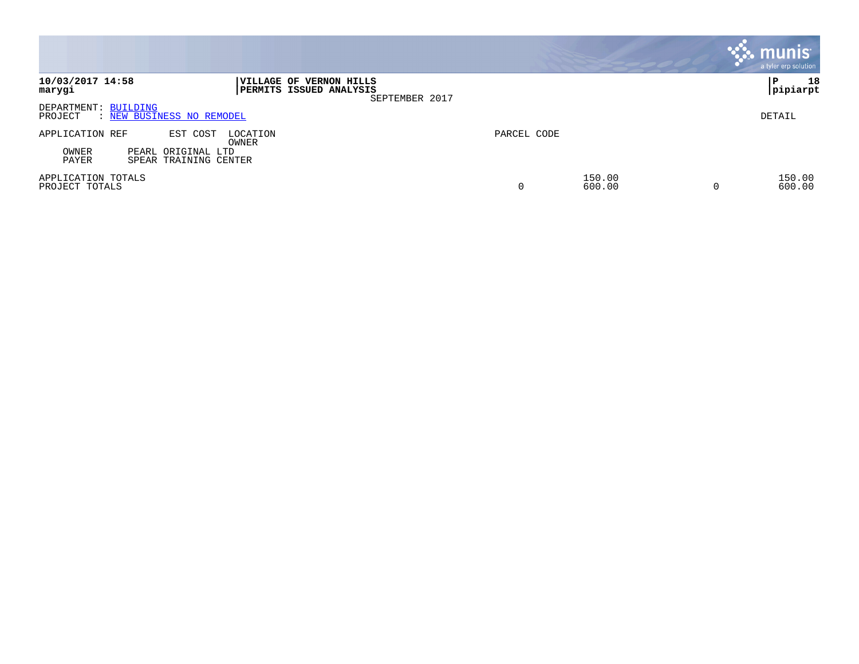|                                                                                                                   |             |                  | <b>munis</b><br>a tyler erp solution |
|-------------------------------------------------------------------------------------------------------------------|-------------|------------------|--------------------------------------|
| 10/03/2017 14:58<br>VILLAGE OF VERNON HILLS<br>PERMITS ISSUED ANALYSIS<br>marygi<br>SEPTEMBER 2017                |             |                  | 18<br>ΙP<br> pipiarpt                |
| DEPARTMENT: BUILDING<br>: NEW BUSINESS NO REMODEL<br>PROJECT                                                      |             |                  | DETAIL                               |
| APPLICATION REF<br>EST COST<br>LOCATION<br>OWNER<br>OWNER<br>PEARL ORIGINAL LTD<br>PAYER<br>SPEAR TRAINING CENTER | PARCEL CODE |                  |                                      |
| APPLICATION TOTALS<br>PROJECT TOTALS                                                                              | 0           | 150.00<br>600.00 | 150.00<br>600.00<br>C                |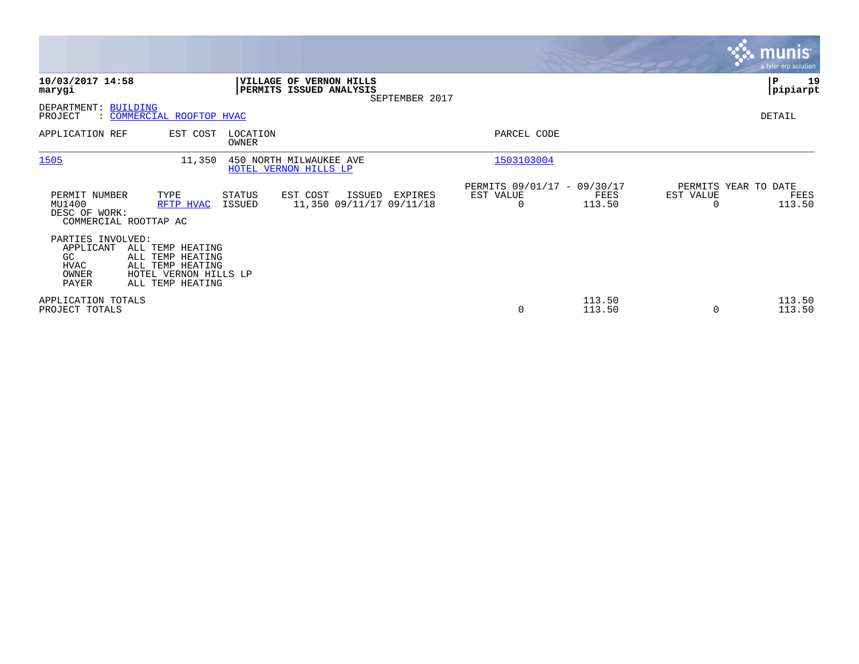|                                                                        |                                                                                                       |                   |                                                    |                |                                                         |                  |                                        | <b>munis</b><br>a tyler erp solution |
|------------------------------------------------------------------------|-------------------------------------------------------------------------------------------------------|-------------------|----------------------------------------------------|----------------|---------------------------------------------------------|------------------|----------------------------------------|--------------------------------------|
| 10/03/2017 14:58<br>marygi                                             |                                                                                                       |                   | VILLAGE OF VERNON HILLS<br>PERMITS ISSUED ANALYSIS | SEPTEMBER 2017 |                                                         |                  |                                        | 19<br>P<br> pipiarpt                 |
| DEPARTMENT:<br>PROJECT                                                 | <b>BUILDING</b><br>: COMMERCIAL ROOFTOP HVAC                                                          |                   |                                                    |                |                                                         |                  |                                        | DETAIL                               |
| APPLICATION REF                                                        | EST COST                                                                                              | LOCATION<br>OWNER |                                                    |                | PARCEL CODE                                             |                  |                                        |                                      |
| 1505                                                                   | 11,350                                                                                                |                   | 450 NORTH MILWAUKEE AVE<br>HOTEL VERNON HILLS LP   |                | 1503103004                                              |                  |                                        |                                      |
| PERMIT NUMBER<br>MU1400<br>DESC OF WORK:                               | TYPE<br>RFTP HVAC<br>COMMERCIAL ROOTTAP AC                                                            | STATUS<br>ISSUED  | EST COST<br>ISSUED<br>11,350 09/11/17 09/11/18     | EXPIRES        | PERMITS 09/01/17 - 09/30/17<br>EST VALUE<br>$\mathbf 0$ | FEES<br>113.50   | PERMITS YEAR TO DATE<br>EST VALUE<br>0 | FEES<br>113.50                       |
| PARTIES INVOLVED:<br>APPLICANT<br>GC.<br><b>HVAC</b><br>OWNER<br>PAYER | ALL TEMP HEATING<br>ALL TEMP HEATING<br>ALL TEMP HEATING<br>HOTEL VERNON HILLS LP<br>ALL TEMP HEATING |                   |                                                    |                |                                                         |                  |                                        |                                      |
| APPLICATION TOTALS<br>PROJECT TOTALS                                   |                                                                                                       |                   |                                                    |                | 0                                                       | 113.50<br>113.50 | 0                                      | 113.50<br>113.50                     |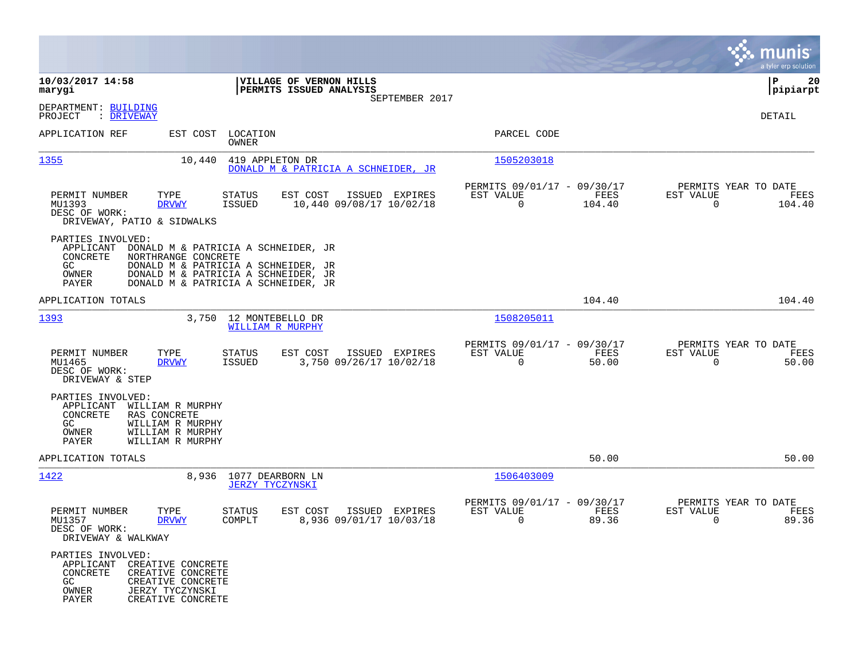|                                                                                                                                                                        |                                                                                                                                                          |                                                                        | munis<br>a tyler erp solution                                   |
|------------------------------------------------------------------------------------------------------------------------------------------------------------------------|----------------------------------------------------------------------------------------------------------------------------------------------------------|------------------------------------------------------------------------|-----------------------------------------------------------------|
| 10/03/2017 14:58<br>marygi                                                                                                                                             | VILLAGE OF VERNON HILLS<br>PERMITS ISSUED ANALYSIS<br>SEPTEMBER 2017                                                                                     |                                                                        | 20<br>IΡ<br> pipiarpt                                           |
| DEPARTMENT: BUILDING<br>PROJECT<br>: DRIVEWAY                                                                                                                          |                                                                                                                                                          |                                                                        | DETAIL                                                          |
| APPLICATION REF                                                                                                                                                        | EST COST LOCATION<br>OWNER                                                                                                                               | PARCEL CODE                                                            |                                                                 |
| 1355<br>10,440                                                                                                                                                         | 419 APPLETON DR<br>DONALD M & PATRICIA A SCHNEIDER, JR                                                                                                   | 1505203018                                                             |                                                                 |
| TYPE<br>PERMIT NUMBER<br>MU1393<br><b>DRVWY</b><br>DESC OF WORK:<br>DRIVEWAY, PATIO & SIDWALKS                                                                         | EST COST<br><b>STATUS</b><br>ISSUED EXPIRES<br><b>ISSUED</b><br>10,440 09/08/17 10/02/18                                                                 | PERMITS 09/01/17 - 09/30/17<br>FEES<br>EST VALUE<br>$\Omega$<br>104.40 | PERMITS YEAR TO DATE<br>EST VALUE<br>FEES<br>$\Omega$<br>104.40 |
| PARTIES INVOLVED:<br>APPLICANT<br>CONCRETE<br>NORTHRANGE CONCRETE<br>GC.<br>OWNER<br>PAYER                                                                             | DONALD M & PATRICIA A SCHNEIDER, JR<br>DONALD M & PATRICIA A SCHNEIDER, JR<br>DONALD M & PATRICIA A SCHNEIDER, JR<br>DONALD M & PATRICIA A SCHNEIDER, JR |                                                                        |                                                                 |
| APPLICATION TOTALS                                                                                                                                                     |                                                                                                                                                          | 104.40                                                                 | 104.40                                                          |
| 1393                                                                                                                                                                   | 3,750 12 MONTEBELLO DR<br><b>WILLIAM R MURPHY</b>                                                                                                        | 1508205011                                                             |                                                                 |
| PERMIT NUMBER<br>TYPE<br>MU1465<br><b>DRVWY</b><br>DESC OF WORK:<br>DRIVEWAY & STEP                                                                                    | <b>STATUS</b><br>EST COST<br>ISSUED EXPIRES<br><b>ISSUED</b><br>3,750 09/26/17 10/02/18                                                                  | PERMITS 09/01/17 - 09/30/17<br>EST VALUE<br>FEES<br>$\Omega$<br>50.00  | PERMITS YEAR TO DATE<br>EST VALUE<br>FEES<br>$\Omega$<br>50.00  |
| PARTIES INVOLVED:<br>APPLICANT<br>WILLIAM R MURPHY<br>CONCRETE<br>RAS CONCRETE<br>GC.<br>WILLIAM R MURPHY<br>OWNER<br>WILLIAM R MURPHY<br>PAYER<br>WILLIAM R MURPHY    |                                                                                                                                                          |                                                                        |                                                                 |
| APPLICATION TOTALS                                                                                                                                                     |                                                                                                                                                          | 50.00                                                                  | 50.00                                                           |
| 1422                                                                                                                                                                   | 8,936 1077 DEARBORN LN<br><b>JERZY TYCZYNSKI</b>                                                                                                         | 1506403009                                                             |                                                                 |
| PERMIT NUMBER<br>TYPE<br>MU1357<br><b>DRVWY</b><br>DESC OF WORK:<br>DRIVEWAY & WALKWAY                                                                                 | <b>STATUS</b><br>EST COST<br>ISSUED EXPIRES<br>COMPLT<br>8,936 09/01/17 10/03/18                                                                         | PERMITS 09/01/17 - 09/30/17<br>EST VALUE<br>FEES<br>89.36<br>0         | PERMITS YEAR TO DATE<br>EST VALUE<br>FEES<br>0<br>89.36         |
| PARTIES INVOLVED:<br>APPLICANT CREATIVE CONCRETE<br>CONCRETE<br>CREATIVE CONCRETE<br>GC<br>CREATIVE CONCRETE<br>OWNER<br>JERZY TYCZYNSKI<br>PAYER<br>CREATIVE CONCRETE |                                                                                                                                                          |                                                                        |                                                                 |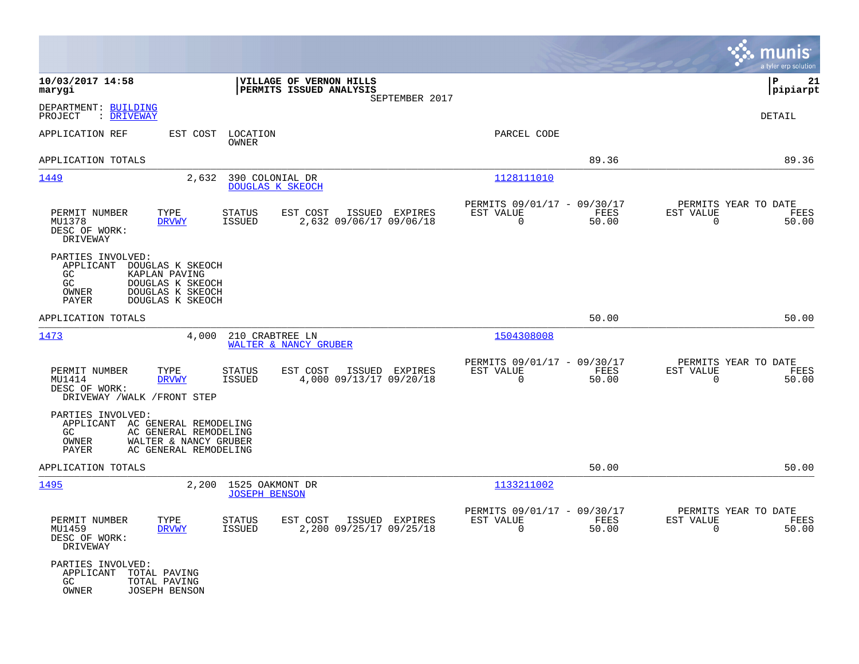|                                                                                                                                                               |                                                                                            |                                                                          | munis<br>a tyler erp solution                                     |
|---------------------------------------------------------------------------------------------------------------------------------------------------------------|--------------------------------------------------------------------------------------------|--------------------------------------------------------------------------|-------------------------------------------------------------------|
| 10/03/2017 14:58<br>marygi                                                                                                                                    | VILLAGE OF VERNON HILLS<br>PERMITS ISSUED ANALYSIS<br>SEPTEMBER 2017                       |                                                                          | l P<br>21<br>$ $ pipiarpt                                         |
| DEPARTMENT: BUILDING<br>: DRIVEWAY<br>PROJECT                                                                                                                 |                                                                                            |                                                                          | <b>DETAIL</b>                                                     |
| APPLICATION REF<br>EST COST                                                                                                                                   | LOCATION<br><b>OWNER</b>                                                                   | PARCEL CODE                                                              |                                                                   |
| APPLICATION TOTALS                                                                                                                                            |                                                                                            | 89.36                                                                    | 89.36                                                             |
| 1449<br>2,632                                                                                                                                                 | 390 COLONIAL DR<br>DOUGLAS K SKEOCH                                                        | 1128111010                                                               |                                                                   |
| PERMIT NUMBER<br>TYPE<br><b>DRVWY</b><br>MU1378<br>DESC OF WORK:<br><b>DRIVEWAY</b>                                                                           | STATUS<br>EST COST<br>ISSUED EXPIRES<br><b>ISSUED</b><br>2,632 09/06/17 09/06/18           | PERMITS 09/01/17 - 09/30/17<br>EST VALUE<br>FEES<br>0<br>50.00           | PERMITS YEAR TO DATE<br>EST VALUE<br>FEES<br>$\mathbf 0$<br>50.00 |
| PARTIES INVOLVED:<br>APPLICANT<br>DOUGLAS K SKEOCH<br>GC<br>KAPLAN PAVING<br>GC<br>DOUGLAS K SKEOCH<br>OWNER<br>DOUGLAS K SKEOCH<br>PAYER<br>DOUGLAS K SKEOCH |                                                                                            |                                                                          |                                                                   |
| APPLICATION TOTALS                                                                                                                                            |                                                                                            | 50.00                                                                    | 50.00                                                             |
| 1473<br>4,000                                                                                                                                                 | 210 CRABTREE LN<br>WALTER & NANCY GRUBER                                                   | 1504308008                                                               |                                                                   |
| PERMIT NUMBER<br>TYPE<br>MU1414<br><b>DRVWY</b><br>DESC OF WORK:<br>DRIVEWAY /WALK / FRONT STEP                                                               | <b>STATUS</b><br>EST COST<br>ISSUED<br>EXPIRES<br>4,000 09/13/17 09/20/18<br><b>ISSUED</b> | PERMITS 09/01/17 - 09/30/17<br>EST VALUE<br>FEES<br>$\mathbf 0$<br>50.00 | PERMITS YEAR TO DATE<br>EST VALUE<br>FEES<br>$\mathbf 0$<br>50.00 |
| PARTIES INVOLVED:<br>APPLICANT AC GENERAL REMODELING<br>GC<br>AC GENERAL REMODELING<br>OWNER<br>WALTER & NANCY GRUBER<br>PAYER<br>AC GENERAL REMODELING       |                                                                                            |                                                                          |                                                                   |
| APPLICATION TOTALS                                                                                                                                            |                                                                                            | 50.00                                                                    | 50.00                                                             |
| 1495<br>2,200                                                                                                                                                 | 1525 OAKMONT DR<br><b>JOSEPH BENSON</b>                                                    | 1133211002                                                               |                                                                   |
| PERMIT NUMBER<br>TYPE<br>MU1459<br><b>DRVWY</b><br>DESC OF WORK:<br>DRIVEWAY                                                                                  | STATUS<br>EST COST<br>ISSUED EXPIRES<br>2,200 09/25/17 09/25/18<br><b>ISSUED</b>           | PERMITS 09/01/17 - 09/30/17<br>EST VALUE<br>FEES<br>$\mathbf 0$<br>50.00 | PERMITS YEAR TO DATE<br>EST VALUE<br>FEES<br>$\mathbf 0$<br>50.00 |
| PARTIES INVOLVED:<br>APPLICANT<br>TOTAL PAVING<br>GC<br>TOTAL PAVING<br>OWNER<br><b>JOSEPH BENSON</b>                                                         |                                                                                            |                                                                          |                                                                   |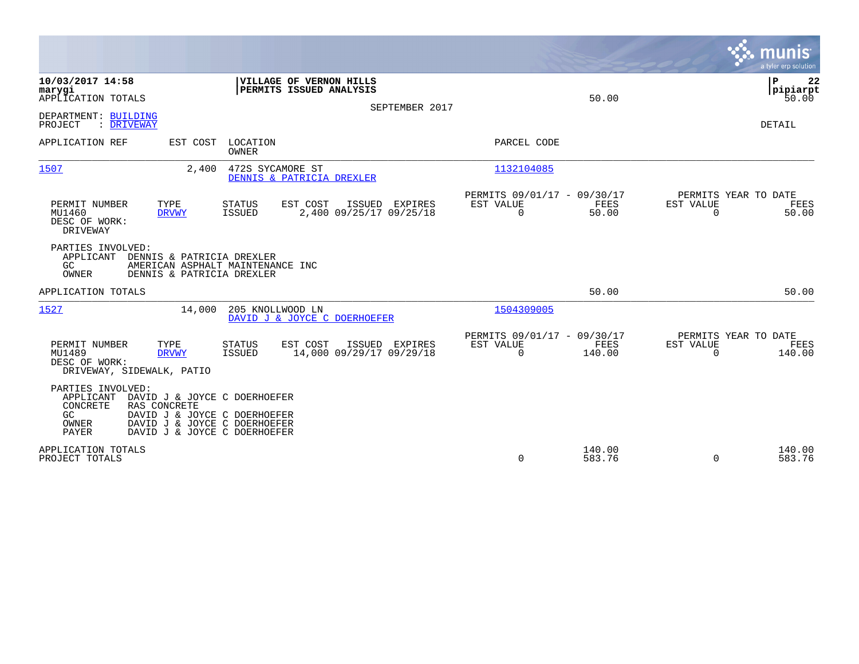|                                                                                                                                                                                                                            |                                                                                      |                                                                               | munis<br>a tyler erp solution                                     |
|----------------------------------------------------------------------------------------------------------------------------------------------------------------------------------------------------------------------------|--------------------------------------------------------------------------------------|-------------------------------------------------------------------------------|-------------------------------------------------------------------|
| 10/03/2017 14:58<br>marygi<br>APPLICATION TOTALS                                                                                                                                                                           | VILLAGE OF VERNON HILLS<br>PERMITS ISSUED ANALYSIS<br>SEPTEMBER 2017                 | 50.00                                                                         | P<br>22<br> pipiarpt<br>50.00                                     |
| DEPARTMENT: BUILDING<br>PROJECT<br>: DRIVEWAY                                                                                                                                                                              |                                                                                      |                                                                               | <b>DETAIL</b>                                                     |
| EST COST<br>APPLICATION REF                                                                                                                                                                                                | LOCATION<br>OWNER                                                                    | PARCEL CODE                                                                   |                                                                   |
| 1507<br>2,400                                                                                                                                                                                                              | 472S SYCAMORE ST<br>DENNIS & PATRICIA DREXLER                                        | 1132104085                                                                    |                                                                   |
| TYPE<br>PERMIT NUMBER<br>MU1460<br><b>DRVWY</b><br>DESC OF WORK:<br>DRIVEWAY                                                                                                                                               | EST COST<br>STATUS<br>ISSUED<br><b>EXPIRES</b><br>2,400 09/25/17 09/25/18<br>ISSUED  | PERMITS 09/01/17 - 09/30/17<br>EST VALUE<br>FEES<br>$\mathbf 0$<br>50.00      | PERMITS YEAR TO DATE<br>EST VALUE<br>FEES<br>$\mathbf 0$<br>50.00 |
| PARTIES INVOLVED:<br>APPLICANT<br>DENNIS & PATRICIA DREXLER<br>GC<br>AMERICAN ASPHALT MAINTENANCE INC<br>OWNER<br>DENNIS & PATRICIA DREXLER                                                                                |                                                                                      |                                                                               |                                                                   |
| APPLICATION TOTALS                                                                                                                                                                                                         |                                                                                      | 50.00                                                                         | 50.00                                                             |
| 1527<br>14,000                                                                                                                                                                                                             | 205 KNOLLWOOD LN<br>DAVID J & JOYCE C DOERHOEFER                                     | 1504309005                                                                    |                                                                   |
| PERMIT NUMBER<br>TYPE<br>MU1489<br><b>DRVWY</b><br>DESC OF WORK:<br>DRIVEWAY, SIDEWALK, PATIO                                                                                                                              | <b>STATUS</b><br>EST COST<br>ISSUED<br>EXPIRES<br>14,000 09/29/17 09/29/18<br>ISSUED | PERMITS 09/01/17 - 09/30/17<br><b>EST VALUE</b><br>FEES<br>$\Omega$<br>140.00 | PERMITS YEAR TO DATE<br>EST VALUE<br>FEES<br>140.00<br>$\Omega$   |
| PARTIES INVOLVED:<br>DAVID J & JOYCE C DOERHOEFER<br>APPLICANT<br><b>CONCRETE</b><br>RAS CONCRETE<br>DAVID J & JOYCE C DOERHOEFER<br>GC.<br>DAVID J & JOYCE C DOERHOEFER<br>OWNER<br>DAVID J & JOYCE C DOERHOEFER<br>PAYER |                                                                                      |                                                                               |                                                                   |
| APPLICATION TOTALS<br>PROJECT TOTALS                                                                                                                                                                                       |                                                                                      | 140.00<br>$\mathbf 0$<br>583.76                                               | 140.00<br>583.76<br>0                                             |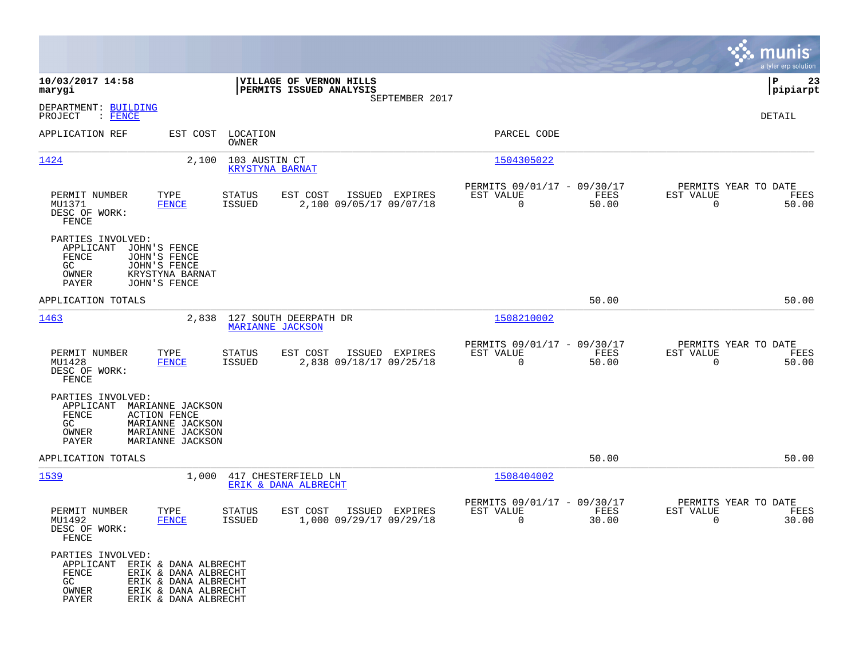|                                                                 |                                                                                                                      |                                         |                                                    |                |                                                            |               |                                                  | munis<br>a tyler erp solution |
|-----------------------------------------------------------------|----------------------------------------------------------------------------------------------------------------------|-----------------------------------------|----------------------------------------------------|----------------|------------------------------------------------------------|---------------|--------------------------------------------------|-------------------------------|
| 10/03/2017 14:58<br>marygi                                      |                                                                                                                      |                                         | VILLAGE OF VERNON HILLS<br>PERMITS ISSUED ANALYSIS |                |                                                            |               |                                                  | 23<br>  P<br> pipiarpt        |
| DEPARTMENT: BUILDING<br>: FENCE<br>PROJECT                      |                                                                                                                      |                                         |                                                    | SEPTEMBER 2017 |                                                            |               |                                                  | DETAIL                        |
| APPLICATION REF                                                 | EST COST                                                                                                             | LOCATION<br><b>OWNER</b>                |                                                    |                | PARCEL CODE                                                |               |                                                  |                               |
| 1424                                                            | 2,100                                                                                                                | 103 AUSTIN CT<br><b>KRYSTYNA BARNAT</b> |                                                    |                | 1504305022                                                 |               |                                                  |                               |
| PERMIT NUMBER<br>MU1371<br>DESC OF WORK:<br>FENCE               | TYPE<br><b>FENCE</b>                                                                                                 | STATUS<br><b>ISSUED</b>                 | EST COST<br>2,100 09/05/17 09/07/18                | ISSUED EXPIRES | PERMITS 09/01/17 - 09/30/17<br>EST VALUE<br>$\overline{0}$ | FEES<br>50.00 | PERMITS YEAR TO DATE<br>EST VALUE<br>$\mathbf 0$ | FEES<br>50.00                 |
| PARTIES INVOLVED:<br>APPLICANT<br>FENCE<br>GC<br>OWNER<br>PAYER | JOHN'S FENCE<br>JOHN'S FENCE<br>JOHN'S FENCE<br>KRYSTYNA BARNAT<br>JOHN'S FENCE                                      |                                         |                                                    |                |                                                            |               |                                                  |                               |
| APPLICATION TOTALS                                              |                                                                                                                      |                                         |                                                    |                |                                                            | 50.00         |                                                  | 50.00                         |
| 1463                                                            | 2,838                                                                                                                | <b>MARIANNE JACKSON</b>                 | 127 SOUTH DEERPATH DR                              |                | 1508210002                                                 |               |                                                  |                               |
| PERMIT NUMBER<br>MU1428<br>DESC OF WORK:<br>FENCE               | TYPE<br><b>FENCE</b>                                                                                                 | STATUS<br><b>ISSUED</b>                 | EST COST<br>2,838 09/18/17 09/25/18                | ISSUED EXPIRES | PERMITS 09/01/17 - 09/30/17<br>EST VALUE<br>$\mathbf 0$    | FEES<br>50.00 | PERMITS YEAR TO DATE<br>EST VALUE<br>$\mathbf 0$ | FEES<br>50.00                 |
| PARTIES INVOLVED:<br>APPLICANT<br>FENCE<br>GC<br>OWNER<br>PAYER | MARIANNE JACKSON<br><b>ACTION FENCE</b><br>MARIANNE JACKSON<br>MARIANNE JACKSON<br>MARIANNE JACKSON                  |                                         |                                                    |                |                                                            |               |                                                  |                               |
| APPLICATION TOTALS                                              |                                                                                                                      |                                         |                                                    |                |                                                            | 50.00         |                                                  | 50.00                         |
| 1539                                                            | 1,000                                                                                                                |                                         | 417 CHESTERFIELD LN<br>ERIK & DANA ALBRECHT        |                | 1508404002                                                 |               |                                                  |                               |
| PERMIT NUMBER<br>MU1492<br>DESC OF WORK:<br>FENCE               | TYPE<br><b>FENCE</b>                                                                                                 | STATUS<br>ISSUED                        | EST COST<br>1,000 09/29/17 09/29/18                | ISSUED EXPIRES | PERMITS 09/01/17 - 09/30/17<br>EST VALUE<br>0              | FEES<br>30.00 | PERMITS YEAR TO DATE<br>EST VALUE<br>0           | FEES<br>30.00                 |
| PARTIES INVOLVED:<br>APPLICANT<br>FENCE<br>GC<br>OWNER<br>PAYER | ERIK & DANA ALBRECHT<br>ERIK & DANA ALBRECHT<br>ERIK & DANA ALBRECHT<br>ERIK & DANA ALBRECHT<br>ERIK & DANA ALBRECHT |                                         |                                                    |                |                                                            |               |                                                  |                               |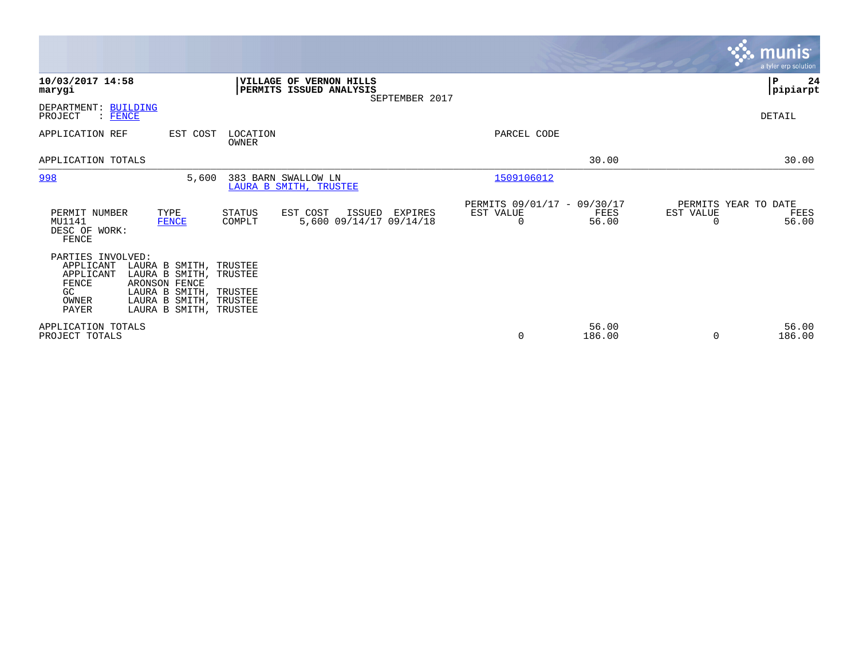|                                                                                     |                                                                                                                                                 |                   |                                                    |                |                                               |                 |                                               | <b>munis</b><br>a tyler erp solution |
|-------------------------------------------------------------------------------------|-------------------------------------------------------------------------------------------------------------------------------------------------|-------------------|----------------------------------------------------|----------------|-----------------------------------------------|-----------------|-----------------------------------------------|--------------------------------------|
| 10/03/2017 14:58<br>marygi                                                          |                                                                                                                                                 |                   | VILLAGE OF VERNON HILLS<br>PERMITS ISSUED ANALYSIS | SEPTEMBER 2017 |                                               |                 |                                               | P<br>24<br> pipiarpt                 |
| DEPARTMENT: BUILDING<br>PROJECT<br>: FENCE                                          |                                                                                                                                                 |                   |                                                    |                |                                               |                 |                                               | DETAIL                               |
| APPLICATION REF                                                                     | EST COST                                                                                                                                        | LOCATION<br>OWNER |                                                    |                | PARCEL CODE                                   |                 |                                               |                                      |
| APPLICATION TOTALS                                                                  |                                                                                                                                                 |                   |                                                    |                |                                               | 30.00           |                                               | 30.00                                |
| 998                                                                                 | 5,600                                                                                                                                           |                   | 383 BARN SWALLOW LN<br>LAURA B SMITH, TRUSTEE      |                | 1509106012                                    |                 |                                               |                                      |
| PERMIT NUMBER<br>MU1141<br>DESC OF WORK:<br>FENCE                                   | TYPE<br><b>FENCE</b>                                                                                                                            | STATUS<br>COMPLT  | EST COST<br>ISSUED<br>5,600 09/14/17 09/14/18      | EXPIRES        | PERMITS 09/01/17 - 09/30/17<br>EST VALUE<br>0 | FEES<br>56.00   | PERMITS YEAR TO DATE<br>EST VALUE<br>$\Omega$ | FEES<br>56.00                        |
| PARTIES INVOLVED:<br>APPLICANT<br>APPLICANT<br>FENCE<br>GC<br>OWNER<br><b>PAYER</b> | LAURA B SMITH, TRUSTEE<br>LAURA B SMITH, TRUSTEE<br>ARONSON FENCE<br>LAURA B SMITH, TRUSTEE<br>LAURA B SMITH, TRUSTEE<br>LAURA B SMITH, TRUSTEE |                   |                                                    |                |                                               |                 |                                               |                                      |
| APPLICATION TOTALS<br>PROJECT TOTALS                                                |                                                                                                                                                 |                   |                                                    |                | $\mathbf 0$                                   | 56.00<br>186.00 | 0                                             | 56.00<br>186.00                      |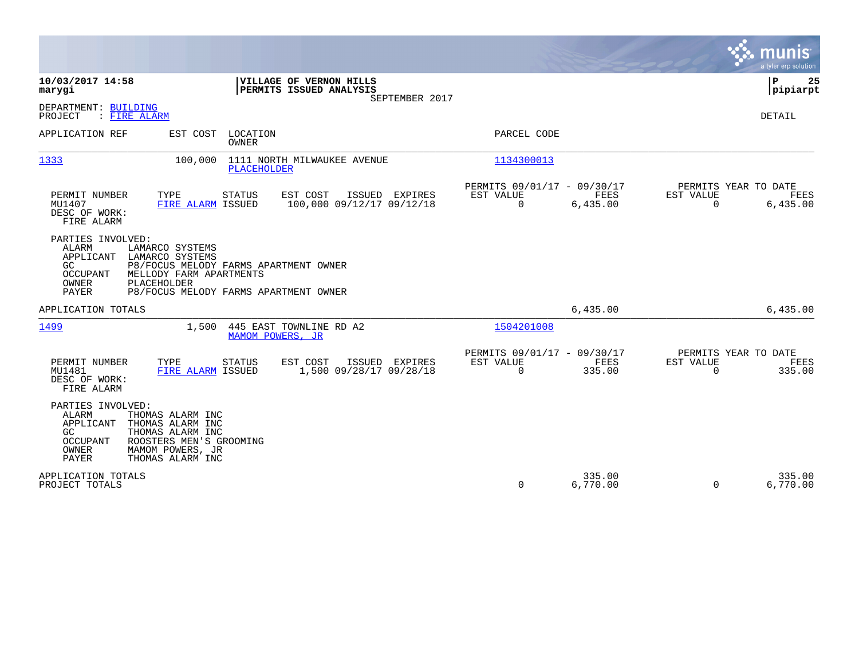|                                                                                                                                                                                                                                                                  |                                             |                                                      |                    |                       | munis<br>a tyler erp solution            |
|------------------------------------------------------------------------------------------------------------------------------------------------------------------------------------------------------------------------------------------------------------------|---------------------------------------------|------------------------------------------------------|--------------------|-----------------------|------------------------------------------|
| 10/03/2017 14:58<br>VILLAGE OF VERNON HILLS<br>PERMITS ISSUED ANALYSIS<br>marygi                                                                                                                                                                                 | SEPTEMBER 2017                              |                                                      |                    |                       | ΙP<br>25<br> pipiarpt                    |
| DEPARTMENT: BUILDING<br>: FIRE ALARM<br>PROJECT                                                                                                                                                                                                                  |                                             |                                                      |                    |                       | <b>DETAIL</b>                            |
| APPLICATION REF<br>EST COST<br>LOCATION<br><b>OWNER</b>                                                                                                                                                                                                          |                                             | PARCEL CODE                                          |                    |                       |                                          |
| 1333<br>1111 NORTH MILWAUKEE AVENUE<br>100,000<br><b>PLACEHOLDER</b>                                                                                                                                                                                             |                                             | 1134300013                                           |                    |                       |                                          |
| TYPE<br>EST COST<br>PERMIT NUMBER<br><b>STATUS</b><br>MU1407<br>FIRE ALARM ISSUED<br>DESC OF WORK:<br>FIRE ALARM                                                                                                                                                 | ISSUED EXPIRES<br>100,000 09/12/17 09/12/18 | PERMITS 09/01/17 - 09/30/17<br>EST VALUE<br>$\Omega$ | FEES<br>6,435.00   | EST VALUE<br>$\Omega$ | PERMITS YEAR TO DATE<br>FEES<br>6,435.00 |
| PARTIES INVOLVED:<br><b>ALARM</b><br>LAMARCO SYSTEMS<br>APPLICANT LAMARCO SYSTEMS<br>GC.<br>P8/FOCUS MELODY FARMS APARTMENT OWNER<br><b>OCCUPANT</b><br>MELLODY FARM APARTMENTS<br>OWNER<br>PLACEHOLDER<br><b>PAYER</b><br>P8/FOCUS MELODY FARMS APARTMENT OWNER |                                             |                                                      |                    |                       |                                          |
| APPLICATION TOTALS                                                                                                                                                                                                                                               |                                             |                                                      | 6,435.00           |                       | 6,435.00                                 |
| 1499<br>1,500<br>445 EAST TOWNLINE RD A2<br>MAMOM POWERS, JR                                                                                                                                                                                                     |                                             | 1504201008                                           |                    |                       |                                          |
| PERMIT NUMBER<br>TYPE<br><b>STATUS</b><br>EST COST<br>MU1481<br>FIRE ALARM ISSUED<br>DESC OF WORK:<br>FIRE ALARM                                                                                                                                                 | ISSUED EXPIRES<br>1,500 09/28/17 09/28/18   | PERMITS 09/01/17 - 09/30/17<br>EST VALUE<br>$\Omega$ | FEES<br>335.00     | EST VALUE<br>$\Omega$ | PERMITS YEAR TO DATE<br>FEES<br>335.00   |
| PARTIES INVOLVED:<br>ALARM<br>THOMAS ALARM INC<br>APPLICANT<br>THOMAS ALARM INC<br>GC.<br>THOMAS ALARM INC<br>ROOSTERS MEN'S GROOMING<br>OCCUPANT<br>OWNER<br>MAMOM POWERS, JR<br><b>PAYER</b><br>THOMAS ALARM INC                                               |                                             |                                                      |                    |                       |                                          |
| APPLICATION TOTALS<br>PROJECT TOTALS                                                                                                                                                                                                                             |                                             | 0                                                    | 335.00<br>6,770.00 | 0                     | 335.00<br>6,770.00                       |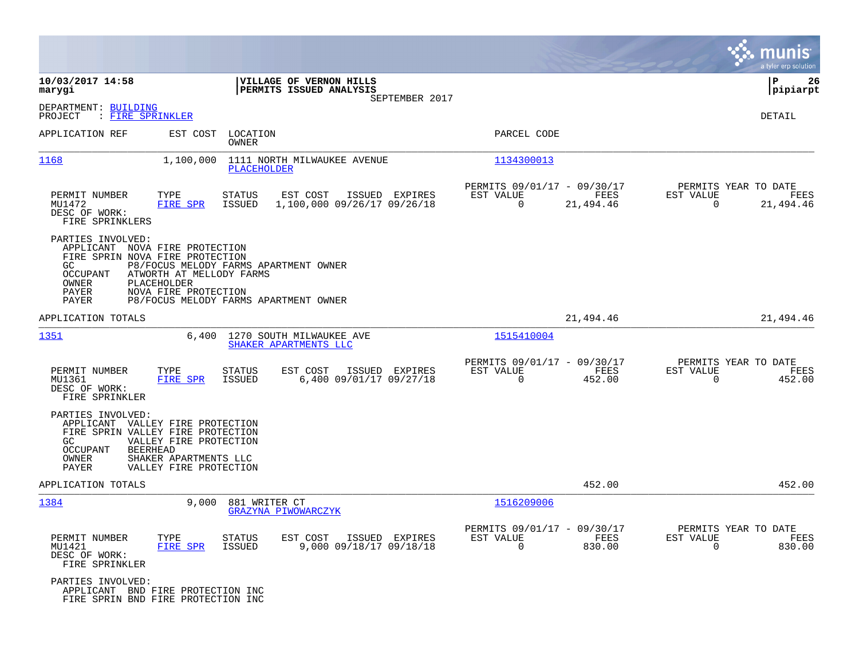|                                                                                                                                                                                                                                       |                                                                                      |                                                                              | munis<br>a tyler erp solution                                         |
|---------------------------------------------------------------------------------------------------------------------------------------------------------------------------------------------------------------------------------------|--------------------------------------------------------------------------------------|------------------------------------------------------------------------------|-----------------------------------------------------------------------|
| 10/03/2017 14:58<br>marygi                                                                                                                                                                                                            | VILLAGE OF VERNON HILLS<br>PERMITS ISSUED ANALYSIS                                   |                                                                              | l P<br>26<br> pipiarpt                                                |
| DEPARTMENT: BUILDING<br>: FIRE SPRINKLER<br>PROJECT                                                                                                                                                                                   | SEPTEMBER 2017                                                                       |                                                                              | DETAIL                                                                |
| APPLICATION REF<br>EST COST                                                                                                                                                                                                           | LOCATION<br>OWNER                                                                    | PARCEL CODE                                                                  |                                                                       |
| 1168<br>1,100,000                                                                                                                                                                                                                     | 1111 NORTH MILWAUKEE AVENUE<br><b>PLACEHOLDER</b>                                    | 1134300013                                                                   |                                                                       |
| PERMIT NUMBER<br>TYPE<br>MU1472<br>FIRE SPR<br>DESC OF WORK:<br>FIRE SPRINKLERS                                                                                                                                                       | STATUS<br>EST COST<br>ISSUED EXPIRES<br><b>ISSUED</b><br>1,100,000 09/26/17 09/26/18 | PERMITS 09/01/17 - 09/30/17<br>EST VALUE<br>FEES<br>21,494.46<br>$\mathbf 0$ | PERMITS YEAR TO DATE<br>EST VALUE<br>FEES<br>$\mathbf 0$<br>21,494.46 |
| PARTIES INVOLVED:<br>APPLICANT NOVA FIRE PROTECTION<br>FIRE SPRIN NOVA FIRE PROTECTION<br>GC.<br>OCCUPANT<br>ATWORTH AT MELLODY FARMS<br>OWNER<br>PLACEHOLDER<br>PAYER<br>NOVA FIRE PROTECTION<br>PAYER                               | P8/FOCUS MELODY FARMS APARTMENT OWNER<br>P8/FOCUS MELODY FARMS APARTMENT OWNER       |                                                                              |                                                                       |
| APPLICATION TOTALS                                                                                                                                                                                                                    |                                                                                      | 21,494.46                                                                    | 21,494.46                                                             |
| 1351<br>6.400                                                                                                                                                                                                                         | 1270 SOUTH MILWAUKEE AVE<br>SHAKER APARTMENTS LLC                                    | 1515410004                                                                   |                                                                       |
| PERMIT NUMBER<br>TYPE<br>MU1361<br>FIRE SPR<br>DESC OF WORK:<br>FIRE SPRINKLER                                                                                                                                                        | STATUS<br>EST COST<br>ISSUED EXPIRES<br>ISSUED<br>6,400 09/01/17 09/27/18            | PERMITS 09/01/17 - 09/30/17<br>EST VALUE<br>FEES<br>$\mathbf 0$<br>452.00    | PERMITS YEAR TO DATE<br>EST VALUE<br>FEES<br>$\Omega$<br>452.00       |
| PARTIES INVOLVED:<br>APPLICANT VALLEY FIRE PROTECTION<br>FIRE SPRIN VALLEY FIRE PROTECTION<br>GC<br>VALLEY FIRE PROTECTION<br><b>OCCUPANT</b><br><b>BEERHEAD</b><br>OWNER<br>SHAKER APARTMENTS LLC<br>PAYER<br>VALLEY FIRE PROTECTION |                                                                                      |                                                                              |                                                                       |
| APPLICATION TOTALS                                                                                                                                                                                                                    |                                                                                      | 452.00                                                                       | 452.00                                                                |
| 1384<br>9,000                                                                                                                                                                                                                         | 881 WRITER CT<br>GRAZYNA PIWOWARCZYK                                                 | 1516209006                                                                   |                                                                       |
| PERMIT NUMBER<br>TYPE<br>MU1421<br>FIRE SPR<br>DESC OF WORK:<br>FIRE SPRINKLER                                                                                                                                                        | STATUS<br>EST COST<br>ISSUED EXPIRES<br>ISSUED<br>9,000 09/18/17 09/18/18            | PERMITS 09/01/17 - 09/30/17<br>EST VALUE<br>FEES<br>$\mathbf 0$<br>830.00    | PERMITS YEAR TO DATE<br>EST VALUE<br>FEES<br>$\Omega$<br>830.00       |
| PARTIES INVOLVED:<br>APPLICANT BND FIRE PROTECTION INC<br>FIRE SPRIN BND FIRE PROTECTION INC                                                                                                                                          |                                                                                      |                                                                              |                                                                       |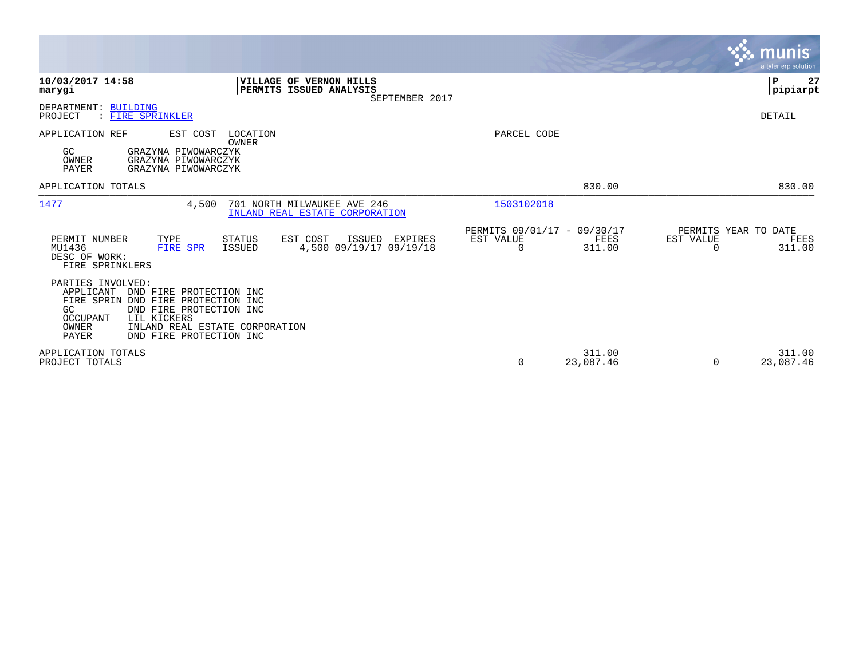|                                                                                                                                                                                                                                                    |                                                      |                     |                                               | munis<br>a tyler erp solution |
|----------------------------------------------------------------------------------------------------------------------------------------------------------------------------------------------------------------------------------------------------|------------------------------------------------------|---------------------|-----------------------------------------------|-------------------------------|
| 10/03/2017 14:58<br>VILLAGE OF VERNON HILLS<br>PERMITS ISSUED ANALYSIS<br>marygi<br>SEPTEMBER 2017                                                                                                                                                 |                                                      |                     |                                               | P<br>27<br> pipiarpt          |
| DEPARTMENT: BUILDING<br>: FIRE SPRINKLER<br>PROJECT                                                                                                                                                                                                |                                                      |                     |                                               | DETAIL                        |
| APPLICATION REF<br>LOCATION<br>EST COST<br>OWNER<br>GC<br>GRAZYNA PIWOWARCZYK<br>OWNER<br>GRAZYNA PIWOWARCZYK<br><b>PAYER</b><br>GRAZYNA PIWOWARCZYK                                                                                               | PARCEL CODE                                          |                     |                                               |                               |
| APPLICATION TOTALS                                                                                                                                                                                                                                 |                                                      | 830.00              |                                               | 830.00                        |
| 1477<br>4,500<br>701 NORTH MILWAUKEE AVE 246<br>INLAND REAL ESTATE CORPORATION                                                                                                                                                                     | 1503102018                                           |                     |                                               |                               |
| <b>STATUS</b><br>EST COST<br>PERMIT NUMBER<br>TYPE<br>ISSUED<br>EXPIRES<br>MU1436<br>4,500 09/19/17 09/19/18<br>FIRE SPR<br><b>ISSUED</b><br>DESC OF WORK:<br>FIRE SPRINKLERS                                                                      | PERMITS 09/01/17 - 09/30/17<br>EST VALUE<br>$\Omega$ | FEES<br>311.00      | PERMITS YEAR TO DATE<br>EST VALUE<br>$\Omega$ | FEES<br>311.00                |
| PARTIES INVOLVED:<br>APPLICANT<br>DND FIRE PROTECTION INC<br>FIRE SPRIN DND FIRE PROTECTION INC<br>DND FIRE PROTECTION INC<br>GC.<br>OCCUPANT<br>LIL KICKERS<br>OWNER<br>INLAND REAL ESTATE CORPORATION<br><b>PAYER</b><br>DND FIRE PROTECTION INC |                                                      |                     |                                               |                               |
| APPLICATION TOTALS<br>PROJECT TOTALS                                                                                                                                                                                                               | 0                                                    | 311.00<br>23,087.46 | $\Omega$                                      | 311.00<br>23,087.46           |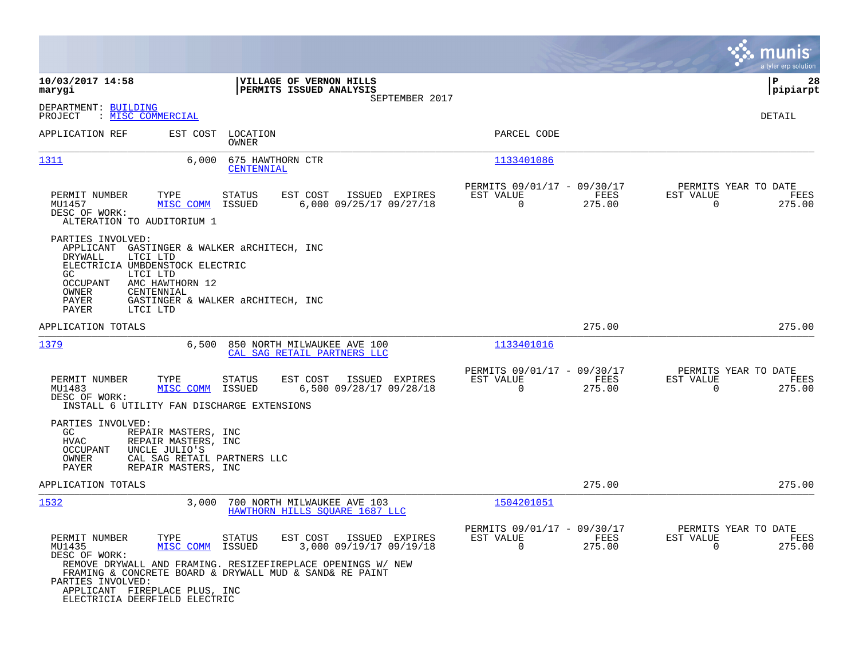|                                                                                                                                                                                                                                                                               |                                                                                                                                                 |                                                      |                            | munis<br>a tyler erp solution                                   |
|-------------------------------------------------------------------------------------------------------------------------------------------------------------------------------------------------------------------------------------------------------------------------------|-------------------------------------------------------------------------------------------------------------------------------------------------|------------------------------------------------------|----------------------------|-----------------------------------------------------------------|
| 10/03/2017 14:58<br>marygi                                                                                                                                                                                                                                                    | VILLAGE OF VERNON HILLS<br>PERMITS ISSUED ANALYSIS<br>SEPTEMBER 2017                                                                            |                                                      |                            | 28<br>IΡ<br> pipiarpt                                           |
| DEPARTMENT: BUILDING<br>: MISC COMMERCIAL<br>PROJECT                                                                                                                                                                                                                          |                                                                                                                                                 |                                                      |                            | <b>DETAIL</b>                                                   |
| APPLICATION REF<br>EST COST                                                                                                                                                                                                                                                   | LOCATION<br>OWNER                                                                                                                               | PARCEL CODE                                          |                            |                                                                 |
| 1311<br>6,000                                                                                                                                                                                                                                                                 | 675 HAWTHORN CTR<br>CENTENNIAL                                                                                                                  | 1133401086                                           |                            |                                                                 |
| TYPE<br>PERMIT NUMBER<br>MISC COMM<br>MU1457<br>DESC OF WORK:<br>ALTERATION TO AUDITORIUM 1                                                                                                                                                                                   | <b>STATUS</b><br>EST COST<br>ISSUED EXPIRES<br>6,000 09/25/17 09/27/18<br>ISSUED                                                                | PERMITS 09/01/17 - 09/30/17<br>EST VALUE<br>$\Omega$ | FEES<br>275.00             | PERMITS YEAR TO DATE<br>EST VALUE<br>FEES<br>$\Omega$<br>275.00 |
| PARTIES INVOLVED:<br>APPLICANT GASTINGER & WALKER ARCHITECH, INC<br><b>DRYWALL</b><br>LTCI LTD<br>ELECTRICIA UMBDENSTOCK ELECTRIC<br>LTCI LTD<br>GC.<br>OCCUPANT<br>AMC HAWTHORN 12<br>OWNER<br>CENTENNIAL<br>PAYER<br>GASTINGER & WALKER ARCHITECH, INC<br>PAYER<br>LTCI LTD |                                                                                                                                                 |                                                      |                            |                                                                 |
| APPLICATION TOTALS                                                                                                                                                                                                                                                            |                                                                                                                                                 |                                                      | 275.00                     | 275.00                                                          |
| 1379<br>6,500                                                                                                                                                                                                                                                                 | 850 NORTH MILWAUKEE AVE 100<br>CAL SAG RETAIL PARTNERS LLC                                                                                      | 1133401016                                           |                            |                                                                 |
| PERMIT NUMBER<br>TYPE<br>MU1483<br>MISC COMM<br>DESC OF WORK:<br>INSTALL 6 UTILITY FAN DISCHARGE EXTENSIONS                                                                                                                                                                   | EST COST<br>ISSUED EXPIRES<br>STATUS<br>6,500 09/28/17 09/28/18<br>ISSUED                                                                       | PERMITS 09/01/17 - 09/30/17<br>EST VALUE<br>$\Omega$ | FEES<br>275.00             | PERMITS YEAR TO DATE<br>EST VALUE<br>FEES<br>$\Omega$<br>275.00 |
| PARTIES INVOLVED:<br>GC<br>REPAIR MASTERS, INC<br>HVAC<br>REPAIR MASTERS, INC<br>UNCLE JULIO'S<br>OCCUPANT<br>OWNER<br>CAL SAG RETAIL PARTNERS LLC<br>PAYER<br>REPAIR MASTERS, INC                                                                                            |                                                                                                                                                 |                                                      |                            |                                                                 |
| APPLICATION TOTALS                                                                                                                                                                                                                                                            |                                                                                                                                                 |                                                      | 275.00                     | 275.00                                                          |
| 1532<br>3,000                                                                                                                                                                                                                                                                 | 700 NORTH MILWAUKEE AVE 103<br>HAWTHORN HILLS SOUARE 1687 LLC                                                                                   | 1504201051                                           |                            |                                                                 |
| PERMIT NUMBER<br>TYPE<br>MISC COMM<br>MU1435<br>DESC OF WORK:<br>FRAMING & CONCRETE BOARD & DRYWALL MUD & SAND& RE PAINT<br>PARTIES INVOLVED:<br>APPLICANT FIREPLACE PLUS, INC<br>ELECTRICIA DEERFIELD ELECTRIC                                                               | EST COST<br><b>STATUS</b><br>ISSUED EXPIRES<br>3,000 09/19/17 09/19/18<br>ISSUED<br>REMOVE DRYWALL AND FRAMING. RESIZEFIREPLACE OPENINGS W/ NEW | PERMITS 09/01/17 -<br>EST VALUE<br>$\Omega$          | 09/30/17<br>FEES<br>275.00 | PERMITS YEAR TO DATE<br>EST VALUE<br>FEES<br>275.00<br>0        |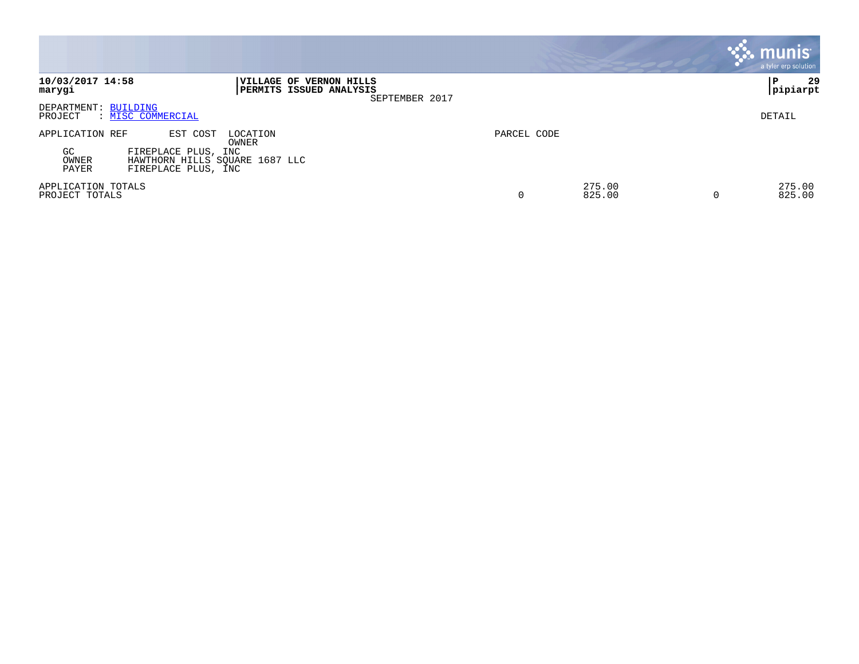|                                                                                                                                      |                                                                      |             |                  | munis <sup>®</sup><br>a tyler erp solution |
|--------------------------------------------------------------------------------------------------------------------------------------|----------------------------------------------------------------------|-------------|------------------|--------------------------------------------|
| 10/03/2017 14:58<br>marygi                                                                                                           | VILLAGE OF VERNON HILLS<br>PERMITS ISSUED ANALYSIS<br>SEPTEMBER 2017 |             |                  | 29<br>P<br> pipiarpt                       |
| DEPARTMENT: BUILDING<br>: MISC COMMERCIAL<br>PROJECT                                                                                 |                                                                      |             |                  | DETAIL                                     |
| APPLICATION REF<br>EST COST<br>GC.<br>FIREPLACE PLUS, INC<br>HAWTHORN HILLS SQUARE 1687 LLC<br>OWNER<br>FIREPLACE PLUS, INC<br>PAYER | LOCATION<br>OWNER                                                    | PARCEL CODE |                  |                                            |
| APPLICATION TOTALS<br>PROJECT TOTALS                                                                                                 |                                                                      | $\Omega$    | 275.00<br>825.00 | 275.00<br>825.00                           |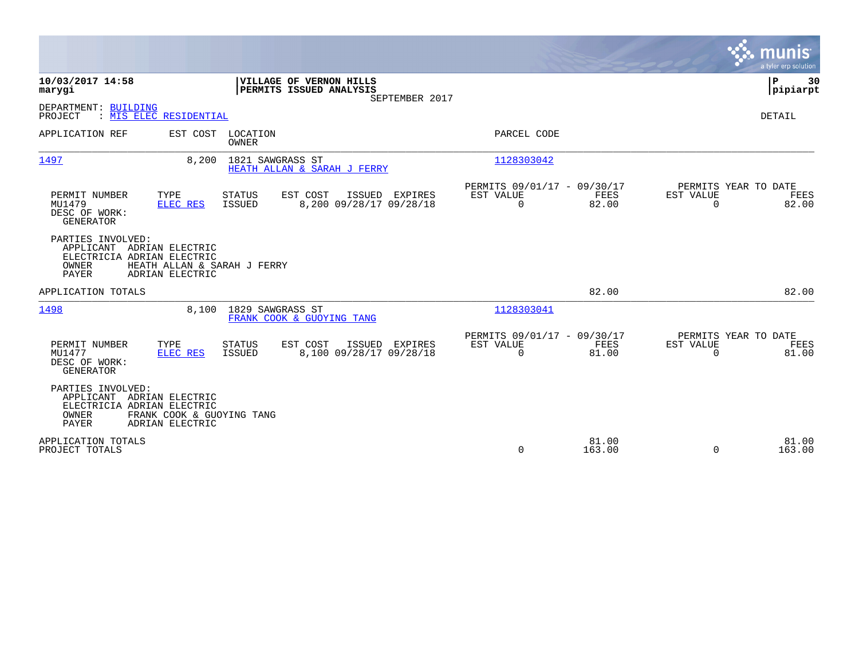|                                                                                                       |                                              |                                |                                                       |                |                                                      |                 |                          | munis<br>a tyler erp solution         |
|-------------------------------------------------------------------------------------------------------|----------------------------------------------|--------------------------------|-------------------------------------------------------|----------------|------------------------------------------------------|-----------------|--------------------------|---------------------------------------|
| 10/03/2017 14:58<br>marygi                                                                            |                                              |                                | VILLAGE OF VERNON HILLS<br>PERMITS ISSUED ANALYSIS    | SEPTEMBER 2017 |                                                      |                 |                          | P<br>30<br> pipiarpt                  |
| DEPARTMENT: BUILDING<br>PROJECT                                                                       | : MIS ELEC RESIDENTIAL                       |                                |                                                       |                |                                                      |                 |                          | DETAIL                                |
| APPLICATION REF                                                                                       | EST COST                                     | LOCATION<br><b>OWNER</b>       |                                                       |                | PARCEL CODE                                          |                 |                          |                                       |
| 1497                                                                                                  | 8,200                                        | 1821 SAWGRASS ST               | HEATH ALLAN & SARAH J FERRY                           |                | 1128303042                                           |                 |                          |                                       |
| PERMIT NUMBER<br>MU1479<br>DESC OF WORK:<br><b>GENERATOR</b>                                          | TYPE<br><b>ELEC RES</b>                      | <b>STATUS</b><br><b>ISSUED</b> | EST COST<br>ISSUED<br>8,200 09/28/17 09/28/18         | EXPIRES        | PERMITS 09/01/17 - 09/30/17<br>EST VALUE<br>$\Omega$ | FEES<br>82.00   | EST VALUE<br>$\Omega$    | PERMITS YEAR TO DATE<br>FEES<br>82.00 |
| PARTIES INVOLVED:<br>APPLICANT ADRIAN ELECTRIC<br>ELECTRICIA ADRIAN ELECTRIC<br>OWNER<br><b>PAYER</b> | ADRIAN ELECTRIC                              | HEATH ALLAN & SARAH J FERRY    |                                                       |                |                                                      |                 |                          |                                       |
| APPLICATION TOTALS                                                                                    |                                              |                                |                                                       |                |                                                      | 82.00           |                          | 82.00                                 |
| 1498                                                                                                  | 8,100                                        | 1829 SAWGRASS ST               | FRANK COOK & GUOYING TANG                             |                | 1128303041                                           |                 |                          |                                       |
| PERMIT NUMBER<br>MU1477<br>DESC OF WORK:<br><b>GENERATOR</b>                                          | TYPE<br><b>ELEC RES</b>                      | <b>STATUS</b><br><b>ISSUED</b> | EST COST<br>ISSUED EXPIRES<br>8,100 09/28/17 09/28/18 |                | PERMITS 09/01/17 - 09/30/17<br>EST VALUE<br>0        | FEES<br>81.00   | EST VALUE<br>$\mathbf 0$ | PERMITS YEAR TO DATE<br>FEES<br>81.00 |
| PARTIES INVOLVED:<br>APPLICANT ADRIAN ELECTRIC<br>ELECTRICIA ADRIAN ELECTRIC<br>OWNER<br><b>PAYER</b> | FRANK COOK & GUOYING TANG<br>ADRIAN ELECTRIC |                                |                                                       |                |                                                      |                 |                          |                                       |
| APPLICATION TOTALS<br>PROJECT TOTALS                                                                  |                                              |                                |                                                       |                | 0                                                    | 81.00<br>163.00 | 0                        | 81.00<br>163.00                       |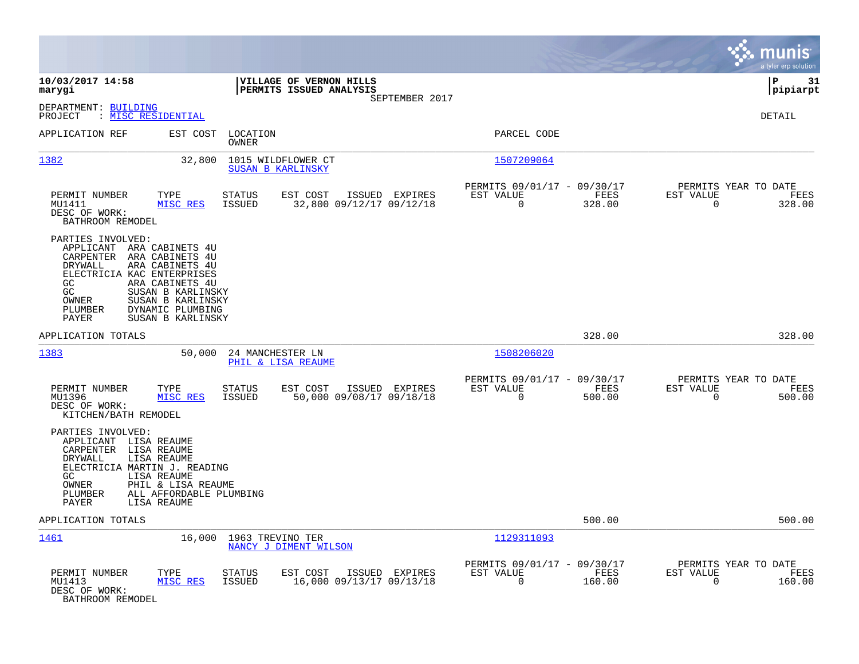|                                                                                                                                                    |                                                                                                                                                             |                                         |                                                    |                |                                                         |                |                                                  | munis<br>a tyler erp solution |
|----------------------------------------------------------------------------------------------------------------------------------------------------|-------------------------------------------------------------------------------------------------------------------------------------------------------------|-----------------------------------------|----------------------------------------------------|----------------|---------------------------------------------------------|----------------|--------------------------------------------------|-------------------------------|
| 10/03/2017 14:58<br>marygi                                                                                                                         |                                                                                                                                                             |                                         | VILLAGE OF VERNON HILLS<br>PERMITS ISSUED ANALYSIS |                |                                                         |                |                                                  | ΙP<br>31<br> pipiarpt         |
| DEPARTMENT: BUILDING<br>: <u>MISC RESIDENTIAL</u><br>PROJECT                                                                                       |                                                                                                                                                             |                                         |                                                    | SEPTEMBER 2017 |                                                         |                |                                                  | <b>DETAIL</b>                 |
| APPLICATION REF                                                                                                                                    | EST COST                                                                                                                                                    | LOCATION<br>OWNER                       |                                                    |                | PARCEL CODE                                             |                |                                                  |                               |
| 1382                                                                                                                                               | 32,800                                                                                                                                                      | 1015 WILDFLOWER CT<br>SUSAN B KARLINSKY |                                                    |                | 1507209064                                              |                |                                                  |                               |
| PERMIT NUMBER<br>MU1411<br>DESC OF WORK:<br>BATHROOM REMODEL                                                                                       | TYPE<br>MISC RES                                                                                                                                            | <b>STATUS</b><br><b>ISSUED</b>          | EST COST<br>32,800 09/12/17 09/12/18               | ISSUED EXPIRES | PERMITS 09/01/17 - 09/30/17<br>EST VALUE<br>$\Omega$    | FEES<br>328.00 | PERMITS YEAR TO DATE<br>EST VALUE<br>$\Omega$    | FEES<br>328.00                |
| PARTIES INVOLVED:<br>APPLICANT<br>CARPENTER<br>DRYWALL<br>ELECTRICIA KAC ENTERPRISES<br>GC<br>GC<br>OWNER<br>PLUMBER<br>PAYER                      | ARA CABINETS 4U<br>ARA CABINETS 4U<br>ARA CABINETS 4U<br>ARA CABINETS 4U<br>SUSAN B KARLINSKY<br>SUSAN B KARLINSKY<br>DYNAMIC PLUMBING<br>SUSAN B KARLINSKY |                                         |                                                    |                |                                                         |                |                                                  |                               |
| APPLICATION TOTALS                                                                                                                                 |                                                                                                                                                             |                                         |                                                    |                |                                                         | 328.00         |                                                  | 328.00                        |
| 1383                                                                                                                                               | 50,000                                                                                                                                                      | 24 MANCHESTER LN<br>PHIL & LISA REAUME  |                                                    |                | 1508206020                                              |                |                                                  |                               |
| PERMIT NUMBER<br>MU1396<br>DESC OF WORK:<br>KITCHEN/BATH REMODEL                                                                                   | TYPE<br>MISC RES                                                                                                                                            | <b>STATUS</b><br><b>ISSUED</b>          | EST COST<br>50,000 09/08/17 09/18/18               | ISSUED EXPIRES | PERMITS 09/01/17 - 09/30/17<br>EST VALUE<br>0           | FEES<br>500.00 | PERMITS YEAR TO DATE<br>EST VALUE<br>$\mathbf 0$ | FEES<br>500.00                |
| PARTIES INVOLVED:<br>APPLICANT LISA REAUME<br>CARPENTER LISA REAUME<br>DRYWALL<br>ELECTRICIA MARTIN J. READING<br>GC.<br>OWNER<br>PLUMBER<br>PAYER | LISA REAUME<br>LISA REAUME<br>PHIL & LISA REAUME<br>ALL AFFORDABLE PLUMBING<br>LISA REAUME                                                                  |                                         |                                                    |                |                                                         |                |                                                  |                               |
| APPLICATION TOTALS                                                                                                                                 |                                                                                                                                                             |                                         |                                                    |                |                                                         | 500.00         |                                                  | 500.00                        |
| 1461                                                                                                                                               | 16,000                                                                                                                                                      | 1963 TREVINO TER                        | NANCY J DIMENT WILSON                              |                | 1129311093                                              |                |                                                  |                               |
| PERMIT NUMBER<br>MU1413<br>DESC OF WORK:<br>BATHROOM REMODEL                                                                                       | TYPE<br>MISC RES                                                                                                                                            | <b>STATUS</b><br><b>ISSUED</b>          | EST COST<br>16,000 09/13/17 09/13/18               | ISSUED EXPIRES | PERMITS 09/01/17 - 09/30/17<br>EST VALUE<br>$\mathbf 0$ | FEES<br>160.00 | PERMITS YEAR TO DATE<br>EST VALUE<br>0           | FEES<br>160.00                |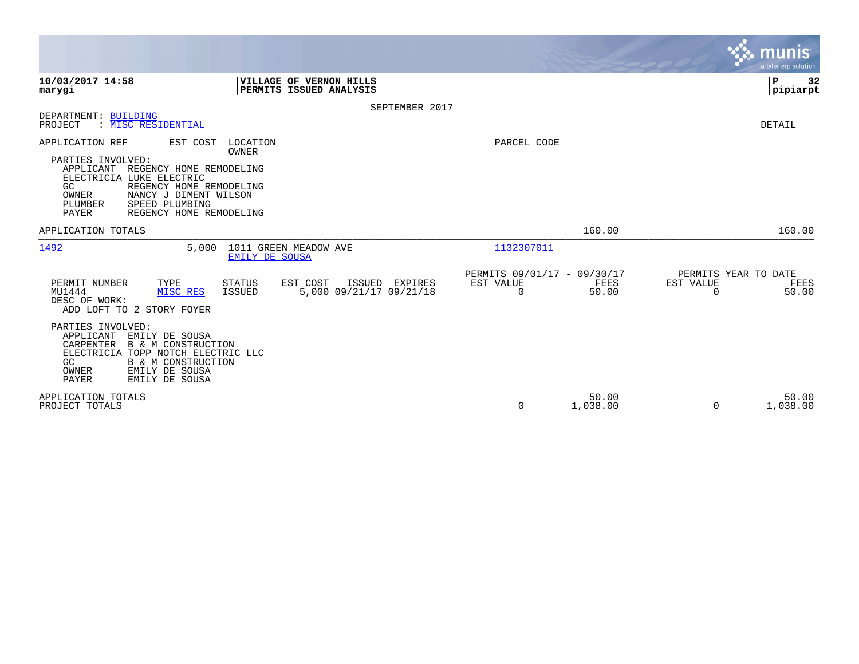|                                                                                                                                                                                                                                                          |                                                                                     |                                               |                   | munis<br>a tyler erp solution                           |
|----------------------------------------------------------------------------------------------------------------------------------------------------------------------------------------------------------------------------------------------------------|-------------------------------------------------------------------------------------|-----------------------------------------------|-------------------|---------------------------------------------------------|
| 10/03/2017 14:58<br>marygi                                                                                                                                                                                                                               | VILLAGE OF VERNON HILLS<br><b>PERMITS ISSUED ANALYSIS</b>                           |                                               |                   | $\mathbf P$<br>32<br> pipiarpt                          |
|                                                                                                                                                                                                                                                          | SEPTEMBER 2017                                                                      |                                               |                   |                                                         |
| DEPARTMENT: BUILDING<br>MISC RESIDENTIAL<br>PROJECT                                                                                                                                                                                                      |                                                                                     |                                               |                   | <b>DETAIL</b>                                           |
| APPLICATION REF<br>EST COST<br>PARTIES INVOLVED:<br>APPLICANT<br>REGENCY HOME REMODELING<br>ELECTRICIA LUKE ELECTRIC<br>REGENCY HOME REMODELING<br>GC<br>NANCY J DIMENT WILSON<br>OWNER<br>PLUMBER<br>SPEED PLUMBING<br>REGENCY HOME REMODELING<br>PAYER | LOCATION<br><b>OWNER</b>                                                            | PARCEL CODE                                   |                   |                                                         |
| APPLICATION TOTALS                                                                                                                                                                                                                                       |                                                                                     |                                               | 160.00            | 160.00                                                  |
| 1492<br>5,000                                                                                                                                                                                                                                            | 1011 GREEN MEADOW AVE<br><b>EMILY DE SOUSA</b>                                      | 1132307011                                    |                   |                                                         |
| PERMIT NUMBER<br>TYPE<br>MU1444<br>MISC RES<br>DESC OF WORK:<br>ADD LOFT TO 2 STORY FOYER                                                                                                                                                                | <b>STATUS</b><br>EST COST<br>ISSUED<br>EXPIRES<br>ISSUED<br>5,000 09/21/17 09/21/18 | PERMITS 09/01/17 - 09/30/17<br>EST VALUE<br>0 | FEES<br>50.00     | PERMITS YEAR TO DATE<br>EST VALUE<br>FEES<br>0<br>50.00 |
| PARTIES INVOLVED:<br>APPLICANT<br>EMILY DE SOUSA<br>CARPENTER<br><b>B &amp; M CONSTRUCTION</b><br>ELECTRICIA TOPP NOTCH ELECTRIC LLC<br><b>B &amp; M CONSTRUCTION</b><br>GC<br>EMILY DE SOUSA<br>OWNER<br>PAYER<br>EMILY DE SOUSA                        |                                                                                     |                                               |                   |                                                         |
| APPLICATION TOTALS<br>PROJECT TOTALS                                                                                                                                                                                                                     |                                                                                     | $\mathbf 0$                                   | 50.00<br>1,038.00 | 50.00<br>1,038.00<br>$\Omega$                           |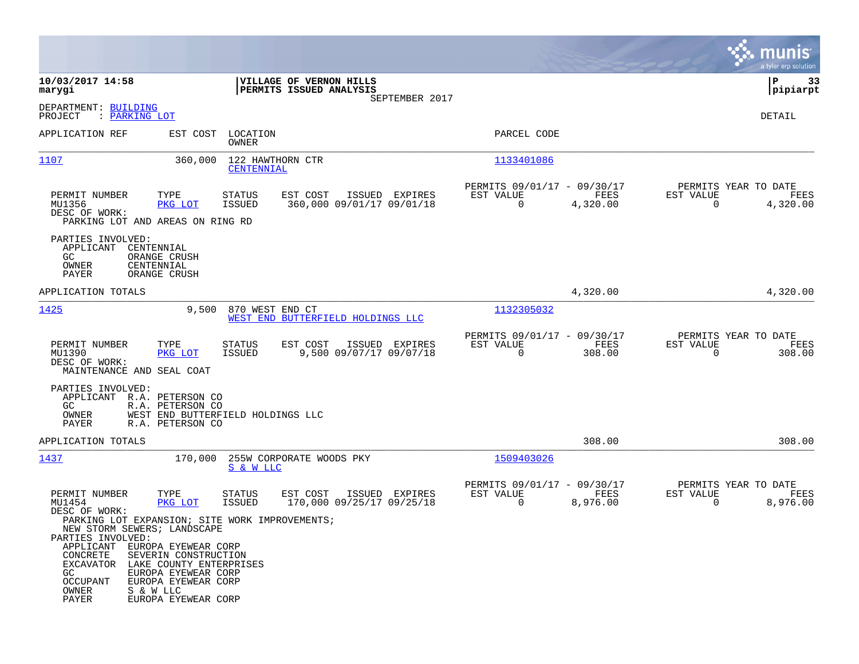|                                                                                                                                                                                             |                                                                                              |                                |                                                           |                |                                                         |                  |                                                  | munis<br>a tyler erp solution |
|---------------------------------------------------------------------------------------------------------------------------------------------------------------------------------------------|----------------------------------------------------------------------------------------------|--------------------------------|-----------------------------------------------------------|----------------|---------------------------------------------------------|------------------|--------------------------------------------------|-------------------------------|
| 10/03/2017 14:58<br>marygi                                                                                                                                                                  |                                                                                              |                                | VILLAGE OF VERNON HILLS<br><b>PERMITS ISSUED ANALYSIS</b> |                |                                                         |                  |                                                  | 33<br>  P<br> pipiarpt        |
| DEPARTMENT: BUILDING<br>PROJECT<br>: <u>PARKING LOT</u>                                                                                                                                     |                                                                                              |                                |                                                           | SEPTEMBER 2017 |                                                         |                  |                                                  | DETAIL                        |
| APPLICATION REF                                                                                                                                                                             | EST COST                                                                                     | LOCATION<br>OWNER              |                                                           |                | PARCEL CODE                                             |                  |                                                  |                               |
| 1107                                                                                                                                                                                        | 360,000                                                                                      | 122 HAWTHORN CTR<br>CENTENNIAL |                                                           |                | 1133401086                                              |                  |                                                  |                               |
| PERMIT NUMBER<br>MU1356<br>DESC OF WORK:<br>PARKING LOT AND AREAS ON RING RD                                                                                                                | TYPE<br>PKG LOT                                                                              | STATUS<br><b>ISSUED</b>        | EST COST<br>360,000 09/01/17 09/01/18                     | ISSUED EXPIRES | PERMITS 09/01/17 - 09/30/17<br>EST VALUE<br>0           | FEES<br>4,320.00 | PERMITS YEAR TO DATE<br>EST VALUE<br>$\mathbf 0$ | FEES<br>4,320.00              |
| PARTIES INVOLVED:<br>APPLICANT<br>CENTENNIAL<br>GC.<br>OWNER<br>CENTENNIAL<br>PAYER                                                                                                         | ORANGE CRUSH<br>ORANGE CRUSH                                                                 |                                |                                                           |                |                                                         |                  |                                                  |                               |
| APPLICATION TOTALS                                                                                                                                                                          |                                                                                              |                                |                                                           |                |                                                         | 4,320.00         |                                                  | 4,320.00                      |
| 1425                                                                                                                                                                                        | 9,500                                                                                        | 870 WEST END CT                | WEST END BUTTERFIELD HOLDINGS LLC                         |                | 1132305032                                              |                  |                                                  |                               |
| PERMIT NUMBER<br>MU1390<br>DESC OF WORK:<br>MAINTENANCE AND SEAL COAT                                                                                                                       | TYPE<br>PKG LOT                                                                              | STATUS<br><b>ISSUED</b>        | EST COST<br>9,500 09/07/17 09/07/18                       | ISSUED EXPIRES | PERMITS 09/01/17 - 09/30/17<br>EST VALUE<br>$\mathbf 0$ | FEES<br>308.00   | PERMITS YEAR TO DATE<br>EST VALUE<br>$\mathbf 0$ | FEES<br>308.00                |
| PARTIES INVOLVED:<br>APPLICANT R.A. PETERSON CO<br>GC<br>OWNER<br>PAYER                                                                                                                     | R.A. PETERSON CO<br>WEST END BUTTERFIELD HOLDINGS LLC<br>R.A. PETERSON CO                    |                                |                                                           |                |                                                         |                  |                                                  |                               |
| APPLICATION TOTALS                                                                                                                                                                          |                                                                                              |                                |                                                           |                |                                                         | 308.00           |                                                  | 308.00                        |
| 1437                                                                                                                                                                                        | 170,000                                                                                      | S & W LLC                      | 255W CORPORATE WOODS PKY                                  |                | 1509403026                                              |                  |                                                  |                               |
| PERMIT NUMBER<br>MU1454<br>DESC OF WORK:<br>PARKING LOT EXPANSION; SITE WORK IMPROVEMENTS;<br>NEW STORM SEWERS; LANDSCAPE<br>PARTIES INVOLVED:<br>APPLICANT EUROPA EYEWEAR CORP<br>CONCRETE | TYPE<br>PKG LOT<br>SEVERIN CONSTRUCTION                                                      | STATUS<br><b>ISSUED</b>        | EST COST<br>170,000 09/25/17 09/25/18                     | ISSUED EXPIRES | PERMITS 09/01/17 - 09/30/17<br>EST VALUE<br>0           | FEES<br>8,976.00 | PERMITS YEAR TO DATE<br>EST VALUE<br>$\Omega$    | FEES<br>8,976.00              |
| EXCAVATOR<br>GC<br>OCCUPANT<br>OWNER<br>S & W LLC<br>PAYER                                                                                                                                  | LAKE COUNTY ENTERPRISES<br>EUROPA EYEWEAR CORP<br>EUROPA EYEWEAR CORP<br>EUROPA EYEWEAR CORP |                                |                                                           |                |                                                         |                  |                                                  |                               |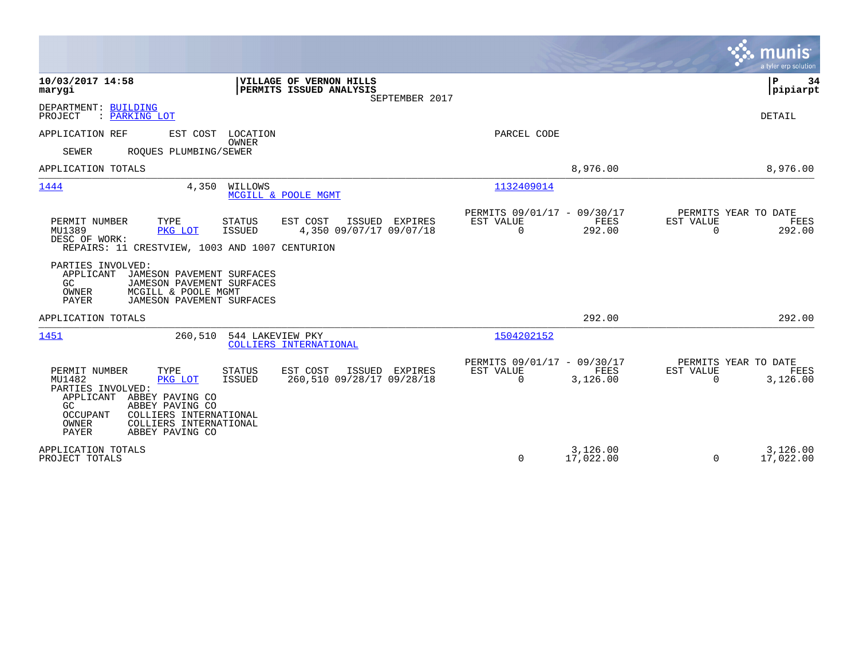|                                                                                                                                                                                                                                                                                                                                   |                                                                        | munis<br>a tyler erp solution                                     |
|-----------------------------------------------------------------------------------------------------------------------------------------------------------------------------------------------------------------------------------------------------------------------------------------------------------------------------------|------------------------------------------------------------------------|-------------------------------------------------------------------|
| 10/03/2017 14:58<br>VILLAGE OF VERNON HILLS<br>PERMITS ISSUED ANALYSIS<br>marygi<br>SEPTEMBER 2017                                                                                                                                                                                                                                |                                                                        | P<br>34<br> pipiarpt                                              |
| DEPARTMENT: BUILDING<br>PROJECT<br>: PARKING LOT                                                                                                                                                                                                                                                                                  |                                                                        | DETAIL                                                            |
| APPLICATION REF<br>EST COST<br>LOCATION                                                                                                                                                                                                                                                                                           | PARCEL CODE                                                            |                                                                   |
| <b>OWNER</b><br><b>SEWER</b><br>ROOUES PLUMBING/SEWER                                                                                                                                                                                                                                                                             |                                                                        |                                                                   |
| APPLICATION TOTALS                                                                                                                                                                                                                                                                                                                | 8,976.00                                                               | 8,976.00                                                          |
| 1444<br>4,350<br>WILLOWS<br>MCGILL & POOLE MGMT                                                                                                                                                                                                                                                                                   | 1132409014                                                             |                                                                   |
| PERMIT NUMBER<br>TYPE<br><b>STATUS</b><br>EST COST<br>ISSUED EXPIRES<br>MU1389<br>4,350 09/07/17 09/07/18<br>PKG LOT<br><b>ISSUED</b><br>DESC OF WORK:<br>REPAIRS: 11 CRESTVIEW, 1003 AND 1007 CENTURION                                                                                                                          | PERMITS 09/01/17 - 09/30/17<br>EST VALUE<br>FEES<br>$\Omega$<br>292.00 | PERMITS YEAR TO DATE<br>EST VALUE<br>FEES<br>0<br>292.00          |
| PARTIES INVOLVED:<br>APPLICANT<br>JAMESON PAVEMENT SURFACES<br>GC<br>JAMESON PAVEMENT SURFACES<br>MCGILL & POOLE MGMT<br>OWNER<br><b>PAYER</b><br>JAMESON PAVEMENT SURFACES                                                                                                                                                       |                                                                        |                                                                   |
| APPLICATION TOTALS                                                                                                                                                                                                                                                                                                                | 292.00                                                                 | 292.00                                                            |
| 1451<br>260,510<br>544 LAKEVIEW PKY<br>COLLIERS INTERNATIONAL                                                                                                                                                                                                                                                                     | 1504202152                                                             |                                                                   |
| EST COST<br>PERMIT NUMBER<br>TYPE<br><b>STATUS</b><br>ISSUED EXPIRES<br>MU1482<br>260,510 09/28/17 09/28/18<br>ISSUED<br>PKG LOT<br>PARTIES INVOLVED:<br>ABBEY PAVING CO<br>APPLICANT<br>GC<br>ABBEY PAVING CO<br><b>OCCUPANT</b><br>COLLIERS INTERNATIONAL<br>OWNER<br>COLLIERS INTERNATIONAL<br><b>PAYER</b><br>ABBEY PAVING CO | PERMITS 09/01/17 - 09/30/17<br>EST VALUE<br>FEES<br>0<br>3,126.00      | PERMITS YEAR TO DATE<br>EST VALUE<br>FEES<br>$\Omega$<br>3,126.00 |
| APPLICATION TOTALS<br>PROJECT TOTALS                                                                                                                                                                                                                                                                                              | 3,126.00<br>0<br>17,022.00                                             | 3,126.00<br>$\mathbf 0$<br>17,022.00                              |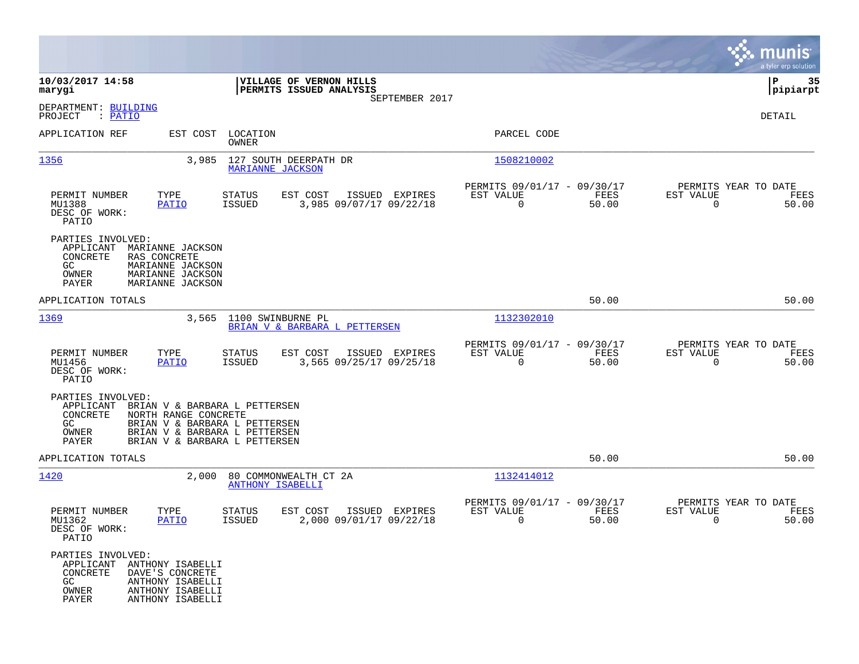|                                                                                                                                                                                                                                 |                                                                                         |                                                                             | munis<br>a tyler erp solution                                     |
|---------------------------------------------------------------------------------------------------------------------------------------------------------------------------------------------------------------------------------|-----------------------------------------------------------------------------------------|-----------------------------------------------------------------------------|-------------------------------------------------------------------|
| 10/03/2017 14:58<br>marygi                                                                                                                                                                                                      | VILLAGE OF VERNON HILLS<br>PERMITS ISSUED ANALYSIS                                      |                                                                             | ΙP<br>35<br> pipiarpt                                             |
| DEPARTMENT: BUILDING<br>PROJECT<br>: <u>PATIO</u>                                                                                                                                                                               | SEPTEMBER 2017                                                                          |                                                                             | DETAIL                                                            |
| APPLICATION REF<br>EST COST                                                                                                                                                                                                     | LOCATION<br>OWNER                                                                       | PARCEL CODE                                                                 |                                                                   |
| 1356<br>3,985                                                                                                                                                                                                                   | 127 SOUTH DEERPATH DR<br><b>MARIANNE JACKSON</b>                                        | 1508210002                                                                  |                                                                   |
| PERMIT NUMBER<br>TYPE<br>MU1388<br>PATIO<br>DESC OF WORK:<br>PATIO                                                                                                                                                              | <b>STATUS</b><br>EST COST<br>ISSUED EXPIRES<br>3,985 09/07/17 09/22/18<br><b>ISSUED</b> | PERMITS 09/01/17 - 09/30/17<br>FEES<br>EST VALUE<br>$\overline{0}$<br>50.00 | PERMITS YEAR TO DATE<br>EST VALUE<br>FEES<br>$\mathbf 0$<br>50.00 |
| PARTIES INVOLVED:<br>APPLICANT<br>MARIANNE JACKSON<br>CONCRETE<br>RAS CONCRETE<br>GC.<br>MARIANNE JACKSON<br>OWNER<br>MARIANNE JACKSON<br><b>PAYER</b><br>MARIANNE JACKSON                                                      |                                                                                         |                                                                             |                                                                   |
| APPLICATION TOTALS                                                                                                                                                                                                              |                                                                                         | 50.00                                                                       | 50.00                                                             |
| <u> 1369</u><br>3,565                                                                                                                                                                                                           | 1100 SWINBURNE PL<br>BRIAN V & BARBARA L PETTERSEN                                      | 1132302010                                                                  |                                                                   |
| PERMIT NUMBER<br>TYPE<br>MU1456<br><b>PATIO</b><br>DESC OF WORK:<br>PATIO                                                                                                                                                       | STATUS<br>EST COST<br>ISSUED EXPIRES<br><b>ISSUED</b><br>3,565 09/25/17 09/25/18        | PERMITS 09/01/17 - 09/30/17<br>EST VALUE<br>FEES<br>$\mathbf 0$<br>50.00    | PERMITS YEAR TO DATE<br>EST VALUE<br>FEES<br>$\mathbf 0$<br>50.00 |
| PARTIES INVOLVED:<br>APPLICANT<br>BRIAN V & BARBARA L PETTERSEN<br>CONCRETE<br>NORTH RANGE CONCRETE<br>BRIAN V & BARBARA L PETTERSEN<br>GC.<br>BRIAN V & BARBARA L PETTERSEN<br>OWNER<br>PAYER<br>BRIAN V & BARBARA L PETTERSEN |                                                                                         |                                                                             |                                                                   |
| APPLICATION TOTALS                                                                                                                                                                                                              |                                                                                         | 50.00                                                                       | 50.00                                                             |
| 1420<br>2,000                                                                                                                                                                                                                   | 80 COMMONWEALTH CT 2A<br><b>ANTHONY ISABELLI</b>                                        | 1132414012                                                                  |                                                                   |
| PERMIT NUMBER<br>TYPE<br>MU1362<br><b>PATIO</b><br>DESC OF WORK:<br>PATIO                                                                                                                                                       | EST COST<br>ISSUED EXPIRES<br>STATUS<br><b>ISSUED</b><br>2,000 09/01/17 09/22/18        | PERMITS 09/01/17 - 09/30/17<br>EST VALUE<br>FEES<br>0<br>50.00              | PERMITS YEAR TO DATE<br>EST VALUE<br>FEES<br>50.00<br>0           |
| PARTIES INVOLVED:<br>APPLICANT<br>ANTHONY ISABELLI<br>CONCRETE<br>DAVE'S CONCRETE<br>GC.<br>ANTHONY ISABELLI<br>OWNER<br>ANTHONY ISABELLI<br>PAYER<br>ANTHONY ISABELLI                                                          |                                                                                         |                                                                             |                                                                   |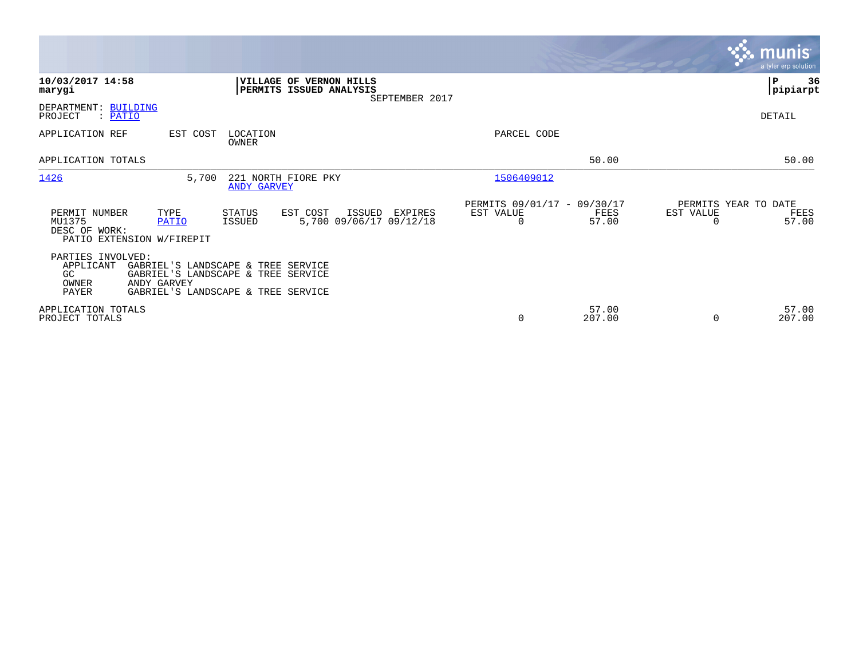|                                                         |                                                                                                                               |                         |                                                                      |                                               |                 |                                        | <b>munis</b><br>a tyler erp solution |
|---------------------------------------------------------|-------------------------------------------------------------------------------------------------------------------------------|-------------------------|----------------------------------------------------------------------|-----------------------------------------------|-----------------|----------------------------------------|--------------------------------------|
| 10/03/2017 14:58<br>marygi                              |                                                                                                                               |                         | VILLAGE OF VERNON HILLS<br>PERMITS ISSUED ANALYSIS<br>SEPTEMBER 2017 |                                               |                 |                                        | ∣P<br>36<br> pipiarpt                |
| DEPARTMENT: BUILDING<br>PROJECT<br>: PATIO              |                                                                                                                               |                         |                                                                      |                                               |                 |                                        | DETAIL                               |
| APPLICATION REF                                         | EST COST                                                                                                                      | LOCATION<br>OWNER       |                                                                      | PARCEL CODE                                   |                 |                                        |                                      |
| APPLICATION TOTALS                                      |                                                                                                                               |                         |                                                                      |                                               | 50.00           |                                        | 50.00                                |
| 1426                                                    | 5,700                                                                                                                         | <b>ANDY GARVEY</b>      | 221 NORTH FIORE PKY                                                  | 1506409012                                    |                 |                                        |                                      |
| PERMIT NUMBER<br>MU1375<br>DESC OF WORK:                | TYPE<br>PATIO<br>PATIO EXTENSION W/FIREPIT                                                                                    | STATUS<br><b>ISSUED</b> | EST COST<br>ISSUED EXPIRES<br>5,700 09/06/17 09/12/18                | PERMITS 09/01/17 - 09/30/17<br>EST VALUE<br>0 | FEES<br>57.00   | PERMITS YEAR TO DATE<br>EST VALUE<br>0 | FEES<br>57.00                        |
| PARTIES INVOLVED:<br>APPLICANT<br>GC.<br>OWNER<br>PAYER | GABRIEL'S LANDSCAPE & TREE SERVICE<br>GABRIEL'S LANDSCAPE & TREE SERVICE<br>ANDY GARVEY<br>GABRIEL'S LANDSCAPE & TREE SERVICE |                         |                                                                      |                                               |                 |                                        |                                      |
| APPLICATION TOTALS<br>PROJECT TOTALS                    |                                                                                                                               |                         |                                                                      | 0                                             | 57.00<br>207.00 | $\Omega$                               | 57.00<br>207.00                      |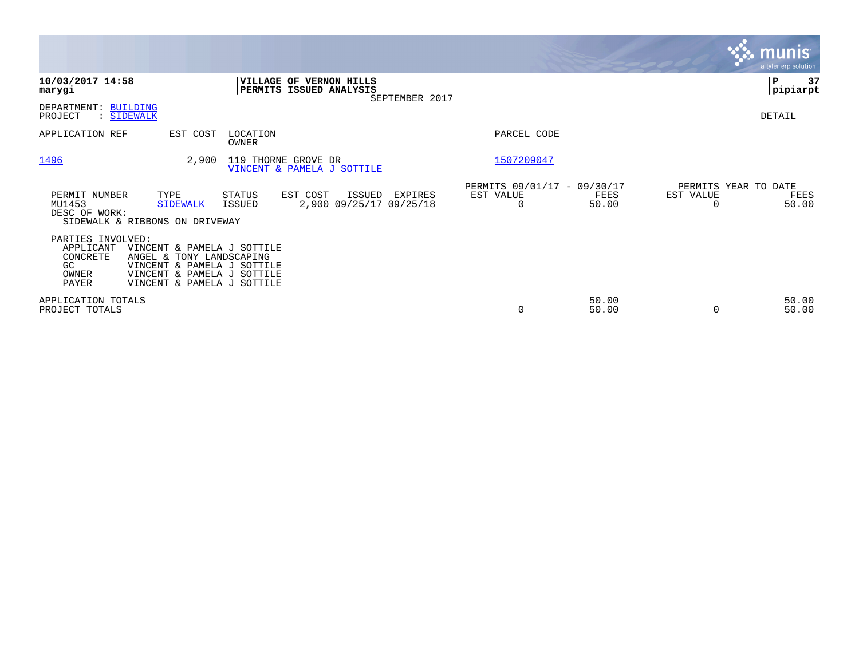|                                                                     |                                                                                                                                                  |                   |                                                    |                                              |                                                      |                |                                               | <b>munis</b><br>a tyler erp solution |
|---------------------------------------------------------------------|--------------------------------------------------------------------------------------------------------------------------------------------------|-------------------|----------------------------------------------------|----------------------------------------------|------------------------------------------------------|----------------|-----------------------------------------------|--------------------------------------|
| 10/03/2017 14:58<br>marygi                                          |                                                                                                                                                  |                   | VILLAGE OF VERNON HILLS<br>PERMITS ISSUED ANALYSIS | SEPTEMBER 2017                               |                                                      |                |                                               | ∣P<br>37<br> pipiarpt                |
| DEPARTMENT: BUILDING<br>PROJECT                                     | : SIDEWALK                                                                                                                                       |                   |                                                    |                                              |                                                      |                |                                               | DETAIL                               |
| APPLICATION REF                                                     | EST COST                                                                                                                                         | LOCATION<br>OWNER |                                                    |                                              | PARCEL CODE                                          |                |                                               |                                      |
| 1496                                                                | 2,900                                                                                                                                            |                   | 119 THORNE GROVE DR<br>VINCENT & PAMELA J SOTTILE  |                                              | 1507209047                                           |                |                                               |                                      |
| PERMIT NUMBER<br>MU1453<br>DESC OF WORK:                            | TYPE<br><b>SIDEWALK</b><br>SIDEWALK & RIBBONS ON DRIVEWAY                                                                                        | STATUS<br>ISSUED  | EST COST                                           | ISSUED<br>EXPIRES<br>2,900 09/25/17 09/25/18 | PERMITS 09/01/17 - 09/30/17<br>EST VALUE<br>$\Omega$ | FEES<br>50.00  | PERMITS YEAR TO DATE<br>EST VALUE<br>$\Omega$ | FEES<br>50.00                        |
| PARTIES INVOLVED:<br>APPLICANT<br>CONCRETE<br>GC.<br>OWNER<br>PAYER | VINCENT & PAMELA J SOTTILE<br>ANGEL & TONY LANDSCAPING<br>VINCENT & PAMELA J SOTTILE<br>VINCENT & PAMELA J SOTTILE<br>VINCENT & PAMELA J SOTTILE |                   |                                                    |                                              |                                                      |                |                                               |                                      |
| APPLICATION TOTALS<br>PROJECT TOTALS                                |                                                                                                                                                  |                   |                                                    |                                              | $\Omega$                                             | 50.00<br>50.00 | $\Omega$                                      | 50.00<br>50.00                       |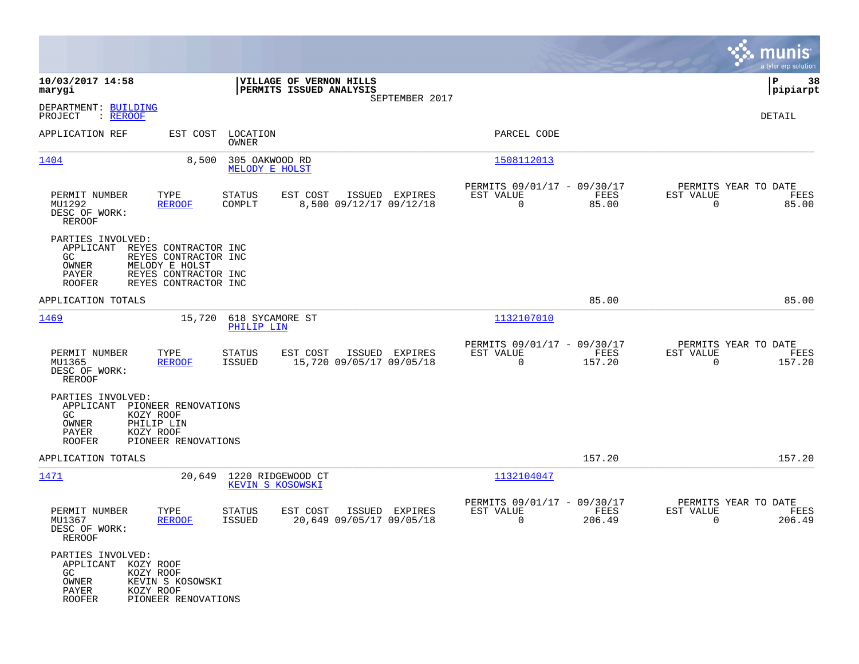|                                                                                               |                                                                                        |                                              |                                                    |                |                                                            |                |                                               | munis<br>a tyler erp solution |
|-----------------------------------------------------------------------------------------------|----------------------------------------------------------------------------------------|----------------------------------------------|----------------------------------------------------|----------------|------------------------------------------------------------|----------------|-----------------------------------------------|-------------------------------|
| 10/03/2017 14:58<br>marygi                                                                    |                                                                                        |                                              | VILLAGE OF VERNON HILLS<br>PERMITS ISSUED ANALYSIS |                |                                                            |                |                                               | 38<br>IΡ<br> pipiarpt         |
| DEPARTMENT: BUILDING<br>PROJECT<br>: REROOF                                                   |                                                                                        |                                              |                                                    | SEPTEMBER 2017 |                                                            |                |                                               | DETAIL                        |
| APPLICATION REF                                                                               |                                                                                        | EST COST LOCATION<br>OWNER                   |                                                    |                | PARCEL CODE                                                |                |                                               |                               |
| 1404                                                                                          | 8,500                                                                                  | 305 OAKWOOD RD<br><b>MELODY E HOLST</b>      |                                                    |                | 1508112013                                                 |                |                                               |                               |
| PERMIT NUMBER<br>MU1292<br>DESC OF WORK:<br><b>REROOF</b>                                     | TYPE<br><b>REROOF</b>                                                                  | <b>STATUS</b><br>COMPLT                      | EST COST<br>8,500 09/12/17 09/12/18                | ISSUED EXPIRES | PERMITS 09/01/17 - 09/30/17<br>EST VALUE<br>$\overline{0}$ | FEES<br>85.00  | PERMITS YEAR TO DATE<br>EST VALUE<br>$\Omega$ | FEES<br>85.00                 |
| PARTIES INVOLVED:<br>APPLICANT REYES CONTRACTOR INC<br>GC.<br>OWNER<br>PAYER<br><b>ROOFER</b> | REYES CONTRACTOR INC<br>MELODY E HOLST<br>REYES CONTRACTOR INC<br>REYES CONTRACTOR INC |                                              |                                                    |                |                                                            |                |                                               |                               |
| APPLICATION TOTALS                                                                            |                                                                                        |                                              |                                                    |                |                                                            | 85.00          |                                               | 85.00                         |
| 1469                                                                                          |                                                                                        | 15,720 618 SYCAMORE ST<br>PHILIP LIN         |                                                    |                | 1132107010                                                 |                |                                               |                               |
| PERMIT NUMBER<br>MU1365<br>DESC OF WORK:<br><b>REROOF</b>                                     | TYPE<br><b>REROOF</b>                                                                  | <b>STATUS</b><br><b>ISSUED</b>               | EST COST<br>15,720 09/05/17 09/05/18               | ISSUED EXPIRES | PERMITS 09/01/17 - 09/30/17<br>EST VALUE<br>$\Omega$       | FEES<br>157.20 | PERMITS YEAR TO DATE<br>EST VALUE<br>$\Omega$ | FEES<br>157.20                |
| PARTIES INVOLVED:<br>APPLICANT<br>GC<br>OWNER<br>PAYER<br><b>ROOFER</b>                       | PIONEER RENOVATIONS<br>KOZY ROOF<br>PHILIP LIN<br>KOZY ROOF<br>PIONEER RENOVATIONS     |                                              |                                                    |                |                                                            |                |                                               |                               |
| APPLICATION TOTALS                                                                            |                                                                                        |                                              |                                                    |                |                                                            | 157.20         |                                               | 157.20                        |
| 1471                                                                                          |                                                                                        | 20,649 1220 RIDGEWOOD CT<br>KEVIN S KOSOWSKI |                                                    |                | 1132104047                                                 |                |                                               |                               |
| PERMIT NUMBER<br>MU1367<br>DESC OF WORK:<br>REROOF                                            | TYPE<br><b>REROOF</b>                                                                  | <b>STATUS</b><br><b>ISSUED</b>               | EST COST<br>20,649 09/05/17 09/05/18               | ISSUED EXPIRES | PERMITS 09/01/17 - 09/30/17<br>EST VALUE<br>0              | FEES<br>206.49 | PERMITS YEAR TO DATE<br>EST VALUE<br>0        | FEES<br>206.49                |
| PARTIES INVOLVED:<br>APPLICANT KOZY ROOF<br>GC.<br>OWNER<br>PAYER<br><b>ROOFER</b>            | KOZY ROOF<br>KEVIN S KOSOWSKI<br>KOZY ROOF<br>PIONEER RENOVATIONS                      |                                              |                                                    |                |                                                            |                |                                               |                               |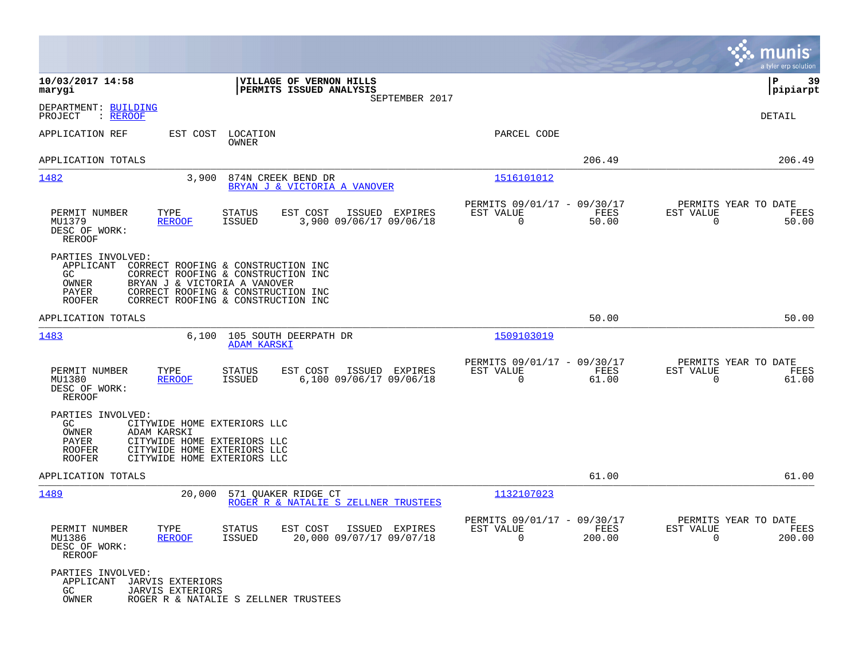|                                                                                                                                                                                                                                                                  |                                           |                                                         |                |                                                  | munis<br>a tyler erp solution |
|------------------------------------------------------------------------------------------------------------------------------------------------------------------------------------------------------------------------------------------------------------------|-------------------------------------------|---------------------------------------------------------|----------------|--------------------------------------------------|-------------------------------|
| 10/03/2017 14:58<br>VILLAGE OF VERNON HILLS<br>PERMITS ISSUED ANALYSIS<br>marygi                                                                                                                                                                                 | SEPTEMBER 2017                            |                                                         |                |                                                  | ΙP<br>39<br> pipiarpt         |
| DEPARTMENT: BUILDING<br>PROJECT<br>: <u>REROOF</u>                                                                                                                                                                                                               |                                           |                                                         |                |                                                  | DETAIL                        |
| APPLICATION REF<br>EST COST<br>LOCATION<br>OWNER                                                                                                                                                                                                                 |                                           | PARCEL CODE                                             |                |                                                  |                               |
| APPLICATION TOTALS                                                                                                                                                                                                                                               |                                           |                                                         | 206.49         |                                                  | 206.49                        |
| 1482<br>3,900<br>874N CREEK BEND DR<br>BRYAN J & VICTORIA A VANOVER                                                                                                                                                                                              |                                           | 1516101012                                              |                |                                                  |                               |
| PERMIT NUMBER<br>TYPE<br>STATUS<br>EST COST<br>MU1379<br><b>ISSUED</b><br><b>REROOF</b><br>DESC OF WORK:<br>REROOF                                                                                                                                               | ISSUED EXPIRES<br>3,900 09/06/17 09/06/18 | PERMITS 09/01/17 - 09/30/17<br>EST VALUE<br>$\mathbf 0$ | FEES<br>50.00  | PERMITS YEAR TO DATE<br>EST VALUE<br>$\mathbf 0$ | FEES<br>50.00                 |
| PARTIES INVOLVED:<br>APPLICANT<br>CORRECT ROOFING & CONSTRUCTION INC<br>GC.<br>CORRECT ROOFING & CONSTRUCTION INC<br>BRYAN J & VICTORIA A VANOVER<br>OWNER<br>PAYER<br>CORRECT ROOFING & CONSTRUCTION INC<br>CORRECT ROOFING & CONSTRUCTION INC<br><b>ROOFER</b> |                                           |                                                         |                |                                                  |                               |
| APPLICATION TOTALS                                                                                                                                                                                                                                               |                                           |                                                         | 50.00          |                                                  | 50.00                         |
| 105 SOUTH DEERPATH DR<br>1483<br>6,100<br><b>ADAM KARSKI</b>                                                                                                                                                                                                     |                                           | 1509103019                                              |                |                                                  |                               |
| PERMIT NUMBER<br>TYPE<br>STATUS<br>EST COST<br>MU1380<br><b>ISSUED</b><br><b>REROOF</b><br>DESC OF WORK:<br><b>REROOF</b>                                                                                                                                        | ISSUED EXPIRES<br>6,100 09/06/17 09/06/18 | PERMITS 09/01/17 - 09/30/17<br>EST VALUE<br>$\mathbf 0$ | FEES<br>61.00  | PERMITS YEAR TO DATE<br>EST VALUE<br>$\mathbf 0$ | FEES<br>61.00                 |
| PARTIES INVOLVED:<br>GC<br>CITYWIDE HOME EXTERIORS LLC<br>ADAM KARSKI<br>OWNER<br>PAYER<br>CITYWIDE HOME EXTERIORS LLC<br><b>ROOFER</b><br>CITYWIDE HOME EXTERIORS LLC<br>CITYWIDE HOME EXTERIORS LLC<br><b>ROOFER</b>                                           |                                           |                                                         |                |                                                  |                               |
| APPLICATION TOTALS                                                                                                                                                                                                                                               |                                           |                                                         | 61.00          |                                                  | 61.00                         |
| <u> 1489</u><br>20,000<br>571 QUAKER RIDGE CT<br>ROGER R & NATALIE S ZELLNER TRUSTEES                                                                                                                                                                            |                                           | 1132107023                                              |                |                                                  |                               |
| STATUS<br>EST COST ISSUED EXPIRES<br>PERMIT NUMBER<br>TYPE<br>MU1386<br><b>REROOF</b><br>ISSUED<br>DESC OF WORK:<br>REROOF                                                                                                                                       | 20,000 09/07/17 09/07/18                  | PERMITS 09/01/17 - 09/30/17<br>EST VALUE<br>$\Omega$    | FEES<br>200.00 | PERMITS YEAR TO DATE<br>EST VALUE<br>$\Omega$    | FEES<br>200.00                |
| PARTIES INVOLVED:<br>APPLICANT JARVIS EXTERIORS<br>GC<br>JARVIS EXTERIORS<br>OWNER<br>ROGER R & NATALIE S ZELLNER TRUSTEES                                                                                                                                       |                                           |                                                         |                |                                                  |                               |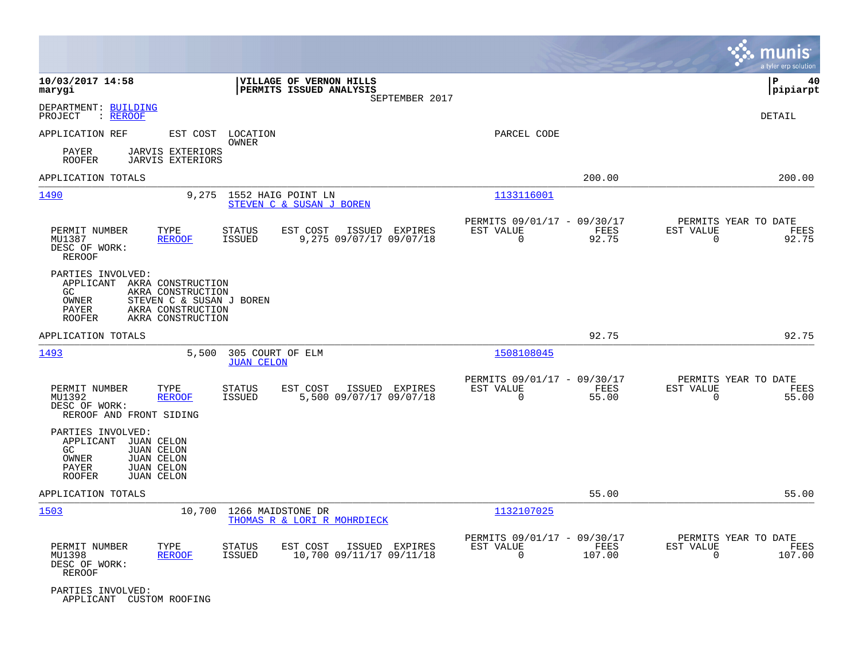|                                                                                            |                                                                                         |                                       |                                                    |                |                                                         |                |                                                  | munis<br>a tyler erp solution |
|--------------------------------------------------------------------------------------------|-----------------------------------------------------------------------------------------|---------------------------------------|----------------------------------------------------|----------------|---------------------------------------------------------|----------------|--------------------------------------------------|-------------------------------|
| 10/03/2017 14:58<br>marygi                                                                 |                                                                                         |                                       | VILLAGE OF VERNON HILLS<br>PERMITS ISSUED ANALYSIS | SEPTEMBER 2017 |                                                         |                |                                                  | P<br>40<br> pipiarpt          |
| DEPARTMENT: BUILDING<br>: REROOF<br>PROJECT                                                |                                                                                         |                                       |                                                    |                |                                                         |                |                                                  | DETAIL                        |
| APPLICATION REF                                                                            | EST COST                                                                                | LOCATION<br>OWNER                     |                                                    |                | PARCEL CODE                                             |                |                                                  |                               |
| PAYER<br><b>ROOFER</b>                                                                     | <b>JARVIS EXTERIORS</b><br><b>JARVIS EXTERIORS</b>                                      |                                       |                                                    |                |                                                         |                |                                                  |                               |
| APPLICATION TOTALS                                                                         |                                                                                         |                                       |                                                    |                |                                                         | 200.00         |                                                  | 200.00                        |
| 1490                                                                                       | 9,275                                                                                   | 1552 HAIG POINT LN                    | STEVEN C & SUSAN J BOREN                           |                | 1133116001                                              |                |                                                  |                               |
| PERMIT NUMBER<br>MU1387<br>DESC OF WORK:<br>REROOF                                         | TYPE<br><b>REROOF</b>                                                                   | <b>STATUS</b><br>ISSUED               | EST COST<br>ISSUED<br>9,275 09/07/17 09/07/18      | EXPIRES        | PERMITS 09/01/17 - 09/30/17<br>EST VALUE<br>0           | FEES<br>92.75  | PERMITS YEAR TO DATE<br>EST VALUE<br>$\mathbf 0$ | FEES<br>92.75                 |
| PARTIES INVOLVED:<br>APPLICANT AKRA CONSTRUCTION<br>GC.<br>OWNER<br>PAYER<br><b>ROOFER</b> | AKRA CONSTRUCTION<br>STEVEN C & SUSAN J BOREN<br>AKRA CONSTRUCTION<br>AKRA CONSTRUCTION |                                       |                                                    |                |                                                         |                |                                                  |                               |
| APPLICATION TOTALS                                                                         |                                                                                         |                                       |                                                    |                |                                                         | 92.75          |                                                  | 92.75                         |
| 1493                                                                                       | 5,500                                                                                   | 305 COURT OF ELM<br><b>JUAN CELON</b> |                                                    |                | 1508108045                                              |                |                                                  |                               |
| PERMIT NUMBER<br>MU1392<br>DESC OF WORK:<br>REROOF AND FRONT SIDING                        | TYPE<br><b>REROOF</b>                                                                   | <b>STATUS</b><br>ISSUED               | EST COST<br>5,500 09/07/17 09/07/18                | ISSUED EXPIRES | PERMITS 09/01/17 - 09/30/17<br>EST VALUE<br>0           | FEES<br>55.00  | PERMITS YEAR TO DATE<br>EST VALUE<br>$\mathbf 0$ | FEES<br>55.00                 |
| PARTIES INVOLVED:<br>APPLICANT<br>GC<br>OWNER<br>PAYER<br><b>ROOFER</b>                    | JUAN CELON<br><b>JUAN CELON</b><br>JUAN CELON<br><b>JUAN CELON</b><br><b>JUAN CELON</b> |                                       |                                                    |                |                                                         |                |                                                  |                               |
| APPLICATION TOTALS                                                                         |                                                                                         |                                       |                                                    |                |                                                         | 55.00          |                                                  | 55.00                         |
| 1503                                                                                       | 10,700                                                                                  | 1266 MAIDSTONE DR                     | THOMAS R & LORI R MOHRDIECK                        |                | 1132107025                                              |                |                                                  |                               |
| PERMIT NUMBER<br>MU1398<br>DESC OF WORK:<br>REROOF                                         | TYPE<br><b>REROOF</b>                                                                   | <b>STATUS</b><br><b>ISSUED</b>        | EST COST<br>10,700 09/11/17 09/11/18               | ISSUED EXPIRES | PERMITS 09/01/17 - 09/30/17<br>EST VALUE<br>$\mathbf 0$ | FEES<br>107.00 | PERMITS YEAR TO DATE<br>EST VALUE<br>$\Omega$    | FEES<br>107.00                |
| PARTIES INVOLVED:<br>APPLICANT CUSTOM ROOFING                                              |                                                                                         |                                       |                                                    |                |                                                         |                |                                                  |                               |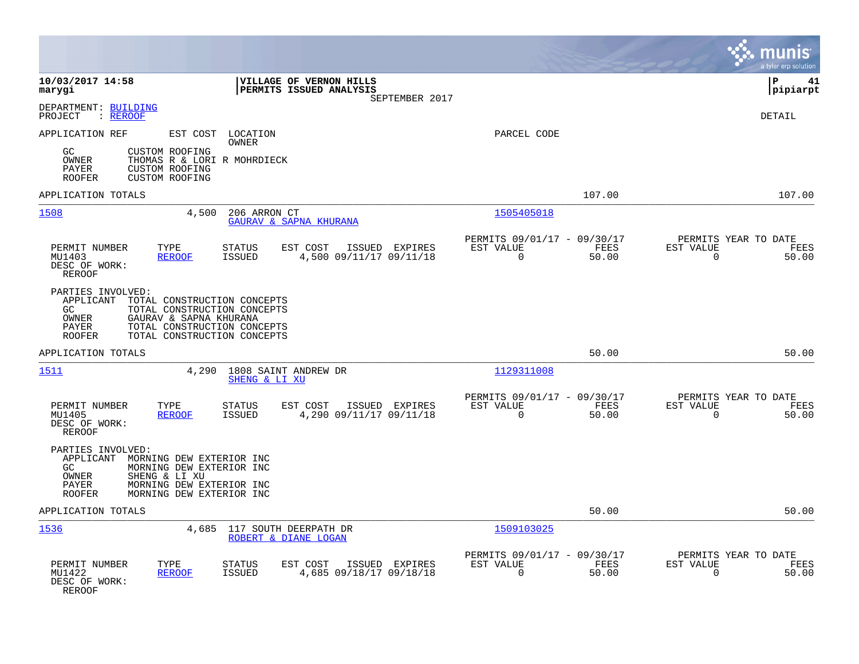|                                                                                                                                                                                                                               |                                                                          | munis<br>a tyler erp solution                                  |
|-------------------------------------------------------------------------------------------------------------------------------------------------------------------------------------------------------------------------------|--------------------------------------------------------------------------|----------------------------------------------------------------|
| 10/03/2017 14:58<br>VILLAGE OF VERNON HILLS<br>PERMITS ISSUED ANALYSIS<br>marygi<br>SEPTEMBER 2017                                                                                                                            |                                                                          | lР<br>41<br> pipiarpt                                          |
| DEPARTMENT: BUILDING<br>: REROOF<br>PROJECT                                                                                                                                                                                   |                                                                          | <b>DETAIL</b>                                                  |
| APPLICATION REF<br>EST COST<br>LOCATION<br>OWNER                                                                                                                                                                              | PARCEL CODE                                                              |                                                                |
| <b>CUSTOM ROOFING</b><br>GC.<br>OWNER<br>THOMAS R & LORI R MOHRDIECK<br><b>CUSTOM ROOFING</b><br>PAYER<br><b>ROOFER</b><br><b>CUSTOM ROOFING</b>                                                                              |                                                                          |                                                                |
| APPLICATION TOTALS                                                                                                                                                                                                            | 107.00                                                                   | 107.00                                                         |
| 1508<br>206 ARRON CT<br>4,500<br>GAURAV & SAPNA KHURANA                                                                                                                                                                       | 1505405018                                                               |                                                                |
| PERMIT NUMBER<br>TYPE<br>EST COST<br>STATUS<br>ISSUED EXPIRES<br><b>ISSUED</b><br>4,500 09/11/17 09/11/18<br>MU1403<br><b>REROOF</b><br>DESC OF WORK:<br><b>REROOF</b>                                                        | PERMITS 09/01/17 - 09/30/17<br>EST VALUE<br>FEES<br>$\mathbf 0$<br>50.00 | PERMITS YEAR TO DATE<br>EST VALUE<br>FEES<br>0<br>50.00        |
| PARTIES INVOLVED:<br>APPLICANT<br>TOTAL CONSTRUCTION CONCEPTS<br>TOTAL CONSTRUCTION CONCEPTS<br>GC<br>OWNER<br>GAURAV & SAPNA KHURANA<br>PAYER<br>TOTAL CONSTRUCTION CONCEPTS<br>TOTAL CONSTRUCTION CONCEPTS<br><b>ROOFER</b> |                                                                          |                                                                |
| APPLICATION TOTALS                                                                                                                                                                                                            | 50.00                                                                    | 50.00                                                          |
| 1511<br>4,290<br>1808 SAINT ANDREW DR<br>SHENG & LI XU                                                                                                                                                                        | 1129311008                                                               |                                                                |
| <b>STATUS</b><br>EST COST<br>PERMIT NUMBER<br>TYPE<br>ISSUED EXPIRES<br>4,290 09/11/17 09/11/18<br>MU1405<br><b>REROOF</b><br><b>ISSUED</b><br>DESC OF WORK:<br>REROOF                                                        | PERMITS 09/01/17 - 09/30/17<br>EST VALUE<br>FEES<br>$\Omega$<br>50.00    | PERMITS YEAR TO DATE<br>EST VALUE<br>FEES<br>50.00<br>$\Omega$ |
| PARTIES INVOLVED:<br>APPLICANT MORNING DEW EXTERIOR INC<br>GC.<br>MORNING DEW EXTERIOR INC<br>OWNER<br>SHENG & LI XU<br>MORNING DEW EXTERIOR INC<br>PAYER<br><b>ROOFER</b><br>MORNING DEW EXTERIOR INC                        |                                                                          |                                                                |
| APPLICATION TOTALS                                                                                                                                                                                                            | 50.00                                                                    | 50.00                                                          |
| 1536<br>4,685<br>117 SOUTH DEERPATH DR<br>ROBERT & DIANE LOGAN                                                                                                                                                                | 1509103025                                                               |                                                                |
| PERMIT NUMBER<br>TYPE<br>STATUS<br>EST COST<br>ISSUED EXPIRES<br>MU1422<br>4,685 09/18/17 09/18/18<br><b>REROOF</b><br><b>ISSUED</b><br>DESC OF WORK:<br>REROOF                                                               | PERMITS 09/01/17 - 09/30/17<br>EST VALUE<br>FEES<br>50.00<br>$\Omega$    | PERMITS YEAR TO DATE<br>EST VALUE<br>FEES<br>50.00<br>0        |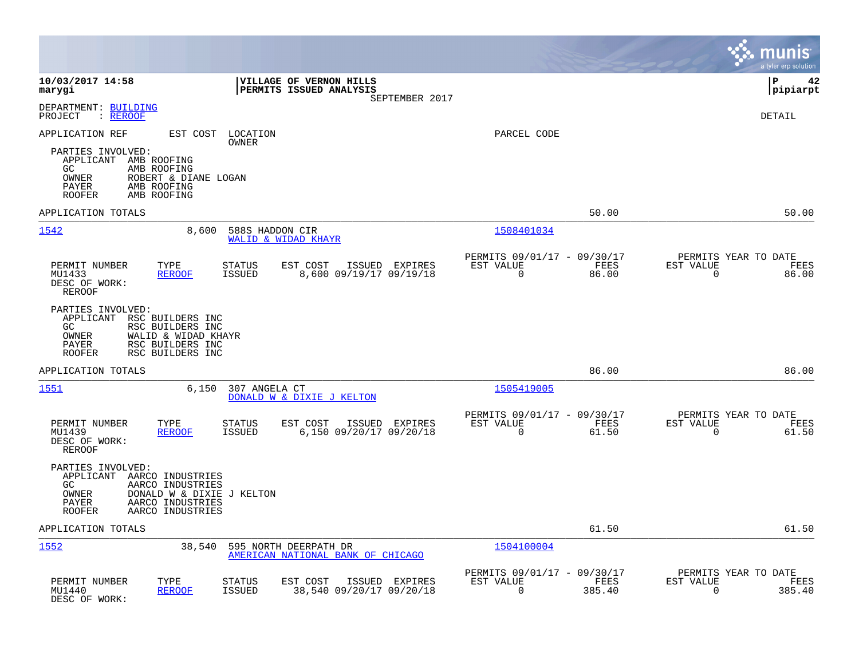|                                                                                      |                                                                                                           |                                |                                                            |                |                                                         |                       |                          | munis<br>a tyler erp solution          |
|--------------------------------------------------------------------------------------|-----------------------------------------------------------------------------------------------------------|--------------------------------|------------------------------------------------------------|----------------|---------------------------------------------------------|-----------------------|--------------------------|----------------------------------------|
| 10/03/2017 14:58<br>marygi                                                           |                                                                                                           |                                | VILLAGE OF VERNON HILLS<br>PERMITS ISSUED ANALYSIS         | SEPTEMBER 2017 |                                                         |                       |                          | l P<br>42<br> pipiarpt                 |
| DEPARTMENT: BUILDING<br>: REROOF<br>PROJECT                                          |                                                                                                           |                                |                                                            |                |                                                         |                       |                          | <b>DETAIL</b>                          |
| APPLICATION REF                                                                      | EST COST                                                                                                  | LOCATION<br>OWNER              |                                                            |                | PARCEL CODE                                             |                       |                          |                                        |
| PARTIES INVOLVED:<br>APPLICANT AMB ROOFING<br>GC.<br>OWNER<br>PAYER<br><b>ROOFER</b> | AMB ROOFING<br>ROBERT & DIANE LOGAN<br>AMB ROOFING<br>AMB ROOFING                                         |                                |                                                            |                |                                                         |                       |                          |                                        |
| APPLICATION TOTALS                                                                   |                                                                                                           |                                |                                                            |                |                                                         | 50.00                 |                          | 50.00                                  |
| 1542                                                                                 | 8,600                                                                                                     | 588S HADDON CIR                | WALID & WIDAD KHAYR                                        |                | 1508401034                                              |                       |                          |                                        |
| PERMIT NUMBER<br>MU1433<br>DESC OF WORK:<br><b>REROOF</b>                            | TYPE<br><b>REROOF</b>                                                                                     | STATUS<br><b>ISSUED</b>        | EST COST<br>8,600 09/19/17 09/19/18                        | ISSUED EXPIRES | PERMITS 09/01/17 - 09/30/17<br>EST VALUE<br>$\Omega$    | FEES<br>86.00         | EST VALUE<br>0           | PERMITS YEAR TO DATE<br>FEES<br>86.00  |
| PARTIES INVOLVED:<br>APPLICANT<br>GC.<br>OWNER<br>PAYER<br><b>ROOFER</b>             | RSC BUILDERS INC<br>RSC BUILDERS INC<br>WALID & WIDAD KHAYR<br>RSC BUILDERS INC<br>RSC BUILDERS INC       |                                |                                                            |                |                                                         |                       |                          |                                        |
| APPLICATION TOTALS                                                                   |                                                                                                           |                                |                                                            |                |                                                         | 86.00                 |                          | 86.00                                  |
| 1551                                                                                 | 6,150                                                                                                     | 307 ANGELA CT                  | DONALD W & DIXIE J KELTON                                  |                | 1505419005                                              |                       |                          |                                        |
| PERMIT NUMBER<br>MU1439<br>DESC OF WORK:<br>REROOF                                   | TYPE<br><b>REROOF</b>                                                                                     | <b>STATUS</b><br><b>ISSUED</b> | EST COST<br>6,150 09/20/17 09/20/18                        | ISSUED EXPIRES | PERMITS 09/01/17 - 09/30/17<br>EST VALUE<br>$\Omega$    | FEES<br>61.50         | EST VALUE<br>$\mathbf 0$ | PERMITS YEAR TO DATE<br>FEES<br>61.50  |
| PARTIES INVOLVED:<br>APPLICANT<br>GC<br>OWNER<br>PAYER<br><b>ROOFER</b>              | AARCO INDUSTRIES<br>AARCO INDUSTRIES<br>DONALD W & DIXIE J KELTON<br>AARCO INDUSTRIES<br>AARCO INDUSTRIES |                                |                                                            |                |                                                         |                       |                          |                                        |
| APPLICATION TOTALS                                                                   |                                                                                                           |                                |                                                            |                |                                                         | 61.50                 |                          | 61.50                                  |
| 1552                                                                                 | 38,540                                                                                                    |                                | 595 NORTH DEERPATH DR<br>AMERICAN NATIONAL BANK OF CHICAGO |                | 1504100004                                              |                       |                          |                                        |
| PERMIT NUMBER<br>MU1440<br>DESC OF WORK:                                             | TYPE<br><b>REROOF</b>                                                                                     | <b>STATUS</b><br>ISSUED        | EST COST<br>38,540 09/20/17 09/20/18                       | ISSUED EXPIRES | PERMITS 09/01/17 - 09/30/17<br>EST VALUE<br>$\mathbf 0$ | <b>FEES</b><br>385.40 | EST VALUE<br>0           | PERMITS YEAR TO DATE<br>FEES<br>385.40 |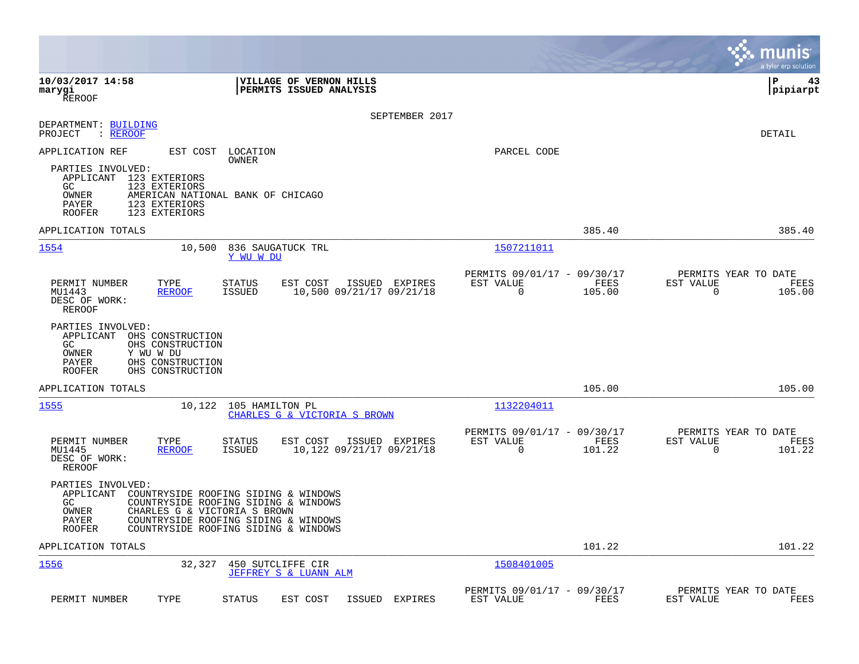|                                                                                                                                                                                                                                                                         |                                                                           | munis<br>a tyler erp solution                                         |
|-------------------------------------------------------------------------------------------------------------------------------------------------------------------------------------------------------------------------------------------------------------------------|---------------------------------------------------------------------------|-----------------------------------------------------------------------|
| 10/03/2017 14:58<br>VILLAGE OF VERNON HILLS<br>marygi<br>PERMITS ISSUED ANALYSIS<br>REROOF                                                                                                                                                                              |                                                                           | l P<br>43<br> pipiarpt                                                |
| SEPTEMBER 2017                                                                                                                                                                                                                                                          |                                                                           |                                                                       |
| DEPARTMENT: BUILDING<br>PROJECT<br>: REROOF                                                                                                                                                                                                                             |                                                                           | DETAIL                                                                |
| APPLICATION REF<br>EST COST<br>LOCATION                                                                                                                                                                                                                                 | PARCEL CODE                                                               |                                                                       |
| OWNER<br>PARTIES INVOLVED:<br>APPLICANT 123 EXTERIORS<br><b>GC</b><br>123 EXTERIORS<br>OWNER<br>AMERICAN NATIONAL BANK OF CHICAGO<br>123 EXTERIORS<br>PAYER<br>123 EXTERIORS<br><b>ROOFER</b>                                                                           |                                                                           |                                                                       |
| APPLICATION TOTALS                                                                                                                                                                                                                                                      | 385.40                                                                    | 385.40                                                                |
| 1554<br>10,500<br>836 SAUGATUCK TRL<br>Y WU W DU                                                                                                                                                                                                                        | 1507211011                                                                |                                                                       |
| PERMIT NUMBER<br>TYPE<br><b>STATUS</b><br>EST COST<br>ISSUED EXPIRES<br>MU1443<br><b>REROOF</b><br>ISSUED<br>10,500 09/21/17 09/21/18<br>DESC OF WORK:<br>REROOF                                                                                                        | PERMITS 09/01/17 - 09/30/17<br>EST VALUE<br>FEES<br>$\Omega$<br>105.00    | PERMITS YEAR TO DATE<br>EST VALUE<br>FEES<br>0<br>105.00              |
| PARTIES INVOLVED:<br>APPLICANT OHS CONSTRUCTION<br>GC.<br>OHS CONSTRUCTION<br>OWNER<br>Y WU W DU<br>OHS CONSTRUCTION<br>PAYER<br><b>ROOFER</b><br>OHS CONSTRUCTION                                                                                                      |                                                                           |                                                                       |
| APPLICATION TOTALS                                                                                                                                                                                                                                                      | 105.00                                                                    | 105.00                                                                |
| 1555<br>10,122<br>105 HAMILTON PL<br>CHARLES G & VICTORIA S BROWN                                                                                                                                                                                                       | 1132204011                                                                |                                                                       |
| PERMIT NUMBER<br>EST COST<br>ISSUED EXPIRES<br>TYPE<br>STATUS<br>ISSUED<br>10,122 09/21/17 09/21/18<br>MU1445<br><b>REROOF</b><br>DESC OF WORK:<br><b>REROOF</b>                                                                                                        | PERMITS 09/01/17 - 09/30/17<br>EST VALUE<br>FEES<br>$\mathbf 0$<br>101.22 | PERMITS YEAR TO DATE<br>EST VALUE<br>FEES<br>$\overline{0}$<br>101.22 |
| PARTIES INVOLVED:<br>APPLICANT<br>COUNTRYSIDE ROOFING SIDING & WINDOWS<br>GC<br>COUNTRYSIDE ROOFING SIDING & WINDOWS<br>OWNER<br>CHARLES G & VICTORIA S BROWN<br>COUNTRYSIDE ROOFING SIDING & WINDOWS<br>PAYER<br>COUNTRYSIDE ROOFING SIDING & WINDOWS<br><b>ROOFER</b> |                                                                           |                                                                       |
| APPLICATION TOTALS                                                                                                                                                                                                                                                      | 101.22                                                                    | 101.22                                                                |
| 1556<br>32,327<br>450 SUTCLIFFE CIR<br>JEFFREY S & LUANN ALM                                                                                                                                                                                                            | 1508401005                                                                |                                                                       |
| PERMIT NUMBER<br>TYPE<br><b>STATUS</b><br>EST COST<br>ISSUED EXPIRES                                                                                                                                                                                                    | PERMITS 09/01/17 - 09/30/17<br>EST VALUE<br>FEES                          | PERMITS YEAR TO DATE<br>EST VALUE<br>FEES                             |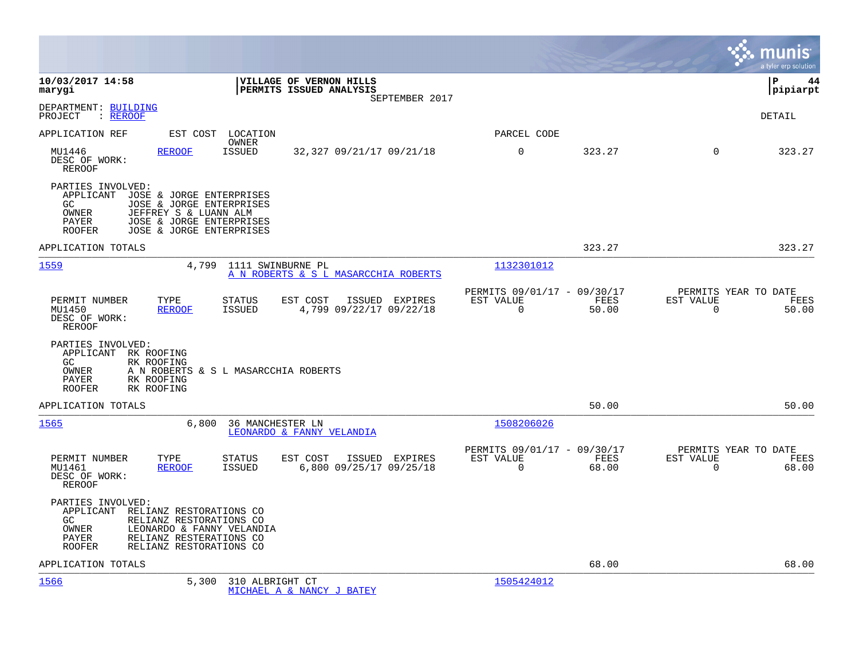|                                                                                                                                                                                                                           |                                           |                                                      |               |                                                  | munis<br>a tyler erp solution |
|---------------------------------------------------------------------------------------------------------------------------------------------------------------------------------------------------------------------------|-------------------------------------------|------------------------------------------------------|---------------|--------------------------------------------------|-------------------------------|
| 10/03/2017 14:58<br>VILLAGE OF VERNON HILLS<br>PERMITS ISSUED ANALYSIS<br>marygi                                                                                                                                          | SEPTEMBER 2017                            |                                                      |               |                                                  | lР<br>44<br> pipiarpt         |
| DEPARTMENT: BUILDING<br>PROJECT<br>: <u>REROOF</u>                                                                                                                                                                        |                                           |                                                      |               |                                                  | <b>DETAIL</b>                 |
| APPLICATION REF<br>EST COST LOCATION                                                                                                                                                                                      |                                           | PARCEL CODE                                          |               |                                                  |                               |
| OWNER<br>MU1446<br><b>ISSUED</b><br>REROOF<br>DESC OF WORK:<br>REROOF                                                                                                                                                     | 32,327 09/21/17 09/21/18                  | $\Omega$                                             | 323.27        | $\Omega$                                         | 323.27                        |
| PARTIES INVOLVED:<br>APPLICANT JOSE & JORGE ENTERPRISES<br>JOSE & JORGE ENTERPRISES<br>GC.<br>OWNER<br>JEFFREY S & LUANN ALM<br>PAYER<br><b>JOSE &amp; JORGE ENTERPRISES</b><br>JOSE & JORGE ENTERPRISES<br><b>ROOFER</b> |                                           |                                                      |               |                                                  |                               |
| APPLICATION TOTALS                                                                                                                                                                                                        |                                           |                                                      | 323.27        |                                                  | 323.27                        |
| 1559<br>4,799<br>1111 SWINBURNE PL<br>A N ROBERTS & S L MASARCCHIA ROBERTS                                                                                                                                                |                                           | 1132301012                                           |               |                                                  |                               |
| PERMIT NUMBER<br>TYPE<br><b>STATUS</b><br>EST COST<br>MU1450<br><b>ISSUED</b><br><b>REROOF</b><br>DESC OF WORK:<br>REROOF                                                                                                 | ISSUED EXPIRES<br>4,799 09/22/17 09/22/18 | PERMITS 09/01/17 - 09/30/17<br>EST VALUE<br>$\Omega$ | FEES<br>50.00 | PERMITS YEAR TO DATE<br>EST VALUE<br>$\Omega$    | FEES<br>50.00                 |
| PARTIES INVOLVED:<br>APPLICANT RK ROOFING<br>GC.<br>RK ROOFING<br>OWNER<br>A N ROBERTS & S L MASARCCHIA ROBERTS<br>PAYER<br>RK ROOFING<br>ROOFER<br>RK ROOFING                                                            |                                           |                                                      |               |                                                  |                               |
| APPLICATION TOTALS                                                                                                                                                                                                        |                                           |                                                      | 50.00         |                                                  | 50.00                         |
| 1565<br>6,800<br>36 MANCHESTER LN<br>LEONARDO & FANNY VELANDIA                                                                                                                                                            |                                           | 1508206026                                           |               |                                                  |                               |
| PERMIT NUMBER<br>TYPE<br><b>STATUS</b><br>EST COST<br>MU1461<br><b>REROOF</b><br>ISSUED<br>DESC OF WORK:<br><b>REROOF</b>                                                                                                 | ISSUED EXPIRES<br>6,800 09/25/17 09/25/18 | PERMITS 09/01/17 - 09/30/17<br>EST VALUE<br>$\Omega$ | FEES<br>68.00 | PERMITS YEAR TO DATE<br>EST VALUE<br>$\mathbf 0$ | FEES<br>68.00                 |
| PARTIES INVOLVED:<br>APPLICANT<br>RELIANZ RESTORATIONS CO<br>RELIANZ RESTORATIONS CO<br>GC.<br>OWNER<br>LEONARDO & FANNY VELANDIA<br>RELIANZ RESTERATIONS CO<br>PAYER<br>RELIANZ RESTORATIONS CO<br><b>ROOFER</b>         |                                           |                                                      |               |                                                  |                               |
| APPLICATION TOTALS                                                                                                                                                                                                        |                                           |                                                      | 68.00         |                                                  | 68.00                         |
| 1566<br>5,300<br>310 ALBRIGHT CT<br>MICHAEL A & NANCY J BATEY                                                                                                                                                             |                                           | 1505424012                                           |               |                                                  |                               |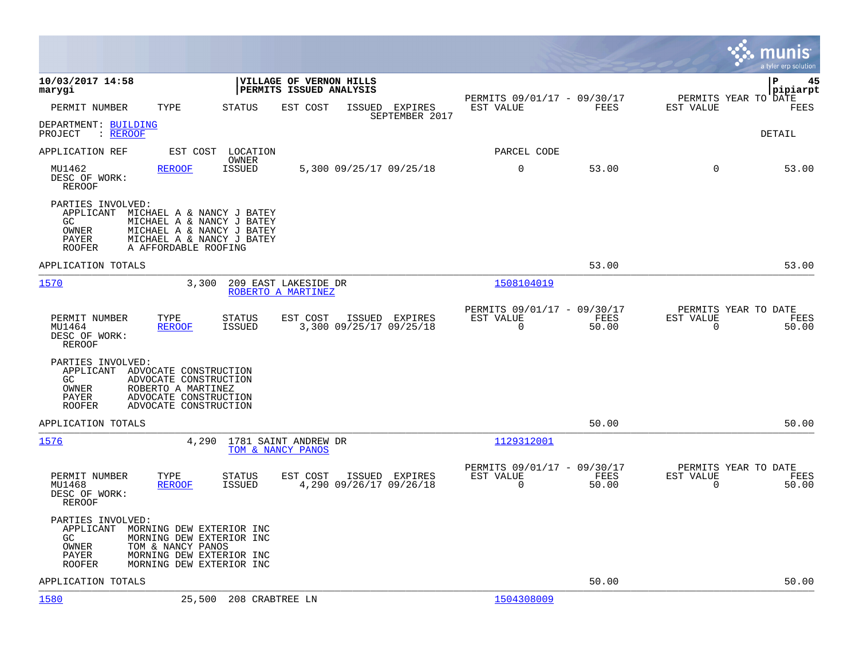|                                                                                                                                                                                                                     |                                                                                         |                                                                          | munis<br>a tyler erp solution                                     |
|---------------------------------------------------------------------------------------------------------------------------------------------------------------------------------------------------------------------|-----------------------------------------------------------------------------------------|--------------------------------------------------------------------------|-------------------------------------------------------------------|
| 10/03/2017 14:58<br>marygi                                                                                                                                                                                          | <b>VILLAGE OF VERNON HILLS</b><br><b>PERMITS ISSUED ANALYSIS</b>                        | PERMITS 09/01/17 - 09/30/17                                              | l P<br>45<br> pipiarpt<br>PERMITS YEAR TO DATE                    |
| TYPE<br>PERMIT NUMBER                                                                                                                                                                                               | <b>STATUS</b><br>EST COST<br>ISSUED EXPIRES<br>SEPTEMBER 2017                           | EST VALUE<br>FEES                                                        | EST VALUE<br>FEES                                                 |
| DEPARTMENT: BUILDING<br>: REROOF<br>PROJECT                                                                                                                                                                         |                                                                                         |                                                                          | DETAIL                                                            |
| APPLICATION REF<br>EST COST                                                                                                                                                                                         | LOCATION<br>OWNER                                                                       | PARCEL CODE                                                              |                                                                   |
| MU1462<br>REROOF<br>DESC OF WORK:<br>REROOF                                                                                                                                                                         | <b>ISSUED</b><br>5,300 09/25/17 09/25/18                                                | $\mathsf{O}$<br>53.00                                                    | $\mathbf 0$<br>53.00                                              |
| PARTIES INVOLVED:<br>APPLICANT<br>MICHAEL A & NANCY J BATEY<br>GC<br>MICHAEL A & NANCY J BATEY<br>OWNER<br>MICHAEL A & NANCY J BATEY<br>MICHAEL A & NANCY J BATEY<br>PAYER<br><b>ROOFER</b><br>A AFFORDABLE ROOFING |                                                                                         |                                                                          |                                                                   |
| APPLICATION TOTALS                                                                                                                                                                                                  |                                                                                         | 53.00                                                                    | 53.00                                                             |
| 1570<br>3,300                                                                                                                                                                                                       | 209 EAST LAKESIDE DR<br>ROBERTO A MARTINEZ                                              | 1508104019                                                               |                                                                   |
| PERMIT NUMBER<br>TYPE<br>MU1464<br><b>REROOF</b><br>DESC OF WORK:<br><b>REROOF</b>                                                                                                                                  | <b>STATUS</b><br>EST COST<br>ISSUED EXPIRES<br>3,300 09/25/17 09/25/18<br><b>ISSUED</b> | PERMITS 09/01/17 - 09/30/17<br>EST VALUE<br>FEES<br>$\mathbf 0$<br>50.00 | PERMITS YEAR TO DATE<br>EST VALUE<br>FEES<br>$\mathbf 0$<br>50.00 |
| PARTIES INVOLVED:<br>APPLICANT<br>ADVOCATE CONSTRUCTION<br>GC<br>ADVOCATE CONSTRUCTION<br>OWNER<br>ROBERTO A MARTINEZ<br>ADVOCATE CONSTRUCTION<br>PAYER<br><b>ROOFER</b><br>ADVOCATE CONSTRUCTION                   |                                                                                         |                                                                          |                                                                   |
| APPLICATION TOTALS                                                                                                                                                                                                  |                                                                                         | 50.00                                                                    | 50.00                                                             |
| 1576<br>4,290                                                                                                                                                                                                       | 1781 SAINT ANDREW DR<br>TOM & NANCY PANOS                                               | 1129312001                                                               |                                                                   |
| PERMIT NUMBER<br>TYPE<br>MU1468<br><b>REROOF</b><br>DESC OF WORK:<br><b>REROOF</b>                                                                                                                                  | <b>STATUS</b><br>EST COST<br>ISSUED EXPIRES<br><b>ISSUED</b><br>4,290 09/26/17 09/26/18 | PERMITS 09/01/17 - 09/30/17<br>FEES<br>EST VALUE<br>$\mathbf 0$<br>50.00 | PERMITS YEAR TO DATE<br>EST VALUE<br>FEES<br>$\mathbf 0$<br>50.00 |
| PARTIES INVOLVED:<br>APPLICANT<br>MORNING DEW EXTERIOR INC<br>GC<br>MORNING DEW EXTERIOR INC<br>OWNER<br>TOM & NANCY PANOS<br>MORNING DEW EXTERIOR INC<br>PAYER<br>MORNING DEW EXTERIOR INC<br><b>ROOFER</b>        |                                                                                         |                                                                          |                                                                   |
| APPLICATION TOTALS                                                                                                                                                                                                  |                                                                                         | 50.00                                                                    | 50.00                                                             |
| 1580<br>25,500                                                                                                                                                                                                      | 208 CRABTREE LN                                                                         | 1504308009                                                               |                                                                   |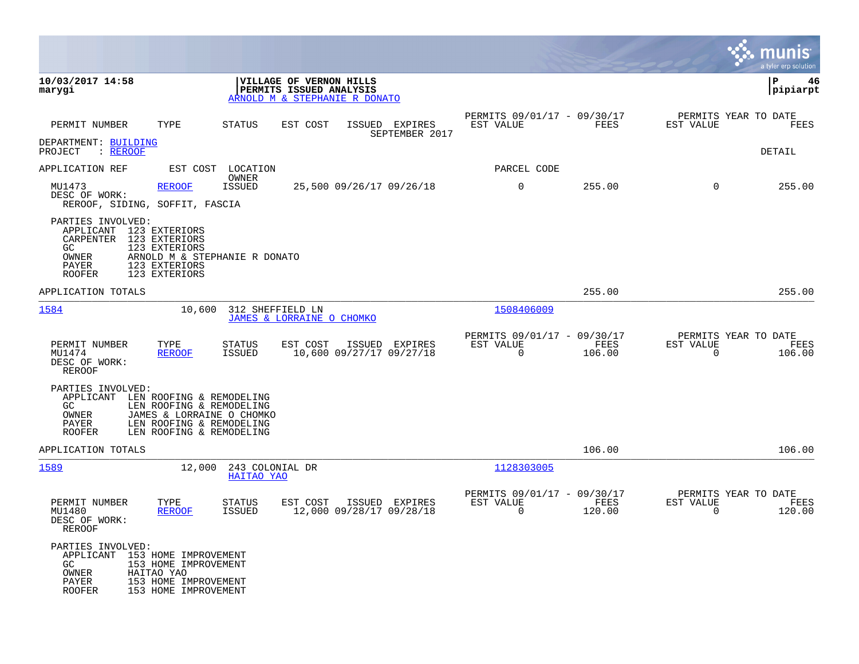|                                                                                                                                                                                                                      |                                                                                     |          |                                            |                                                      |                            |                                                  | munis<br>a tyler erp solution |
|----------------------------------------------------------------------------------------------------------------------------------------------------------------------------------------------------------------------|-------------------------------------------------------------------------------------|----------|--------------------------------------------|------------------------------------------------------|----------------------------|--------------------------------------------------|-------------------------------|
| 10/03/2017 14:58<br>marygi                                                                                                                                                                                           | VILLAGE OF VERNON HILLS<br>PERMITS ISSUED ANALYSIS<br>ARNOLD M & STEPHANIE R DONATO |          |                                            |                                                      |                            |                                                  | l P<br>46<br> pipiarpt        |
| PERMIT NUMBER<br>TYPE                                                                                                                                                                                                | <b>STATUS</b>                                                                       | EST COST | ISSUED EXPIRES<br>SEPTEMBER 2017           | PERMITS 09/01/17 - 09/30/17<br>EST VALUE             | FEES                       | PERMITS YEAR TO DATE<br>EST VALUE                | FEES                          |
| DEPARTMENT: BUILDING<br>PROJECT<br>$:$ REROOF                                                                                                                                                                        |                                                                                     |          |                                            |                                                      |                            |                                                  | DETAIL                        |
| APPLICATION REF                                                                                                                                                                                                      | EST COST LOCATION<br>OWNER                                                          |          |                                            | PARCEL CODE                                          |                            |                                                  |                               |
| <b>REROOF</b><br>MU1473<br>DESC OF WORK:<br>REROOF, SIDING, SOFFIT, FASCIA                                                                                                                                           | <b>ISSUED</b>                                                                       |          | 25,500 09/26/17 09/26/18                   | $\mathbf 0$                                          | 255.00                     | $\Omega$                                         | 255.00                        |
| PARTIES INVOLVED:<br>APPLICANT<br>123 EXTERIORS<br>CARPENTER<br>123 EXTERIORS<br>GC<br>123 EXTERIORS<br>OWNER<br>ARNOLD M & STEPHANIE R DONATO<br>PAYER<br>123 EXTERIORS<br>123 EXTERIORS<br><b>ROOFER</b>           |                                                                                     |          |                                            |                                                      |                            |                                                  |                               |
| APPLICATION TOTALS                                                                                                                                                                                                   |                                                                                     |          |                                            |                                                      | 255.00                     |                                                  | 255.00                        |
| 1584<br>10,600                                                                                                                                                                                                       | 312 SHEFFIELD LN<br>JAMES & LORRAINE O CHOMKO                                       |          |                                            | 1508406009                                           |                            |                                                  |                               |
| PERMIT NUMBER<br>TYPE<br>MU1474<br><b>REROOF</b><br>DESC OF WORK:<br><b>REROOF</b>                                                                                                                                   | <b>STATUS</b><br><b>ISSUED</b>                                                      | EST COST | ISSUED EXPIRES<br>10,600 09/27/17 09/27/18 | PERMITS 09/01/17 -<br>EST VALUE<br>$\Omega$          | 09/30/17<br>FEES<br>106.00 | PERMITS YEAR TO DATE<br>EST VALUE<br>$\mathbf 0$ | FEES<br>106.00                |
| PARTIES INVOLVED:<br>APPLICANT<br>LEN ROOFING & REMODELING<br>GC<br>LEN ROOFING & REMODELING<br>OWNER<br>JAMES & LORRAINE O CHOMKO<br>LEN ROOFING & REMODELING<br>PAYER<br><b>ROOFER</b><br>LEN ROOFING & REMODELING |                                                                                     |          |                                            |                                                      |                            |                                                  |                               |
| APPLICATION TOTALS                                                                                                                                                                                                   |                                                                                     |          |                                            |                                                      | 106.00                     |                                                  | 106.00                        |
| 1589<br>12,000                                                                                                                                                                                                       | 243 COLONIAL DR<br>HAITAO YAO                                                       |          |                                            | 1128303005                                           |                            |                                                  |                               |
| PERMIT NUMBER<br>TYPE<br>MU1480<br><b>REROOF</b><br>DESC OF WORK:<br>REROOF                                                                                                                                          | <b>STATUS</b><br>ISSUED                                                             | EST COST | ISSUED EXPIRES<br>12,000 09/28/17 09/28/18 | PERMITS 09/01/17 - 09/30/17<br>EST VALUE<br>$\Omega$ | FEES<br>120.00             | PERMITS YEAR TO DATE<br>EST VALUE<br>$\Omega$    | FEES<br>120.00                |
| PARTIES INVOLVED:<br>APPLICANT<br>153 HOME IMPROVEMENT<br>GC.<br>153 HOME IMPROVEMENT<br>OWNER<br>HAITAO YAO<br>153 HOME IMPROVEMENT<br>PAYER<br><b>ROOFER</b><br>153 HOME IMPROVEMENT                               |                                                                                     |          |                                            |                                                      |                            |                                                  |                               |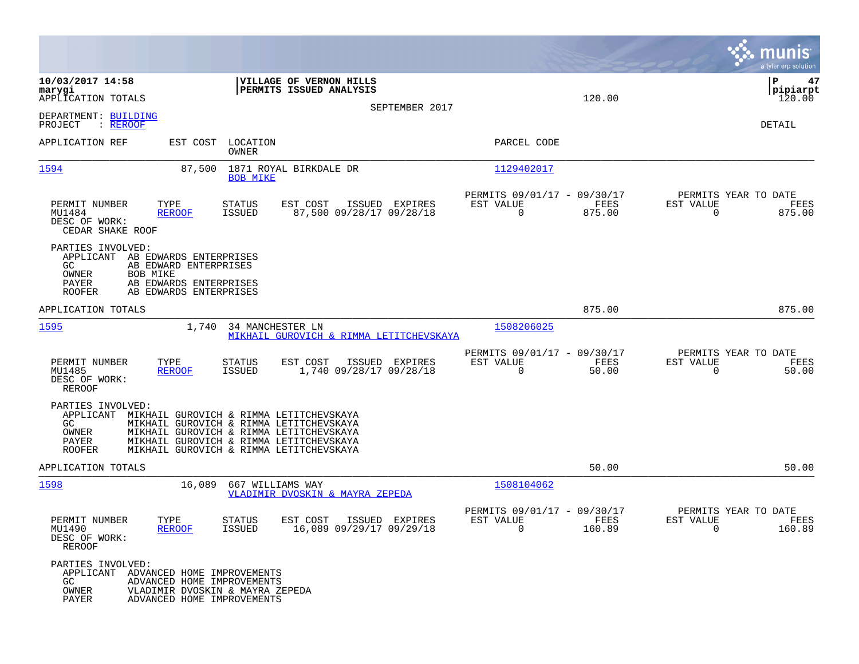|                                                                                                                  |                                                                                                     |                         |                                                                                                                                                                          |                |                                                            |                |                                                     | munis<br>a tyler erp solution   |
|------------------------------------------------------------------------------------------------------------------|-----------------------------------------------------------------------------------------------------|-------------------------|--------------------------------------------------------------------------------------------------------------------------------------------------------------------------|----------------|------------------------------------------------------------|----------------|-----------------------------------------------------|---------------------------------|
| 10/03/2017 14:58<br>marygi<br>APPLICATION TOTALS                                                                 |                                                                                                     |                         | VILLAGE OF VERNON HILLS<br>PERMITS ISSUED ANALYSIS                                                                                                                       | SEPTEMBER 2017 |                                                            | 120.00         |                                                     | 47<br>ΙP<br> pipiarpt<br>120.00 |
| DEPARTMENT: BUILDING<br>PROJECT<br>: REROOF                                                                      |                                                                                                     |                         |                                                                                                                                                                          |                |                                                            |                |                                                     | DETAIL                          |
| APPLICATION REF                                                                                                  | EST COST                                                                                            | LOCATION<br>OWNER       |                                                                                                                                                                          |                | PARCEL CODE                                                |                |                                                     |                                 |
| 1594                                                                                                             | 87,500                                                                                              | <b>BOB MIKE</b>         | 1871 ROYAL BIRKDALE DR                                                                                                                                                   |                | 1129402017                                                 |                |                                                     |                                 |
| PERMIT NUMBER<br>MU1484<br>DESC OF WORK:<br>CEDAR SHAKE ROOF                                                     | TYPE<br><b>REROOF</b>                                                                               | STATUS<br>ISSUED        | EST COST<br>87,500 09/28/17 09/28/18                                                                                                                                     | ISSUED EXPIRES | PERMITS 09/01/17 - 09/30/17<br>EST VALUE<br>$\mathbf 0$    | FEES<br>875.00 | PERMITS YEAR TO DATE<br>EST VALUE<br>0              | FEES<br>875.00                  |
| PARTIES INVOLVED:<br>APPLICANT<br>GC.<br>OWNER<br>BOB MIKE<br>PAYER<br><b>ROOFER</b>                             | AB EDWARDS ENTERPRISES<br>AB EDWARD ENTERPRISES<br>AB EDWARDS ENTERPRISES<br>AB EDWARDS ENTERPRISES |                         |                                                                                                                                                                          |                |                                                            |                |                                                     |                                 |
| APPLICATION TOTALS                                                                                               |                                                                                                     |                         |                                                                                                                                                                          |                |                                                            | 875.00         |                                                     | 875.00                          |
| <u> 1595</u>                                                                                                     | 1,740                                                                                               | 34 MANCHESTER LN        | MIKHAIL GUROVICH & RIMMA LETITCHEVSKAYA                                                                                                                                  |                | 1508206025                                                 |                |                                                     |                                 |
| PERMIT NUMBER<br>MU1485<br>DESC OF WORK:<br>REROOF                                                               | TYPE<br>REROOF                                                                                      | STATUS<br><b>ISSUED</b> | EST COST<br>1,740 09/28/17 09/28/18                                                                                                                                      | ISSUED EXPIRES | PERMITS 09/01/17 - 09/30/17<br>EST VALUE<br>$\Omega$       | FEES<br>50.00  | PERMITS YEAR TO DATE<br>EST VALUE<br>0              | FEES<br>50.00                   |
| PARTIES INVOLVED:<br>APPLICANT MIKHAIL GUROVICH & RIMMA LETITCHEVSKAYA<br>GC.<br>OWNER<br>PAYER<br><b>ROOFER</b> |                                                                                                     |                         | MIKHAIL GUROVICH & RIMMA LETITCHEVSKAYA<br>MIKHAIL GUROVICH & RIMMA LETITCHEVSKAYA<br>MIKHAIL GUROVICH & RIMMA LETITCHEVSKAYA<br>MIKHAIL GUROVICH & RIMMA LETITCHEVSKAYA |                |                                                            |                |                                                     |                                 |
| APPLICATION TOTALS                                                                                               |                                                                                                     |                         |                                                                                                                                                                          |                |                                                            | 50.00          |                                                     | 50.00                           |
| 1598                                                                                                             | 16,089                                                                                              | 667 WILLIAMS WAY        | VLADIMIR DVOSKIN & MAYRA ZEPEDA                                                                                                                                          |                | 1508104062                                                 |                |                                                     |                                 |
| PERMIT NUMBER<br>MU1490<br>DESC OF WORK:<br>REROOF                                                               | TYPE<br><b>REROOF</b>                                                                               | STATUS<br>ISSUED        | EST COST<br>16,089 09/29/17 09/29/18                                                                                                                                     | ISSUED EXPIRES | PERMITS 09/01/17 - 09/30/17<br>EST VALUE<br>$\overline{0}$ | FEES<br>160.89 | PERMITS YEAR TO DATE<br>EST VALUE<br>$\overline{0}$ | FEES<br>160.89                  |
| PARTIES INVOLVED:<br>APPLICANT ADVANCED HOME IMPROVEMENTS<br>GC<br>OWNER<br>PAYER                                | ADVANCED HOME IMPROVEMENTS<br>VLADIMIR DVOSKIN & MAYRA ZEPEDA<br>ADVANCED HOME IMPROVEMENTS         |                         |                                                                                                                                                                          |                |                                                            |                |                                                     |                                 |

 $\mathcal{L}^{\text{max}}$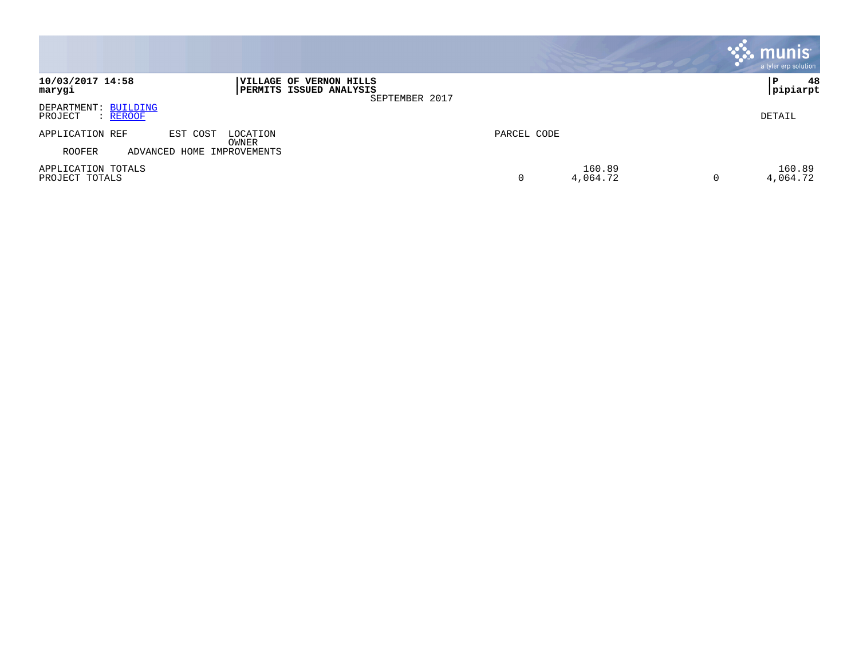|                                               |                                                                             |             |                    |   | <b>munis</b><br>a tyler erp solution |
|-----------------------------------------------|-----------------------------------------------------------------------------|-------------|--------------------|---|--------------------------------------|
| 10/03/2017 14:58<br>marygi                    | VILLAGE OF VERNON HILLS<br><b>PERMITS ISSUED ANALYSIS</b><br>SEPTEMBER 2017 |             |                    |   | 48<br>P<br> pipiarpt                 |
| DEPARTMENT: BUILDING<br>PROJECT<br>: REROOF   |                                                                             |             |                    |   | DETAIL                               |
| APPLICATION REF<br>EST COST<br>LOCATION       |                                                                             | PARCEL CODE |                    |   |                                      |
| OWNER<br>ROOFER<br>ADVANCED HOME IMPROVEMENTS |                                                                             |             |                    |   |                                      |
| APPLICATION TOTALS<br>PROJECT TOTALS          |                                                                             | 0           | 160.89<br>4,064.72 | 0 | 160.89<br>4,064.72                   |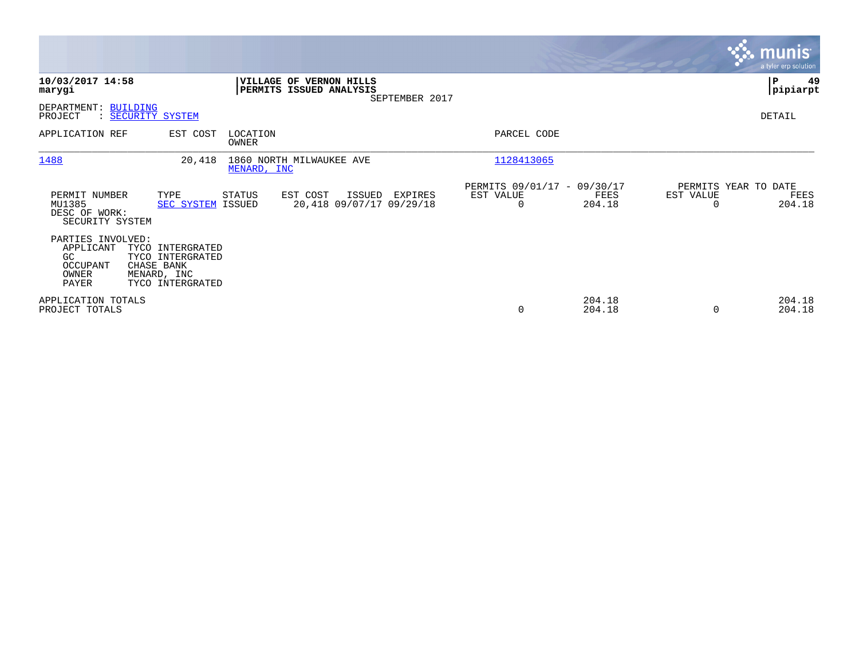|                                                                     |                                                                                       |                   |                                                           |                |                                                      |                  |                                               | <b>munis</b><br>a tyler erp solution |
|---------------------------------------------------------------------|---------------------------------------------------------------------------------------|-------------------|-----------------------------------------------------------|----------------|------------------------------------------------------|------------------|-----------------------------------------------|--------------------------------------|
| 10/03/2017 14:58<br>marygi                                          |                                                                                       |                   | <b>VILLAGE OF VERNON HILLS</b><br>PERMITS ISSUED ANALYSIS | SEPTEMBER 2017 |                                                      |                  |                                               | P<br>49<br> pipiarpt                 |
| DEPARTMENT: BUILDING<br>PROJECT                                     | : SECURITY SYSTEM                                                                     |                   |                                                           |                |                                                      |                  |                                               | DETAIL                               |
| APPLICATION REF                                                     | EST COST                                                                              | LOCATION<br>OWNER |                                                           |                | PARCEL CODE                                          |                  |                                               |                                      |
| 1488                                                                | 20,418                                                                                | MENARD, INC       | 1860 NORTH MILWAUKEE AVE                                  |                | 1128413065                                           |                  |                                               |                                      |
| PERMIT NUMBER<br>MU1385<br>DESC OF WORK:<br>SECURITY SYSTEM         | TYPE<br>SEC SYSTEM ISSUED                                                             | STATUS            | EST COST<br>ISSUED<br>20,418 09/07/17 09/29/18            | EXPIRES        | PERMITS 09/01/17 - 09/30/17<br>EST VALUE<br>$\Omega$ | FEES<br>204.18   | PERMITS YEAR TO DATE<br>EST VALUE<br>$\Omega$ | FEES<br>204.18                       |
| PARTIES INVOLVED:<br>APPLICANT<br>GC.<br>OCCUPANT<br>OWNER<br>PAYER | TYCO INTERGRATED<br>TYCO INTERGRATED<br>CHASE BANK<br>MENARD, INC<br>TYCO INTERGRATED |                   |                                                           |                |                                                      |                  |                                               |                                      |
| APPLICATION TOTALS<br>PROJECT TOTALS                                |                                                                                       |                   |                                                           |                | 0                                                    | 204.18<br>204.18 | 0                                             | 204.18<br>204.18                     |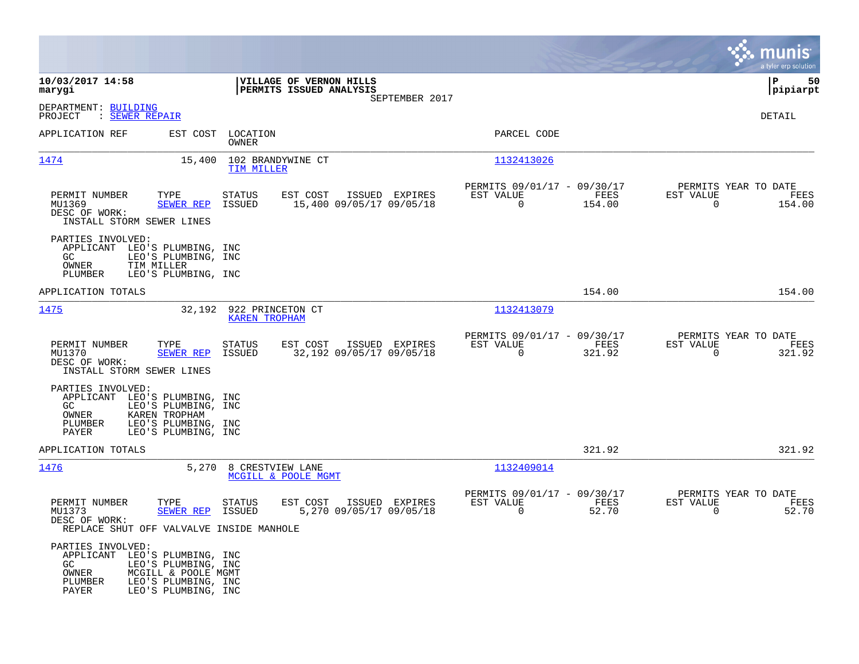|                                                                                                                                                                                    |                                                                            |                                                                           | munis<br>a tyler erp solution                                      |
|------------------------------------------------------------------------------------------------------------------------------------------------------------------------------------|----------------------------------------------------------------------------|---------------------------------------------------------------------------|--------------------------------------------------------------------|
| 10/03/2017 14:58<br>marygi                                                                                                                                                         | VILLAGE OF VERNON HILLS<br>PERMITS ISSUED ANALYSIS<br>SEPTEMBER 2017       |                                                                           | lР<br>50<br> pipiarpt                                              |
| DEPARTMENT: BUILDING<br>PROJECT<br>: SEWER REPAIR                                                                                                                                  |                                                                            |                                                                           | DETAIL                                                             |
| APPLICATION REF<br>EST COST                                                                                                                                                        | LOCATION<br>OWNER                                                          | PARCEL CODE                                                               |                                                                    |
| 1474<br>15,400                                                                                                                                                                     | 102 BRANDYWINE CT<br>TIM MILLER                                            | 1132413026                                                                |                                                                    |
| TYPE<br>PERMIT NUMBER<br>MU1369<br>SEWER REP<br>DESC OF WORK:<br>INSTALL STORM SEWER LINES                                                                                         | EST COST<br>STATUS<br>ISSUED EXPIRES<br>ISSUED<br>15,400 09/05/17 09/05/18 | PERMITS 09/01/17 - 09/30/17<br>EST VALUE<br>FEES<br>$\mathbf 0$<br>154.00 | PERMITS YEAR TO DATE<br>EST VALUE<br>FEES<br>$\mathbf 0$<br>154.00 |
| PARTIES INVOLVED:<br>APPLICANT LEO'S PLUMBING, INC<br>GC<br>LEO'S PLUMBING, INC<br>TIM MILLER<br>OWNER<br>LEO'S PLUMBING, INC<br>PLUMBER                                           |                                                                            |                                                                           |                                                                    |
| APPLICATION TOTALS                                                                                                                                                                 |                                                                            | 154.00                                                                    | 154.00                                                             |
| 1475<br>32,192                                                                                                                                                                     | 922 PRINCETON CT<br><b>KAREN TROPHAM</b>                                   | 1132413079                                                                |                                                                    |
| PERMIT NUMBER<br>TYPE<br>MU1370<br><b>SEWER REP</b><br>DESC OF WORK:<br>INSTALL STORM SEWER LINES                                                                                  | STATUS<br>EST COST<br>ISSUED EXPIRES<br>32,192 09/05/17 09/05/18<br>ISSUED | PERMITS 09/01/17 - 09/30/17<br>EST VALUE<br>FEES<br>$\mathbf 0$<br>321.92 | PERMITS YEAR TO DATE<br>EST VALUE<br>FEES<br>$\mathbf 0$<br>321.92 |
| PARTIES INVOLVED:<br>APPLICANT LEO'S PLUMBING, INC<br>GC<br>LEO'S PLUMBING, INC<br>KAREN TROPHAM<br>OWNER<br>LEO'S PLUMBING, INC<br>PLUMBER<br>PAYER<br>LEO'S PLUMBING, INC        |                                                                            |                                                                           |                                                                    |
| APPLICATION TOTALS                                                                                                                                                                 |                                                                            | 321.92                                                                    | 321.92                                                             |
| 1476                                                                                                                                                                               | 5,270 8 CRESTVIEW LANE<br>MCGILL & POOLE MGMT                              | 1132409014                                                                |                                                                    |
| PERMIT NUMBER<br>TYPE<br>MU1373<br><b>SEWER REP</b><br>DESC OF WORK:<br>REPLACE SHUT OFF VALVALVE INSIDE MANHOLE                                                                   | STATUS<br>EST COST<br>ISSUED EXPIRES<br>ISSUED<br>5,270 09/05/17 09/05/18  | PERMITS 09/01/17 - 09/30/17<br>EST VALUE<br>FEES<br>$\mathbf 0$<br>52.70  | PERMITS YEAR TO DATE<br>EST VALUE<br>FEES<br>$\mathbf 0$<br>52.70  |
| PARTIES INVOLVED:<br>APPLICANT LEO'S PLUMBING, INC<br>LEO'S PLUMBING, INC<br>GC.<br>OWNER<br>MCGILL & POOLE MGMT<br>LEO'S PLUMBING, INC<br>PLUMBER<br>PAYER<br>LEO'S PLUMBING, INC |                                                                            |                                                                           |                                                                    |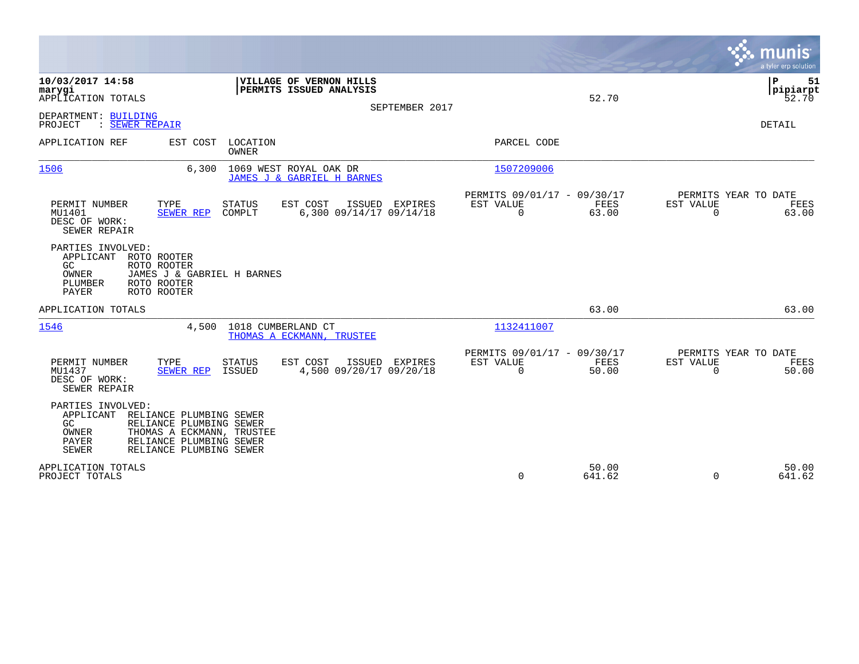|                                                                                                                                                                                                                        | munis<br>a tyler erp solution                                                                                                           |                          |
|------------------------------------------------------------------------------------------------------------------------------------------------------------------------------------------------------------------------|-----------------------------------------------------------------------------------------------------------------------------------------|--------------------------|
| 10/03/2017 14:58<br>VILLAGE OF VERNON HILLS<br>PERMITS ISSUED ANALYSIS<br>marygi<br>APPLICATION TOTALS                                                                                                                 | ΙP<br>52.70<br>SEPTEMBER 2017                                                                                                           | 51<br> pipiarpt<br>52.70 |
| DEPARTMENT: BUILDING<br>: SEWER REPAIR<br>PROJECT                                                                                                                                                                      | DETAIL                                                                                                                                  |                          |
| LOCATION<br>APPLICATION REF<br>EST COST<br>OWNER                                                                                                                                                                       | PARCEL CODE                                                                                                                             |                          |
| 1506<br>6,300<br>1069 WEST ROYAL OAK DR<br>JAMES J & GABRIEL H BARNES                                                                                                                                                  | 1507209006                                                                                                                              |                          |
| PERMIT NUMBER<br>TYPE<br><b>STATUS</b><br>EST COST<br>ISSUED<br>MU1401<br>COMPLT<br>6,300 09/14/17 09/14/18<br>SEWER REP<br>DESC OF WORK:<br>SEWER REPAIR                                                              | PERMITS 09/01/17 - 09/30/17<br>PERMITS YEAR TO DATE<br>FEES<br>EXPIRES<br>EST VALUE<br>EST VALUE<br>$\mathbf 0$<br>63.00<br>$\mathbf 0$ | FEES<br>63.00            |
| PARTIES INVOLVED:<br>APPLICANT<br>ROTO ROOTER<br>ROTO ROOTER<br>GC.<br>OWNER<br>JAMES J & GABRIEL H BARNES<br>PLUMBER<br>ROTO ROOTER<br><b>PAYER</b><br>ROTO ROOTER                                                    |                                                                                                                                         |                          |
| APPLICATION TOTALS                                                                                                                                                                                                     | 63.00                                                                                                                                   | 63.00                    |
| 4,500<br>1018 CUMBERLAND CT<br>1546<br>THOMAS A ECKMANN, TRUSTEE                                                                                                                                                       | 1132411007                                                                                                                              |                          |
| PERMIT NUMBER<br><b>STATUS</b><br>EST COST<br>ISSUED<br>TYPE<br>MU1437<br>SEWER REP<br><b>ISSUED</b><br>4,500 09/20/17 09/20/18<br>DESC OF WORK:<br>SEWER REPAIR                                                       | PERMITS 09/01/17 - 09/30/17<br>PERMITS YEAR TO DATE<br>EST VALUE<br>EST VALUE<br>FEES<br>EXPIRES<br>$\Omega$<br>50.00<br>$\mathbf 0$    | FEES<br>50.00            |
| PARTIES INVOLVED:<br>APPLICANT<br>RELIANCE PLUMBING SEWER<br>GC<br>RELIANCE PLUMBING SEWER<br>OWNER<br>THOMAS A ECKMANN, TRUSTEE<br><b>PAYER</b><br>RELIANCE PLUMBING SEWER<br><b>SEWER</b><br>RELIANCE PLUMBING SEWER |                                                                                                                                         |                          |
| APPLICATION TOTALS<br>PROJECT TOTALS                                                                                                                                                                                   | 50.00<br>$\Omega$<br>641.62<br>$\Omega$                                                                                                 | 50.00<br>641.62          |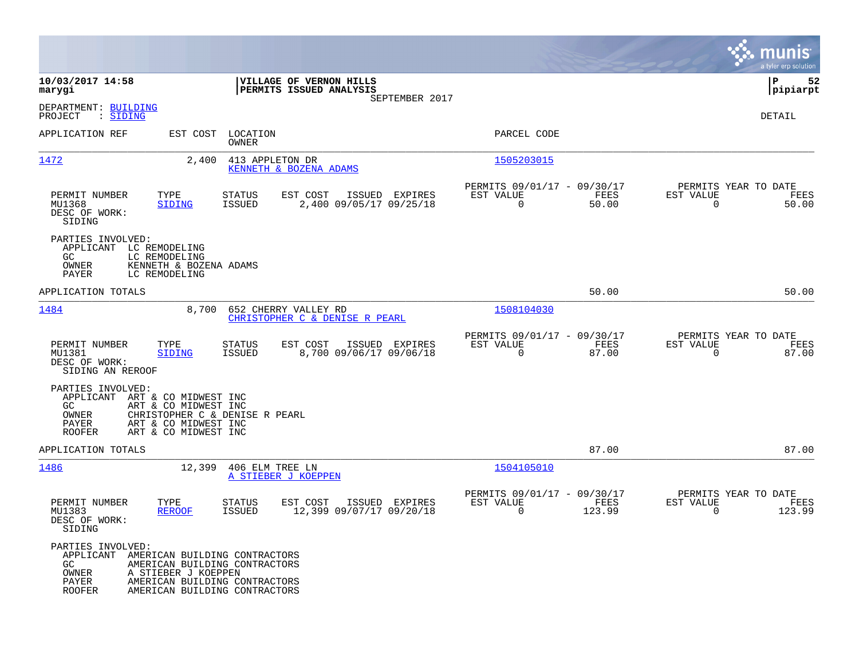|                                                                                |                                                                                                                                                         |                                |                                                        |                |                                                         |                |                                                  | munis<br>a tyler erp solution |
|--------------------------------------------------------------------------------|---------------------------------------------------------------------------------------------------------------------------------------------------------|--------------------------------|--------------------------------------------------------|----------------|---------------------------------------------------------|----------------|--------------------------------------------------|-------------------------------|
| 10/03/2017 14:58<br>marygi                                                     |                                                                                                                                                         |                                | VILLAGE OF VERNON HILLS<br>PERMITS ISSUED ANALYSIS     | SEPTEMBER 2017 |                                                         |                |                                                  | P<br>52<br> pipiarpt          |
| DEPARTMENT: BUILDING<br>: SIDING<br>PROJECT                                    |                                                                                                                                                         |                                |                                                        |                |                                                         |                |                                                  | <b>DETAIL</b>                 |
| APPLICATION REF                                                                | EST COST                                                                                                                                                | LOCATION<br>OWNER              |                                                        |                | PARCEL CODE                                             |                |                                                  |                               |
| 1472                                                                           | 2,400                                                                                                                                                   | 413 APPLETON DR                | KENNETH & BOZENA ADAMS                                 |                | 1505203015                                              |                |                                                  |                               |
| PERMIT NUMBER<br>MU1368<br>DESC OF WORK:<br>SIDING                             | TYPE<br>SIDING                                                                                                                                          | STATUS<br><b>ISSUED</b>        | EST COST<br>2,400 09/05/17 09/25/18                    | ISSUED EXPIRES | PERMITS 09/01/17 - 09/30/17<br>EST VALUE<br>$\Omega$    | FEES<br>50.00  | PERMITS YEAR TO DATE<br>EST VALUE<br>$\Omega$    | FEES<br>50.00                 |
| PARTIES INVOLVED:<br>APPLICANT<br>GC.<br>OWNER<br>PAYER                        | LC REMODELING<br>LC REMODELING<br>KENNETH & BOZENA ADAMS<br>LC REMODELING                                                                               |                                |                                                        |                |                                                         |                |                                                  |                               |
| APPLICATION TOTALS                                                             |                                                                                                                                                         |                                |                                                        |                |                                                         | 50.00          |                                                  | 50.00                         |
| 1484                                                                           | 8,700                                                                                                                                                   |                                | 652 CHERRY VALLEY RD<br>CHRISTOPHER C & DENISE R PEARL |                | 1508104030                                              |                |                                                  |                               |
| PERMIT NUMBER<br>MU1381<br>DESC OF WORK:<br>SIDING AN REROOF                   | TYPE<br><b>SIDING</b>                                                                                                                                   | <b>STATUS</b><br><b>ISSUED</b> | EST COST<br>8,700 09/06/17 09/06/18                    | ISSUED EXPIRES | PERMITS 09/01/17 - 09/30/17<br>EST VALUE<br>$\mathbf 0$ | FEES<br>87.00  | PERMITS YEAR TO DATE<br>EST VALUE<br>$\mathbf 0$ | FEES<br>87.00                 |
| PARTIES INVOLVED:<br>APPLICANT<br>GC<br>OWNER<br><b>PAYER</b><br><b>ROOFER</b> | ART & CO MIDWEST INC<br>ART & CO MIDWEST INC<br>CHRISTOPHER C & DENISE R PEARL<br>ART & CO MIDWEST INC<br>ART & CO MIDWEST INC                          |                                |                                                        |                |                                                         |                |                                                  |                               |
| APPLICATION TOTALS                                                             |                                                                                                                                                         |                                |                                                        |                |                                                         | 87.00          |                                                  | 87.00                         |
| 1486                                                                           | 12,399                                                                                                                                                  | 406 ELM TREE LN                | A STIEBER J KOEPPEN                                    |                | <u>1504105010</u>                                       |                |                                                  |                               |
| PERMIT NUMBER<br>MU1383<br>DESC OF WORK:<br>SIDING                             | TYPE<br><b>REROOF</b>                                                                                                                                   | <b>STATUS</b><br><b>ISSUED</b> | EST COST<br>12,399 09/07/17 09/20/18                   | ISSUED EXPIRES | PERMITS 09/01/17 - 09/30/17<br>EST VALUE<br>$\mathbf 0$ | FEES<br>123.99 | PERMITS YEAR TO DATE<br>EST VALUE<br>$\mathbf 0$ | FEES<br>123.99                |
| PARTIES INVOLVED:<br>APPLICANT<br>GC.<br>OWNER<br>PAYER<br>ROOFER              | AMERICAN BUILDING CONTRACTORS<br>AMERICAN BUILDING CONTRACTORS<br>A STIEBER J KOEPPEN<br>AMERICAN BUILDING CONTRACTORS<br>AMERICAN BUILDING CONTRACTORS |                                |                                                        |                |                                                         |                |                                                  |                               |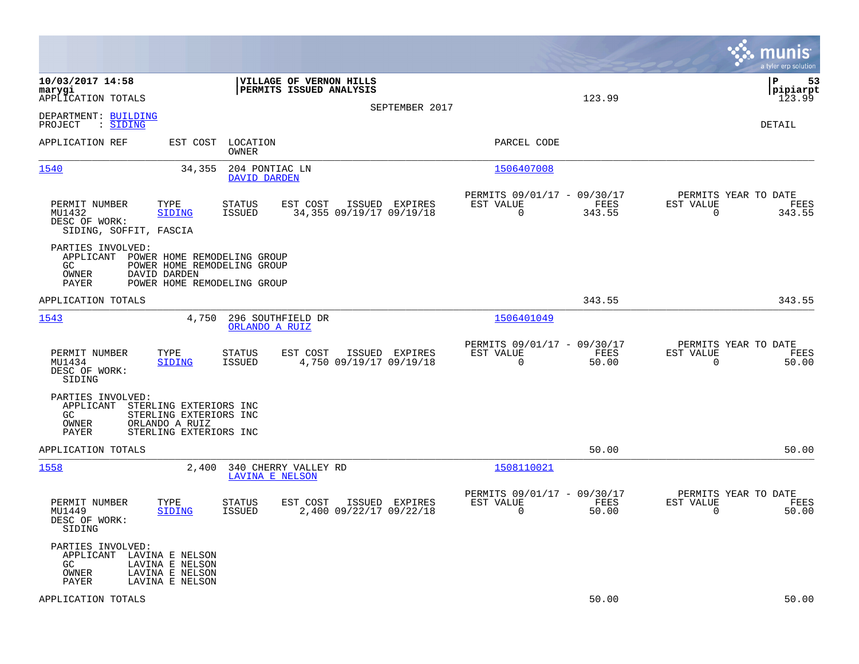|                                                                                     |                                                                                              |                                         |                                                    |                                            |                                                         |                |                                                  | munis<br>a tyler erp solution    |
|-------------------------------------------------------------------------------------|----------------------------------------------------------------------------------------------|-----------------------------------------|----------------------------------------------------|--------------------------------------------|---------------------------------------------------------|----------------|--------------------------------------------------|----------------------------------|
| 10/03/2017 14:58<br>marygi<br>APPLICATION TOTALS                                    |                                                                                              |                                         | VILLAGE OF VERNON HILLS<br>PERMITS ISSUED ANALYSIS |                                            |                                                         | 123.99         |                                                  | l P<br>53<br> pipiarpt<br>123.99 |
| DEPARTMENT: BUILDING<br>: SIDING<br>PROJECT                                         |                                                                                              |                                         |                                                    | SEPTEMBER 2017                             |                                                         |                |                                                  | <b>DETAIL</b>                    |
| APPLICATION REF                                                                     | EST COST                                                                                     | LOCATION<br>OWNER                       |                                                    |                                            | PARCEL CODE                                             |                |                                                  |                                  |
| 1540                                                                                | 34,355                                                                                       | 204 PONTIAC LN<br>DAVID DARDEN          |                                                    |                                            | 1506407008                                              |                |                                                  |                                  |
| PERMIT NUMBER<br>MU1432<br>DESC OF WORK:<br>SIDING, SOFFIT, FASCIA                  | TYPE<br><b>SIDING</b>                                                                        | STATUS<br>ISSUED                        | EST COST                                           | ISSUED EXPIRES<br>34,355 09/19/17 09/19/18 | PERMITS 09/01/17 - 09/30/17<br>EST VALUE<br>$\Omega$    | FEES<br>343.55 | PERMITS YEAR TO DATE<br>EST VALUE<br>$\mathbf 0$ | FEES<br>343.55                   |
| PARTIES INVOLVED:<br>APPLICANT POWER HOME REMODELING GROUP<br>GC.<br>OWNER<br>PAYER | POWER HOME REMODELING GROUP<br>DAVID DARDEN<br>POWER HOME REMODELING GROUP                   |                                         |                                                    |                                            |                                                         |                |                                                  |                                  |
| APPLICATION TOTALS                                                                  |                                                                                              |                                         |                                                    |                                            |                                                         | 343.55         |                                                  | 343.55                           |
| 1543                                                                                | 4,750                                                                                        | 296 SOUTHFIELD DR<br>ORLANDO A RUIZ     |                                                    |                                            | 1506401049                                              |                |                                                  |                                  |
| PERMIT NUMBER<br>MU1434<br>DESC OF WORK:<br>SIDING                                  | TYPE<br><b>SIDING</b>                                                                        | STATUS<br>ISSUED                        | EST COST                                           | ISSUED EXPIRES<br>4,750 09/19/17 09/19/18  | PERMITS 09/01/17 - 09/30/17<br>EST VALUE<br>$\mathbf 0$ | FEES<br>50.00  | PERMITS YEAR TO DATE<br>EST VALUE<br>$\mathbf 0$ | FEES<br>50.00                    |
| PARTIES INVOLVED:<br>APPLICANT<br>GC.<br>OWNER<br>PAYER                             | STERLING EXTERIORS INC<br>STERLING EXTERIORS INC<br>ORLANDO A RUIZ<br>STERLING EXTERIORS INC |                                         |                                                    |                                            |                                                         |                |                                                  |                                  |
| APPLICATION TOTALS                                                                  |                                                                                              |                                         |                                                    |                                            |                                                         | 50.00          |                                                  | 50.00                            |
| <u>1558</u>                                                                         | 2,400                                                                                        | 340 CHERRY VALLEY RD<br>LAVINA E NELSON |                                                    |                                            | 1508110021                                              |                |                                                  |                                  |
| PERMIT NUMBER<br>MU1449<br>DESC OF WORK:<br>SIDING                                  | TYPE<br>SIDING                                                                               | STATUS<br><b>ISSUED</b>                 | EST COST                                           | ISSUED EXPIRES<br>2,400 09/22/17 09/22/18  | PERMITS 09/01/17 - 09/30/17<br>EST VALUE<br>$\mathbf 0$ | FEES<br>50.00  | PERMITS YEAR TO DATE<br>EST VALUE<br>0           | FEES<br>50.00                    |
| PARTIES INVOLVED:<br>APPLICANT<br>GC.<br>OWNER<br>PAYER                             | LAVINA E NELSON<br>LAVINA E NELSON<br>LAVINA E NELSON<br>LAVINA E NELSON                     |                                         |                                                    |                                            |                                                         |                |                                                  |                                  |
| APPLICATION TOTALS                                                                  |                                                                                              |                                         |                                                    |                                            |                                                         | 50.00          |                                                  | 50.00                            |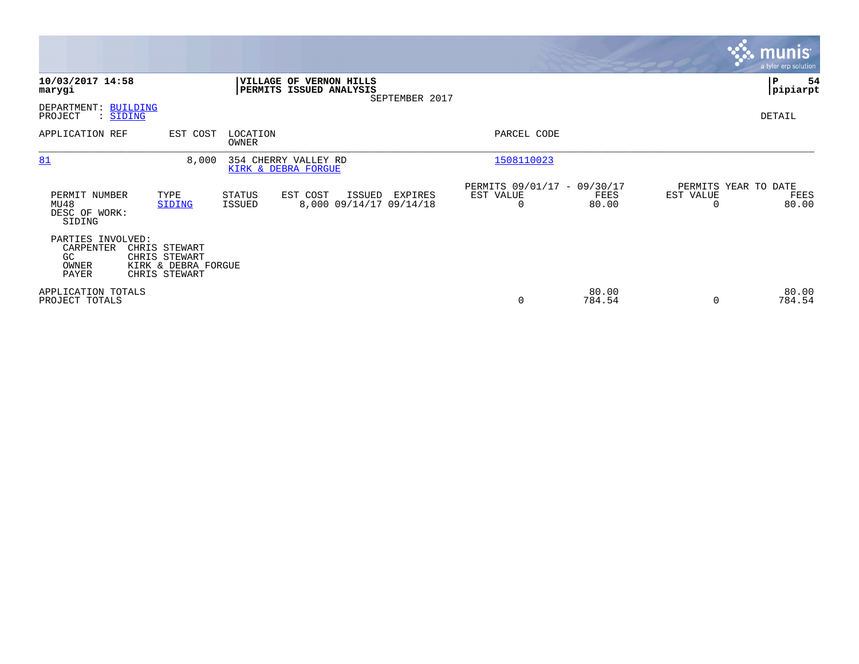|                                                        |                                                                        |                         |                                                    |                |                                                      |                 |                                        | <b>munis</b><br>a tyler erp solution |
|--------------------------------------------------------|------------------------------------------------------------------------|-------------------------|----------------------------------------------------|----------------|------------------------------------------------------|-----------------|----------------------------------------|--------------------------------------|
| 10/03/2017 14:58<br>marygi                             |                                                                        |                         | VILLAGE OF VERNON HILLS<br>PERMITS ISSUED ANALYSIS | SEPTEMBER 2017 |                                                      |                 |                                        | 54<br>P<br> pipiarpt                 |
| DEPARTMENT: BUILDING<br>PROJECT<br>: SIDING            |                                                                        |                         |                                                    |                |                                                      |                 |                                        | DETAIL                               |
| APPLICATION REF                                        | EST COST                                                               | LOCATION<br>OWNER       |                                                    |                | PARCEL CODE                                          |                 |                                        |                                      |
| 81                                                     | 8,000                                                                  |                         | 354 CHERRY VALLEY RD<br>KIRK & DEBRA FORGUE        |                | 1508110023                                           |                 |                                        |                                      |
| PERMIT NUMBER<br>MU48<br>DESC OF WORK:<br>SIDING       | TYPE<br>SIDING                                                         | STATUS<br><b>ISSUED</b> | EST COST<br>ISSUED<br>8,000 09/14/17 09/14/18      | EXPIRES        | PERMITS 09/01/17 - 09/30/17<br>EST VALUE<br>$\Omega$ | FEES<br>80.00   | PERMITS YEAR TO DATE<br>EST VALUE<br>0 | FEES<br>80.00                        |
| PARTIES INVOLVED:<br>CARPENTER<br>GC<br>OWNER<br>PAYER | CHRIS STEWART<br>CHRIS STEWART<br>KIRK & DEBRA FORGUE<br>CHRIS STEWART |                         |                                                    |                |                                                      |                 |                                        |                                      |
| APPLICATION TOTALS<br>PROJECT TOTALS                   |                                                                        |                         |                                                    |                | 0                                                    | 80.00<br>784.54 | $\Omega$                               | 80.00<br>784.54                      |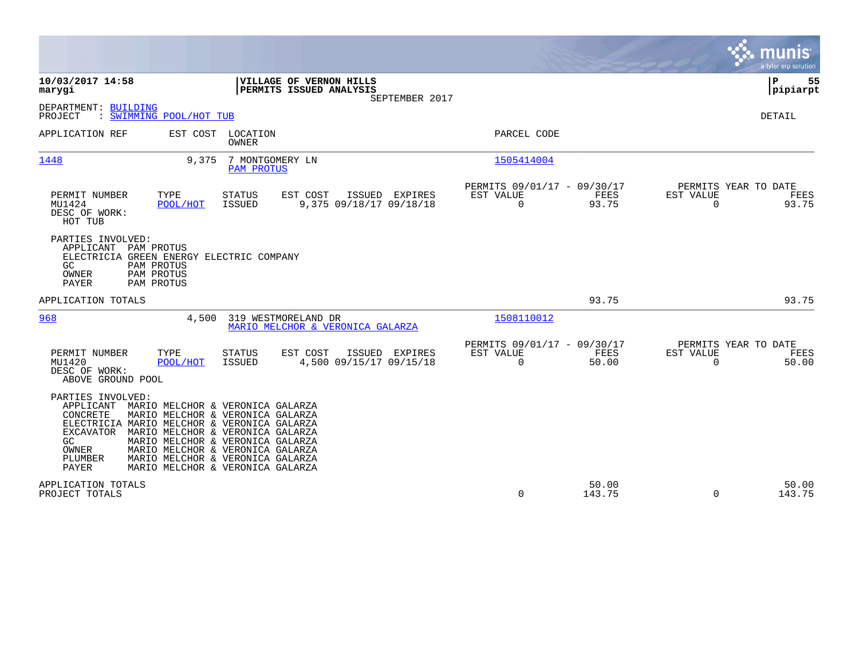|                                                                                                                                                                                                                                                                                                                                                                                                            |                                                                      |                                                         |                                           | munis<br>a tyler erp solution         |
|------------------------------------------------------------------------------------------------------------------------------------------------------------------------------------------------------------------------------------------------------------------------------------------------------------------------------------------------------------------------------------------------------------|----------------------------------------------------------------------|---------------------------------------------------------|-------------------------------------------|---------------------------------------|
| 10/03/2017 14:58<br>marygi                                                                                                                                                                                                                                                                                                                                                                                 | VILLAGE OF VERNON HILLS<br>PERMITS ISSUED ANALYSIS<br>SEPTEMBER 2017 |                                                         |                                           | Þ<br>55<br> pipiarpt                  |
| DEPARTMENT: BUILDING<br>: SWIMMING POOL/HOT TUB<br>PROJECT                                                                                                                                                                                                                                                                                                                                                 |                                                                      |                                                         |                                           | <b>DETAIL</b>                         |
| LOCATION<br>APPLICATION REF<br>EST COST<br><b>OWNER</b>                                                                                                                                                                                                                                                                                                                                                    |                                                                      | PARCEL CODE                                             |                                           |                                       |
| 1448<br>9,375<br><b>PAM PROTUS</b>                                                                                                                                                                                                                                                                                                                                                                         | 7 MONTGOMERY LN                                                      | 1505414004                                              |                                           |                                       |
| PERMIT NUMBER<br>TYPE<br><b>STATUS</b><br>MU1424<br><b>ISSUED</b><br>POOL/HOT<br>DESC OF WORK:<br>HOT TUB                                                                                                                                                                                                                                                                                                  | EST COST<br>ISSUED<br><b>EXPIRES</b><br>9,375 09/18/17 09/18/18      | PERMITS 09/01/17 - 09/30/17<br>EST VALUE<br>$\Omega$    | FEES<br>EST VALUE<br>93.75<br>$\Omega$    | PERMITS YEAR TO DATE<br>FEES<br>93.75 |
| PARTIES INVOLVED:<br>APPLICANT PAM PROTUS<br>ELECTRICIA GREEN ENERGY ELECTRIC COMPANY<br>PAM PROTUS<br>GC.<br>OWNER<br>PAM PROTUS<br>PAYER<br>PAM PROTUS                                                                                                                                                                                                                                                   |                                                                      |                                                         |                                           |                                       |
| APPLICATION TOTALS                                                                                                                                                                                                                                                                                                                                                                                         |                                                                      |                                                         | 93.75                                     | 93.75                                 |
| 968<br>4,500                                                                                                                                                                                                                                                                                                                                                                                               | 319 WESTMORELAND DR<br>MARIO MELCHOR & VERONICA GALARZA              | 1508110012                                              |                                           |                                       |
| PERMIT NUMBER<br>TYPE<br><b>STATUS</b><br>MU1420<br>POOL/HOT<br><b>ISSUED</b><br>DESC OF WORK:<br>ABOVE GROUND POOL                                                                                                                                                                                                                                                                                        | EST COST<br>ISSUED<br>EXPIRES<br>4,500 09/15/17 09/15/18             | PERMITS 09/01/17 - 09/30/17<br>EST VALUE<br>$\mathbf 0$ | FEES<br>EST VALUE<br>50.00<br>$\mathbf 0$ | PERMITS YEAR TO DATE<br>FEES<br>50.00 |
| PARTIES INVOLVED:<br>APPLICANT MARIO MELCHOR & VERONICA GALARZA<br>CONCRETE<br>MARIO MELCHOR & VERONICA GALARZA<br>ELECTRICIA MARIO MELCHOR & VERONICA GALARZA<br><b>EXCAVATOR</b><br>MARIO MELCHOR & VERONICA GALARZA<br>MARIO MELCHOR & VERONICA GALARZA<br>GC.<br>MARIO MELCHOR & VERONICA GALARZA<br>OWNER<br>PLUMBER<br>MARIO MELCHOR & VERONICA GALARZA<br>MARIO MELCHOR & VERONICA GALARZA<br>PAYER |                                                                      |                                                         |                                           |                                       |
| APPLICATION TOTALS<br>PROJECT TOTALS                                                                                                                                                                                                                                                                                                                                                                       |                                                                      | $\Omega$                                                | 50.00<br>143.75<br>$\Omega$               | 50.00<br>143.75                       |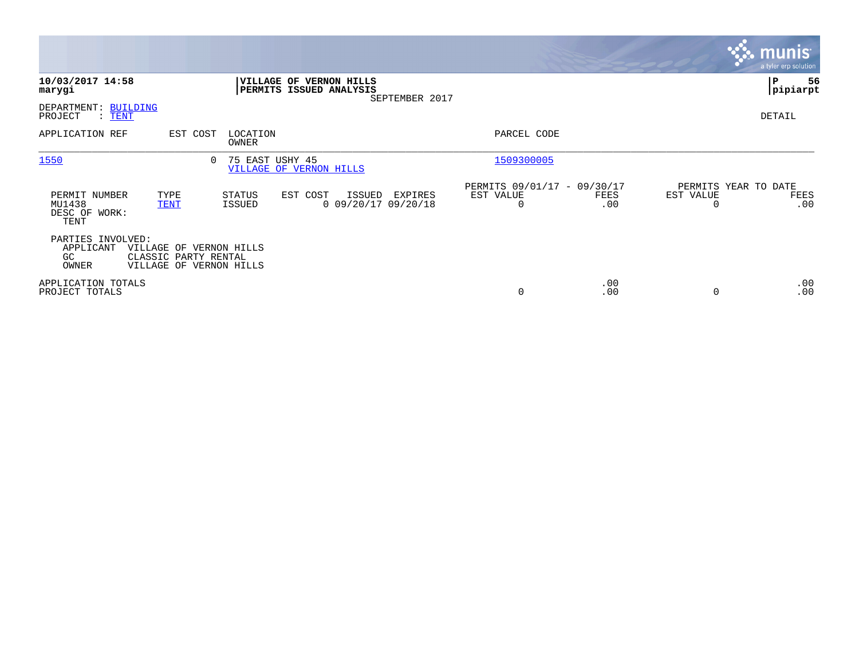|                                                  |                                                                            |                   |                                                    |                |                                               |             |                | munis<br>a tyler erp solution       |
|--------------------------------------------------|----------------------------------------------------------------------------|-------------------|----------------------------------------------------|----------------|-----------------------------------------------|-------------|----------------|-------------------------------------|
| 10/03/2017 14:58<br>marygi                       |                                                                            |                   | VILLAGE OF VERNON HILLS<br>PERMITS ISSUED ANALYSIS | SEPTEMBER 2017 |                                               |             |                | P<br>56<br> pipiarpt                |
| DEPARTMENT: BUILDING<br>PROJECT<br>$\colon$ TENT |                                                                            |                   |                                                    |                |                                               |             |                | DETAIL                              |
| APPLICATION REF                                  | EST COST                                                                   | LOCATION<br>OWNER |                                                    |                | PARCEL CODE                                   |             |                |                                     |
| 1550                                             | 0                                                                          | 75 EAST USHY 45   | VILLAGE OF VERNON HILLS                            |                | 1509300005                                    |             |                |                                     |
| PERMIT NUMBER<br>MU1438<br>DESC OF WORK:<br>TENT | TYPE<br><b>TENT</b>                                                        | STATUS<br>ISSUED  | EST COST<br>ISSUED<br>$0$ 09/20/17 09/20/18        | EXPIRES        | PERMITS 09/01/17 - 09/30/17<br>EST VALUE<br>0 | FEES<br>.00 | EST VALUE<br>0 | PERMITS YEAR TO DATE<br>FEES<br>.00 |
| PARTIES INVOLVED:<br>APPLICANT<br>GC.<br>OWNER   | VILLAGE OF VERNON HILLS<br>CLASSIC PARTY RENTAL<br>VILLAGE OF VERNON HILLS |                   |                                                    |                |                                               |             |                |                                     |
| APPLICATION TOTALS<br>PROJECT TOTALS             |                                                                            |                   |                                                    |                | 0                                             | .00<br>.00  | 0              | .00<br>.00                          |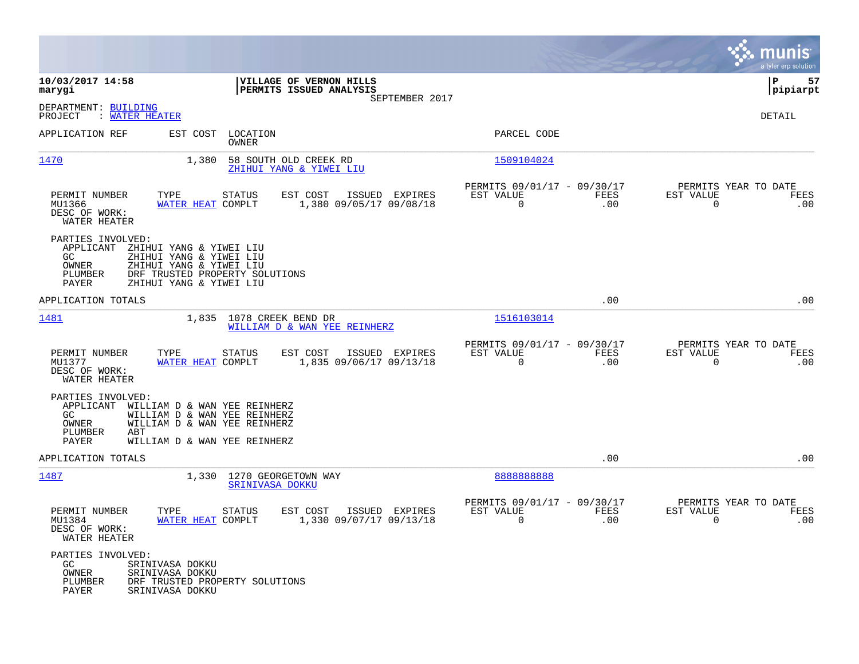|                                                                   |                                                                                                                                            |                                   |                                                          |                |                                                         |             |                                                  | munis<br>a tyler erp solution |
|-------------------------------------------------------------------|--------------------------------------------------------------------------------------------------------------------------------------------|-----------------------------------|----------------------------------------------------------|----------------|---------------------------------------------------------|-------------|--------------------------------------------------|-------------------------------|
| 10/03/2017 14:58<br>marygi                                        |                                                                                                                                            |                                   | VILLAGE OF VERNON HILLS<br>PERMITS ISSUED ANALYSIS       | SEPTEMBER 2017 |                                                         |             |                                                  | lР<br>57<br> pipiarpt         |
| DEPARTMENT: BUILDING<br>PROJECT                                   | : WATER HEATER                                                                                                                             |                                   |                                                          |                |                                                         |             |                                                  | <b>DETAIL</b>                 |
| APPLICATION REF                                                   |                                                                                                                                            | EST COST LOCATION<br><b>OWNER</b> |                                                          |                | PARCEL CODE                                             |             |                                                  |                               |
| <u> 1470</u>                                                      | 1,380                                                                                                                                      |                                   | 58 SOUTH OLD CREEK RD<br>ZHIHUI YANG & YIWEI LIU         |                | 1509104024                                              |             |                                                  |                               |
| PERMIT NUMBER<br>MU1366<br>DESC OF WORK:<br>WATER HEATER          | TYPE<br>WATER HEAT COMPLT                                                                                                                  | STATUS                            | EST COST<br>1,380 09/05/17 09/08/18                      | ISSUED EXPIRES | PERMITS 09/01/17 - 09/30/17<br>EST VALUE<br>0           | FEES<br>.00 | PERMITS YEAR TO DATE<br>EST VALUE<br>0           | FEES<br>.00                   |
| PARTIES INVOLVED:<br>APPLICANT<br>GC<br>OWNER<br>PLUMBER<br>PAYER | ZHIHUI YANG & YIWEI LIU<br>ZHIHUI YANG & YIWEI LIU<br>ZHIHUI YANG & YIWEI LIU<br>DRF TRUSTED PROPERTY SOLUTIONS<br>ZHIHUI YANG & YIWEI LIU |                                   |                                                          |                |                                                         |             |                                                  |                               |
| APPLICATION TOTALS                                                |                                                                                                                                            |                                   |                                                          |                |                                                         | .00         |                                                  | .00                           |
| 1481                                                              |                                                                                                                                            |                                   | 1,835 1078 CREEK BEND DR<br>WILLIAM D & WAN YEE REINHERZ |                | 1516103014                                              |             |                                                  |                               |
| PERMIT NUMBER<br>MU1377<br>DESC OF WORK:<br>WATER HEATER          | TYPE<br>WATER HEAT COMPLT                                                                                                                  | STATUS                            | EST COST<br>1,835 09/06/17 09/13/18                      | ISSUED EXPIRES | PERMITS 09/01/17 - 09/30/17<br>EST VALUE<br>$\mathbf 0$ | FEES<br>.00 | PERMITS YEAR TO DATE<br>EST VALUE<br>0           | FEES<br>.00                   |
| PARTIES INVOLVED:<br>APPLICANT<br>GC<br>OWNER<br>PLUMBER<br>PAYER | WILLIAM D & WAN YEE REINHERZ<br>WILLIAM D & WAN YEE REINHERZ<br>WILLIAM D & WAN YEE REINHERZ<br>ABT<br>WILLIAM D & WAN YEE REINHERZ        |                                   |                                                          |                |                                                         |             |                                                  |                               |
| APPLICATION TOTALS                                                |                                                                                                                                            |                                   |                                                          |                |                                                         | .00         |                                                  | .00                           |
| 1487                                                              |                                                                                                                                            | SRINIVASA DOKKU                   | 1,330 1270 GEORGETOWN WAY                                |                | 888888888                                               |             |                                                  |                               |
| PERMIT NUMBER<br>MU1384<br>DESC OF WORK:<br>WATER HEATER          | TYPE<br>WATER HEAT COMPLT                                                                                                                  | STATUS                            | EST COST<br>1,330 09/07/17 09/13/18                      | ISSUED EXPIRES | PERMITS 09/01/17 - 09/30/17<br>EST VALUE<br>0           | FEES<br>.00 | PERMITS YEAR TO DATE<br>EST VALUE<br>$\mathbf 0$ | FEES<br>.00                   |
| PARTIES INVOLVED:<br>GC<br>OWNER<br>PLUMBER<br>PAYER              | SRINIVASA DOKKU<br>SRINIVASA DOKKU<br>DRF TRUSTED PROPERTY SOLUTIONS<br>SRINIVASA DOKKU                                                    |                                   |                                                          |                |                                                         |             |                                                  |                               |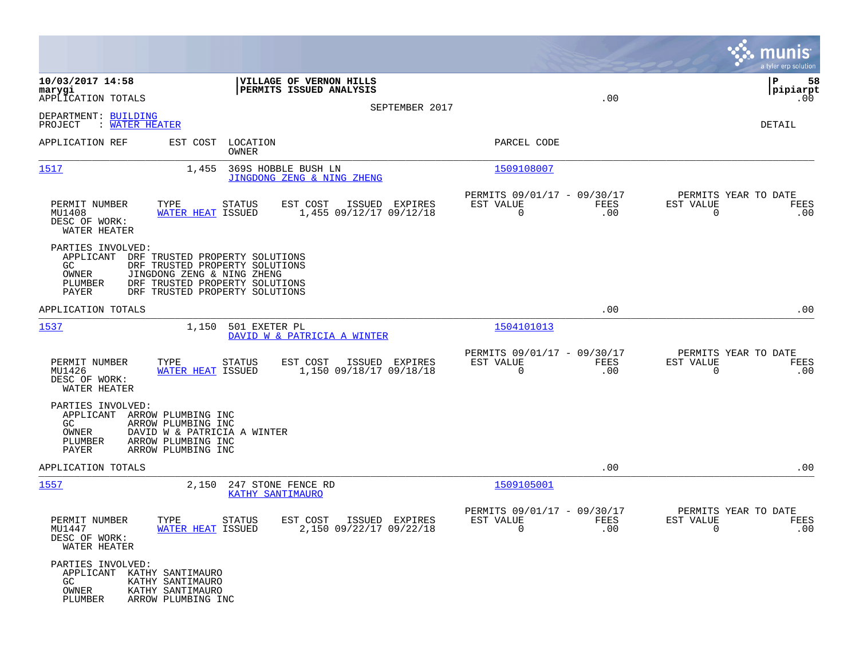|                                                                                       |                                                                                                                                                                    |                                                                      |                                                                      |             | munis<br>a tyler erp solution                       |                |
|---------------------------------------------------------------------------------------|--------------------------------------------------------------------------------------------------------------------------------------------------------------------|----------------------------------------------------------------------|----------------------------------------------------------------------|-------------|-----------------------------------------------------|----------------|
| 10/03/2017 14:58<br>marygi<br>APPLICATION TOTALS                                      |                                                                                                                                                                    | VILLAGE OF VERNON HILLS<br>PERMITS ISSUED ANALYSIS<br>SEPTEMBER 2017 |                                                                      | .00         | ΙP<br> pipiarpt                                     | 58<br>$.00 \,$ |
| DEPARTMENT: BUILDING<br>PROJECT<br>: WATER HEATER                                     |                                                                                                                                                                    |                                                                      |                                                                      |             | DETAIL                                              |                |
| APPLICATION REF                                                                       | EST COST<br>LOCATION<br>OWNER                                                                                                                                      |                                                                      | PARCEL CODE                                                          |             |                                                     |                |
| 1517                                                                                  | 1,455                                                                                                                                                              | 369S HOBBLE BUSH LN<br>JINGDONG ZENG & NING ZHENG                    | 1509108007                                                           |             |                                                     |                |
| PERMIT NUMBER<br>MU1408<br>DESC OF WORK:<br>WATER HEATER                              | TYPE<br>STATUS<br>WATER HEAT ISSUED                                                                                                                                | EST COST<br>ISSUED EXPIRES<br>1,455 09/12/17 09/12/18                | PERMITS 09/01/17 - 09/30/17<br>EST VALUE<br>$\mathbf 0$              | FEES<br>.00 | PERMITS YEAR TO DATE<br>EST VALUE<br>0              | FEES<br>.00    |
| PARTIES INVOLVED:<br>APPLICANT<br>GC.<br>OWNER<br>PLUMBER<br>PAYER                    | DRF TRUSTED PROPERTY SOLUTIONS<br>DRF TRUSTED PROPERTY SOLUTIONS<br>JINGDONG ZENG & NING ZHENG<br>DRF TRUSTED PROPERTY SOLUTIONS<br>DRF TRUSTED PROPERTY SOLUTIONS |                                                                      |                                                                      |             |                                                     |                |
| APPLICATION TOTALS                                                                    |                                                                                                                                                                    |                                                                      |                                                                      | .00         |                                                     | .00            |
| 1537                                                                                  | 1,150<br>501 EXETER PL                                                                                                                                             | DAVID W & PATRICIA A WINTER                                          | 1504101013                                                           |             |                                                     |                |
| PERMIT NUMBER<br>MU1426<br>DESC OF WORK:<br>WATER HEATER                              | <b>STATUS</b><br>TYPE<br>WATER HEAT ISSUED                                                                                                                         | EST COST<br>ISSUED EXPIRES<br>1,150 09/18/17 09/18/18                | PERMITS 09/01/17 - 09/30/17<br>EST VALUE<br>$\mathbf 0$              | FEES<br>.00 | PERMITS YEAR TO DATE<br>EST VALUE<br>0              | FEES<br>.00    |
| PARTIES INVOLVED:<br>APPLICANT ARROW PLUMBING INC<br>GC.<br>OWNER<br>PLUMBER<br>PAYER | ARROW PLUMBING INC<br>DAVID W & PATRICIA A WINTER<br>ARROW PLUMBING INC<br>ARROW PLUMBING INC                                                                      |                                                                      |                                                                      |             |                                                     |                |
| APPLICATION TOTALS                                                                    |                                                                                                                                                                    |                                                                      |                                                                      | .00         |                                                     | .00            |
| <u>1557</u>                                                                           | 2,150                                                                                                                                                              | 247 STONE FENCE RD<br><b>KATHY SANTIMAURO</b>                        | 1509105001                                                           |             |                                                     |                |
| PERMIT NUMBER<br>MU1447<br>DESC OF WORK:<br>WATER HEATER                              | TYPE<br><b>STATUS</b><br>WATER HEAT ISSUED                                                                                                                         | ISSUED EXPIRES<br>EST COST<br>2,150 09/22/17 09/22/18                | PERMITS 09/01/17 - 09/30/17<br>EST VALUE<br>$\overline{\phantom{0}}$ | FEES<br>.00 | PERMITS YEAR TO DATE<br>EST VALUE<br>$\overline{0}$ | FEES<br>.00    |
| PARTIES INVOLVED:<br>APPLICANT<br>GC<br>OWNER<br>PLUMBER                              | KATHY SANTIMAURO<br>KATHY SANTIMAURO<br>KATHY SANTIMAURO<br>ARROW PLUMBING INC                                                                                     |                                                                      |                                                                      |             |                                                     |                |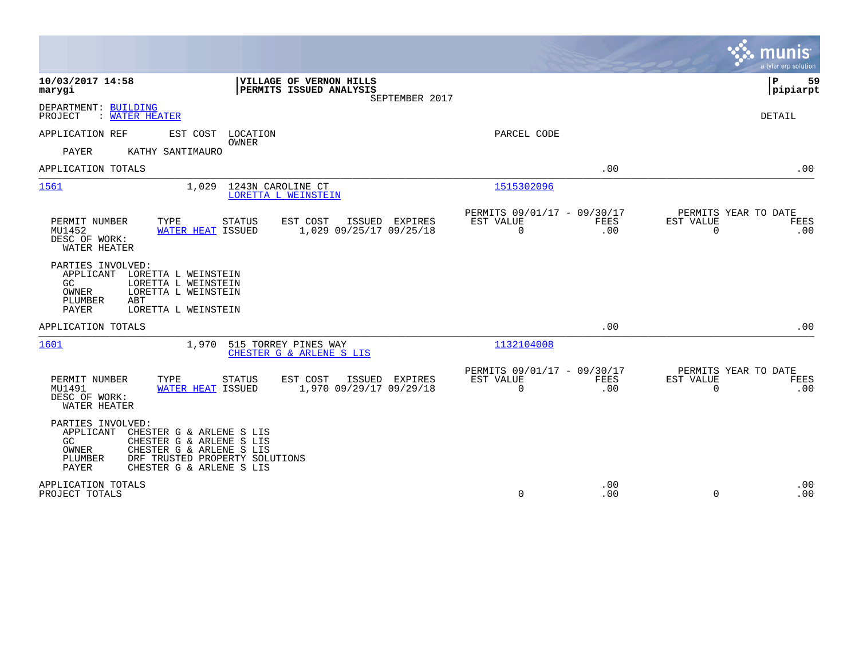|                                                                                                                                                                                                                            |                                                         |                    | munis<br>a tyler erp solution                                   |
|----------------------------------------------------------------------------------------------------------------------------------------------------------------------------------------------------------------------------|---------------------------------------------------------|--------------------|-----------------------------------------------------------------|
| 10/03/2017 14:58<br>VILLAGE OF VERNON HILLS<br>PERMITS ISSUED ANALYSIS<br>marygi<br>SEPTEMBER 2017                                                                                                                         |                                                         |                    | ΙP<br>59<br> pipiarpt                                           |
| DEPARTMENT: BUILDING<br>: WATER HEATER<br>PROJECT                                                                                                                                                                          |                                                         |                    | DETAIL                                                          |
| APPLICATION REF<br>EST COST LOCATION<br>OWNER                                                                                                                                                                              | PARCEL CODE                                             |                    |                                                                 |
| KATHY SANTIMAURO<br>PAYER                                                                                                                                                                                                  |                                                         |                    |                                                                 |
| APPLICATION TOTALS                                                                                                                                                                                                         |                                                         | .00                | .00                                                             |
| 1,029<br>1243N CAROLINE CT<br>1561<br>LORETTA L WEINSTEIN                                                                                                                                                                  | 1515302096                                              |                    |                                                                 |
| PERMIT NUMBER<br>TYPE<br><b>STATUS</b><br>EST COST<br>ISSUED EXPIRES<br>MU1452<br>WATER HEAT ISSUED<br>1,029 09/25/17 09/25/18<br>DESC OF WORK:<br>WATER HEATER                                                            | PERMITS 09/01/17 - 09/30/17<br>EST VALUE<br>0           | FEES<br>.00        | PERMITS YEAR TO DATE<br>EST VALUE<br>FEES<br>0<br>.00           |
| PARTIES INVOLVED:<br>APPLICANT<br>LORETTA L WEINSTEIN<br>GC.<br>LORETTA L WEINSTEIN<br>OWNER<br>LORETTA L WEINSTEIN<br>PLUMBER<br>ABT<br>PAYER<br>LORETTA L WEINSTEIN                                                      |                                                         |                    |                                                                 |
| APPLICATION TOTALS                                                                                                                                                                                                         |                                                         | .00                | .00                                                             |
| 1,970<br>515 TORREY PINES WAY<br>1601<br>CHESTER G & ARLENE S LIS                                                                                                                                                          | 1132104008                                              |                    |                                                                 |
| EST COST<br>PERMIT NUMBER<br>TYPE<br><b>STATUS</b><br>ISSUED EXPIRES<br>1,970 09/29/17 09/29/18<br>MU1491<br>WATER HEAT ISSUED<br>DESC OF WORK:<br>WATER HEATER                                                            | PERMITS 09/01/17 - 09/30/17<br>EST VALUE<br>$\mathbf 0$ | <b>FEES</b><br>.00 | PERMITS YEAR TO DATE<br>EST VALUE<br>FEES<br>$\mathbf 0$<br>.00 |
| PARTIES INVOLVED:<br>APPLICANT<br>CHESTER G & ARLENE S LIS<br>CHESTER G & ARLENE S LIS<br>GC<br>OWNER<br>CHESTER G & ARLENE S LIS<br>PLUMBER<br>DRF TRUSTED PROPERTY SOLUTIONS<br><b>PAYER</b><br>CHESTER G & ARLENE S LIS |                                                         |                    |                                                                 |
| APPLICATION TOTALS<br>PROJECT TOTALS                                                                                                                                                                                       | 0                                                       | .00<br>.00         | .00<br>$\Omega$<br>.00                                          |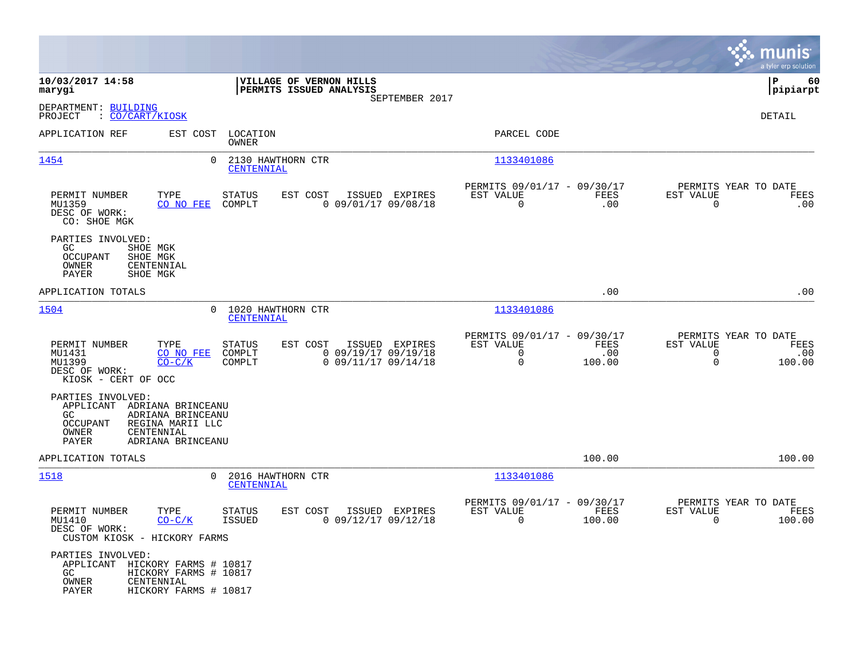|                                                                              |                                                                                               |                                 |                                                    |                                                                  |                                                                     |                       |                                      | munis<br>a tyler erp solution                 |
|------------------------------------------------------------------------------|-----------------------------------------------------------------------------------------------|---------------------------------|----------------------------------------------------|------------------------------------------------------------------|---------------------------------------------------------------------|-----------------------|--------------------------------------|-----------------------------------------------|
| 10/03/2017 14:58<br>marygi                                                   |                                                                                               |                                 | VILLAGE OF VERNON HILLS<br>PERMITS ISSUED ANALYSIS | SEPTEMBER 2017                                                   |                                                                     |                       |                                      | lР<br>60<br>$ $ pipiarpt                      |
| DEPARTMENT: BUILDING<br>: CO/CART/KIOSK<br>PROJECT                           |                                                                                               |                                 |                                                    |                                                                  |                                                                     |                       |                                      | DETAIL                                        |
| APPLICATION REF                                                              | EST COST                                                                                      | LOCATION<br>OWNER               |                                                    |                                                                  | PARCEL CODE                                                         |                       |                                      |                                               |
| 1454                                                                         | 0                                                                                             | 2130 HAWTHORN CTR<br>CENTENNIAL |                                                    |                                                                  | 1133401086                                                          |                       |                                      |                                               |
| PERMIT NUMBER<br>MU1359<br>DESC OF WORK:<br>CO: SHOE MGK                     | TYPE<br>CO NO FEE                                                                             | STATUS<br>COMPLT                | EST COST                                           | ISSUED EXPIRES<br>$0$ 09/01/17 09/08/18                          | PERMITS 09/01/17 - 09/30/17<br>EST VALUE<br>0                       | FEES<br>.00           | EST VALUE<br>$\mathbf 0$             | PERMITS YEAR TO DATE<br>FEES<br>.00           |
| PARTIES INVOLVED:<br>GC.<br><b>OCCUPANT</b><br>OWNER<br>PAYER                | SHOE MGK<br>SHOE MGK<br>CENTENNIAL<br>SHOE MGK                                                |                                 |                                                    |                                                                  |                                                                     |                       |                                      |                                               |
| APPLICATION TOTALS                                                           |                                                                                               |                                 |                                                    |                                                                  |                                                                     | .00                   |                                      | .00                                           |
| 1504                                                                         | $\Omega$                                                                                      | 1020 HAWTHORN CTR<br>CENTENNIAL |                                                    |                                                                  | 1133401086                                                          |                       |                                      |                                               |
| PERMIT NUMBER<br>MU1431<br>MU1399<br>DESC OF WORK:<br>KIOSK - CERT OF OCC    | TYPE<br>CO NO FEE<br>$CO-C/K$                                                                 | STATUS<br>COMPLT<br>COMPLT      | EST COST                                           | ISSUED EXPIRES<br>$0$ 09/19/17 09/19/18<br>$0$ 09/11/17 09/14/18 | PERMITS 09/01/17 - 09/30/17<br>EST VALUE<br>$\Omega$<br>$\mathbf 0$ | FEES<br>.00<br>100.00 | EST VALUE<br>$\Omega$<br>$\mathbf 0$ | PERMITS YEAR TO DATE<br>FEES<br>.00<br>100.00 |
| PARTIES INVOLVED:<br>APPLICANT<br>GC<br><b>OCCUPANT</b><br>OWNER<br>PAYER    | ADRIANA BRINCEANU<br>ADRIANA BRINCEANU<br>REGINA MARII LLC<br>CENTENNIAL<br>ADRIANA BRINCEANU |                                 |                                                    |                                                                  |                                                                     |                       |                                      |                                               |
| APPLICATION TOTALS                                                           |                                                                                               |                                 |                                                    |                                                                  |                                                                     | 100.00                |                                      | 100.00                                        |
| 1518                                                                         | 0                                                                                             | 2016 HAWTHORN CTR<br>CENTENNIAL |                                                    |                                                                  | 1133401086                                                          |                       |                                      |                                               |
| PERMIT NUMBER<br>MU1410<br>DESC OF WORK:<br>CUSTOM KIOSK - HICKORY FARMS     | TYPE<br>$CO-C/K$                                                                              | <b>STATUS</b><br><b>ISSUED</b>  | EST COST                                           | ISSUED EXPIRES<br>$0$ 09/12/17 09/12/18                          | PERMITS 09/01/17 - 09/30/17<br>EST VALUE<br>$\Omega$                | <b>FEES</b><br>100.00 | EST VALUE<br>$\Omega$                | PERMITS YEAR TO DATE<br>FEES<br>100.00        |
| PARTIES INVOLVED:<br>APPLICANT HICKORY FARMS # 10817<br>GC<br>OWNER<br>PAYER | HICKORY FARMS # 10817<br>CENTENNIAL<br>HICKORY FARMS # 10817                                  |                                 |                                                    |                                                                  |                                                                     |                       |                                      |                                               |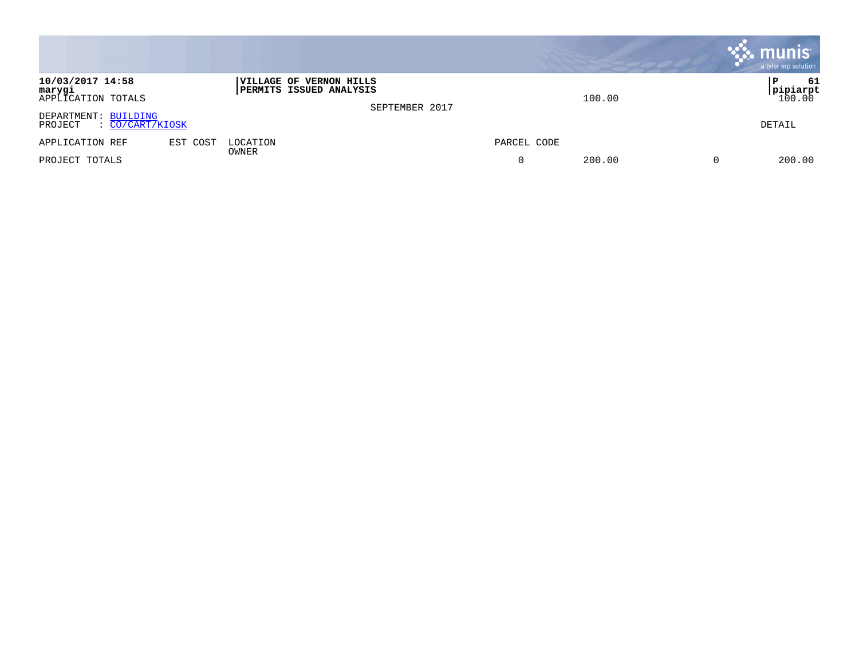|                                                    |          |                                                           |                |             |        | $\mathbf{\ddot{.}}\mathbf{.}$ munis<br>a tyler erp solution |
|----------------------------------------------------|----------|-----------------------------------------------------------|----------------|-------------|--------|-------------------------------------------------------------|
| 10/03/2017 14:58<br>marygi<br>APPLICATION TOTALS   |          | VILLAGE OF VERNON HILLS<br><b>PERMITS ISSUED ANALYSIS</b> | SEPTEMBER 2017 |             | 100.00 | P<br>61<br><b>pipiarpt</b><br>100.00                        |
| DEPARTMENT: BUILDING<br>: CO/CART/KIOSK<br>PROJECT |          |                                                           |                |             |        | DETAIL                                                      |
| APPLICATION REF                                    | EST COST | LOCATION<br>OWNER                                         |                | PARCEL CODE |        |                                                             |
| PROJECT TOTALS                                     |          |                                                           |                | $\Omega$    | 200.00 | 200.00                                                      |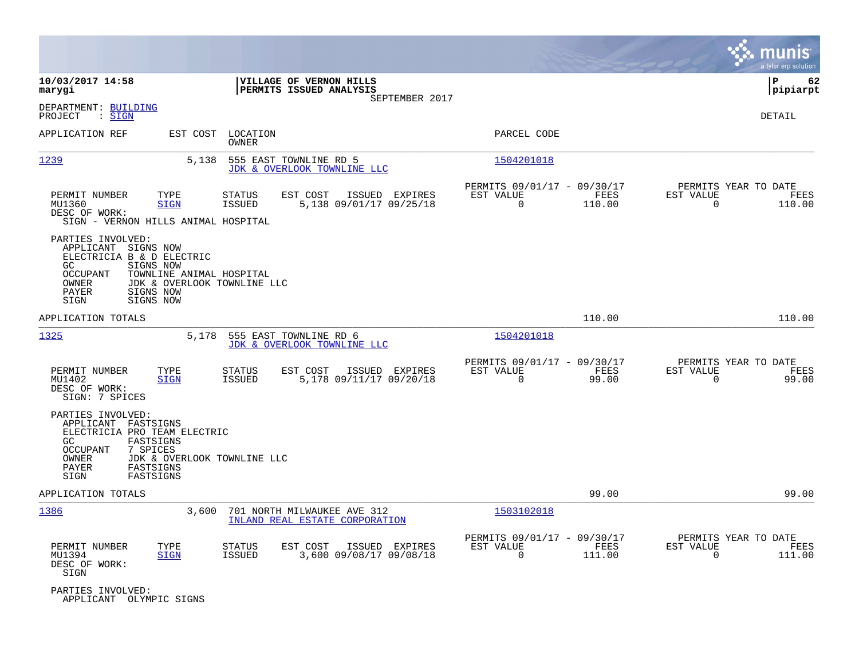|                                                                                                                                                                                                                     |                                                                                         |                                                                           | munis<br>a tyler erp solution                                      |
|---------------------------------------------------------------------------------------------------------------------------------------------------------------------------------------------------------------------|-----------------------------------------------------------------------------------------|---------------------------------------------------------------------------|--------------------------------------------------------------------|
| 10/03/2017 14:58<br>marygi                                                                                                                                                                                          | VILLAGE OF VERNON HILLS<br>PERMITS ISSUED ANALYSIS<br>SEPTEMBER 2017                    |                                                                           | l P<br>62<br> pipiarpt                                             |
| DEPARTMENT: BUILDING<br>: SIGN<br>PROJECT                                                                                                                                                                           |                                                                                         |                                                                           | DETAIL                                                             |
| APPLICATION REF<br>EST COST                                                                                                                                                                                         | LOCATION<br><b>OWNER</b>                                                                | PARCEL CODE                                                               |                                                                    |
| 1239<br>5,138                                                                                                                                                                                                       | 555 EAST TOWNLINE RD 5<br>JDK & OVERLOOK TOWNLINE LLC                                   | 1504201018                                                                |                                                                    |
| PERMIT NUMBER<br>TYPE<br>MU1360<br><b>SIGN</b><br>DESC OF WORK:<br>SIGN - VERNON HILLS ANIMAL HOSPITAL                                                                                                              | EST COST<br><b>STATUS</b><br>ISSUED EXPIRES<br>5,138 09/01/17 09/25/18<br><b>ISSUED</b> | PERMITS 09/01/17 - 09/30/17<br>EST VALUE<br>FEES<br>0<br>110.00           | PERMITS YEAR TO DATE<br>EST VALUE<br>FEES<br>0<br>110.00           |
| PARTIES INVOLVED:<br>APPLICANT SIGNS NOW<br>ELECTRICIA B & D ELECTRIC<br>GC<br>SIGNS NOW<br>OCCUPANT<br>TOWNLINE ANIMAL HOSPITAL<br>OWNER<br>JDK & OVERLOOK TOWNLINE LLC<br>SIGNS NOW<br>PAYER<br>SIGN<br>SIGNS NOW |                                                                                         |                                                                           |                                                                    |
| APPLICATION TOTALS                                                                                                                                                                                                  |                                                                                         | 110.00                                                                    | 110.00                                                             |
| 1325<br>5,178                                                                                                                                                                                                       | 555 EAST TOWNLINE RD 6<br>JDK & OVERLOOK TOWNLINE LLC                                   | 1504201018                                                                |                                                                    |
| PERMIT NUMBER<br>TYPE<br>MU1402<br><b>SIGN</b><br>DESC OF WORK:<br>SIGN: 7 SPICES                                                                                                                                   | <b>STATUS</b><br>EST COST<br>ISSUED EXPIRES<br><b>ISSUED</b><br>5,178 09/11/17 09/20/18 | PERMITS 09/01/17 - 09/30/17<br>EST VALUE<br>FEES<br>0<br>99.00            | PERMITS YEAR TO DATE<br>EST VALUE<br>FEES<br>$\Omega$<br>99.00     |
| PARTIES INVOLVED:<br>APPLICANT FASTSIGNS<br>ELECTRICIA PRO TEAM ELECTRIC<br>GC.<br>FASTSIGNS<br><b>OCCUPANT</b><br>7 SPICES<br>OWNER<br>JDK & OVERLOOK TOWNLINE LLC<br>PAYER<br>FASTSIGNS<br>FASTSIGNS<br>SIGN      |                                                                                         |                                                                           |                                                                    |
| APPLICATION TOTALS                                                                                                                                                                                                  |                                                                                         | 99.00                                                                     | 99.00                                                              |
| 1386<br>3,600                                                                                                                                                                                                       | 701 NORTH MILWAUKEE AVE 312<br>INLAND REAL ESTATE CORPORATION                           | 1503102018                                                                |                                                                    |
| PERMIT NUMBER<br>TYPE<br>MU1394<br><b>SIGN</b><br>DESC OF WORK:<br>SIGN                                                                                                                                             | ISSUED EXPIRES<br><b>STATUS</b><br>EST COST<br><b>ISSUED</b><br>3,600 09/08/17 09/08/18 | PERMITS 09/01/17 - 09/30/17<br>EST VALUE<br>FEES<br>$\mathbf 0$<br>111.00 | PERMITS YEAR TO DATE<br>EST VALUE<br>FEES<br>$\mathbf 0$<br>111.00 |
| PARTIES INVOLVED:<br>APPLICANT OLYMPIC SIGNS                                                                                                                                                                        |                                                                                         |                                                                           |                                                                    |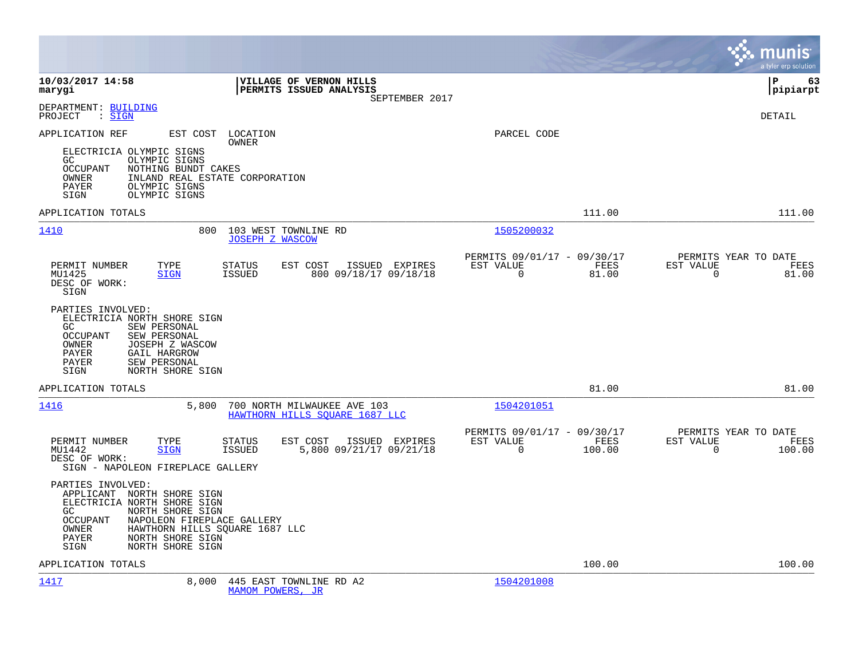|                                                                                                                                                                                                                                                               |                                                                                         |                                                                           | munis<br>a tyler erp solution                                      |
|---------------------------------------------------------------------------------------------------------------------------------------------------------------------------------------------------------------------------------------------------------------|-----------------------------------------------------------------------------------------|---------------------------------------------------------------------------|--------------------------------------------------------------------|
| 10/03/2017 14:58<br>marygi                                                                                                                                                                                                                                    | <b>VILLAGE OF VERNON HILLS</b><br>PERMITS ISSUED ANALYSIS<br>SEPTEMBER 2017             |                                                                           | l P<br>63<br> pipiarpt                                             |
| DEPARTMENT: BUILDING<br>PROJECT : SIGN                                                                                                                                                                                                                        |                                                                                         |                                                                           | <b>DETAIL</b>                                                      |
| APPLICATION REF<br>EST COST LOCATION                                                                                                                                                                                                                          | OWNER                                                                                   | PARCEL CODE                                                               |                                                                    |
| ELECTRICIA OLYMPIC SIGNS<br>OLYMPIC SIGNS<br>GC.<br><b>OCCUPANT</b><br>NOTHING BUNDT CAKES<br>INLAND REAL ESTATE CORPORATION<br>OWNER<br>PAYER<br>OLYMPIC SIGNS<br>OLYMPIC SIGNS<br>SIGN                                                                      |                                                                                         |                                                                           |                                                                    |
| APPLICATION TOTALS                                                                                                                                                                                                                                            |                                                                                         | 111.00                                                                    | 111.00                                                             |
| 1410<br>800                                                                                                                                                                                                                                                   | 103 WEST TOWNLINE RD<br><b>JOSEPH Z WASCOW</b>                                          | 1505200032                                                                |                                                                    |
| TYPE<br>PERMIT NUMBER<br>MU1425<br><b>SIGN</b><br>DESC OF WORK:<br>SIGN                                                                                                                                                                                       | ISSUED EXPIRES<br><b>STATUS</b><br>EST COST<br><b>ISSUED</b><br>800 09/18/17 09/18/18   | PERMITS 09/01/17 - 09/30/17<br>EST VALUE<br>FEES<br>$\mathbf 0$<br>81.00  | PERMITS YEAR TO DATE<br>EST VALUE<br>FEES<br>0<br>81.00            |
| PARTIES INVOLVED:<br>ELECTRICIA NORTH SHORE SIGN<br>GC<br>SEW PERSONAL<br><b>OCCUPANT</b><br>SEW PERSONAL<br>OWNER<br>JOSEPH Z WASCOW<br>PAYER<br><b>GAIL HARGROW</b><br>SEW PERSONAL<br><b>PAYER</b><br>SIGN<br>NORTH SHORE SIGN                             |                                                                                         |                                                                           |                                                                    |
| APPLICATION TOTALS                                                                                                                                                                                                                                            |                                                                                         | 81.00                                                                     | 81.00                                                              |
| 1416<br>5,800                                                                                                                                                                                                                                                 | 700 NORTH MILWAUKEE AVE 103<br>HAWTHORN HILLS SQUARE 1687 LLC                           | 1504201051                                                                |                                                                    |
| PERMIT NUMBER<br>TYPE<br>MU1442<br><b>SIGN</b><br>DESC OF WORK:<br>SIGN - NAPOLEON FIREPLACE GALLERY                                                                                                                                                          | <b>STATUS</b><br>EST COST<br>ISSUED EXPIRES<br><b>ISSUED</b><br>5,800 09/21/17 09/21/18 | PERMITS 09/01/17 - 09/30/17<br>EST VALUE<br>FEES<br>$\mathbf 0$<br>100.00 | PERMITS YEAR TO DATE<br>EST VALUE<br>FEES<br>$\mathbf 0$<br>100.00 |
| PARTIES INVOLVED:<br>APPLICANT NORTH SHORE SIGN<br>ELECTRICIA NORTH SHORE SIGN<br>GC<br>NORTH SHORE SIGN<br><b>OCCUPANT</b><br>NAPOLEON FIREPLACE GALLERY<br>HAWTHORN HILLS SQUARE 1687 LLC<br>OWNER<br>NORTH SHORE SIGN<br>PAYER<br>NORTH SHORE SIGN<br>SIGN |                                                                                         |                                                                           |                                                                    |
| APPLICATION TOTALS                                                                                                                                                                                                                                            |                                                                                         | 100.00                                                                    | 100.00                                                             |
| 1417<br>8,000                                                                                                                                                                                                                                                 | 445 EAST TOWNLINE RD A2<br>MAMOM POWERS, JR                                             | 1504201008                                                                |                                                                    |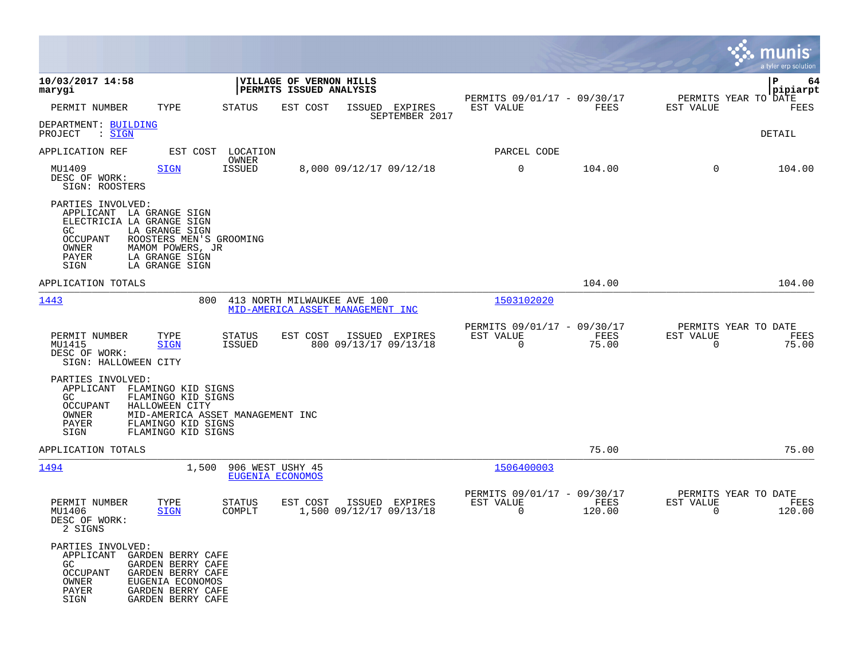|                                                                                                                                                                                                         |                                                                        |                           |                                                         |                            |                                                  | munis<br>a tyler erp solution |
|---------------------------------------------------------------------------------------------------------------------------------------------------------------------------------------------------------|------------------------------------------------------------------------|---------------------------|---------------------------------------------------------|----------------------------|--------------------------------------------------|-------------------------------|
| 10/03/2017 14:58<br>marygi                                                                                                                                                                              | VILLAGE OF VERNON HILLS<br>PERMITS ISSUED ANALYSIS                     |                           |                                                         |                            |                                                  | l P<br>64<br> pipiarpt        |
| PERMIT NUMBER<br>TYPE                                                                                                                                                                                   | STATUS<br>EST COST<br>ISSUED                                           | EXPIRES<br>SEPTEMBER 2017 | PERMITS 09/01/17 - 09/30/17<br>EST VALUE                | FEES                       | PERMITS YEAR TO DATE<br>EST VALUE                | FEES                          |
| DEPARTMENT: BUILDING<br>: SIGN<br>PROJECT                                                                                                                                                               |                                                                        |                           |                                                         |                            |                                                  | DETAIL                        |
| APPLICATION REF                                                                                                                                                                                         | EST COST<br>LOCATION                                                   |                           | PARCEL CODE                                             |                            |                                                  |                               |
| MU1409<br><b>SIGN</b><br>DESC OF WORK:<br>SIGN: ROOSTERS                                                                                                                                                | OWNER<br><b>ISSUED</b><br>8,000 09/12/17 09/12/18                      |                           | $\mathbf 0$                                             | 104.00                     | $\Omega$                                         | 104.00                        |
| PARTIES INVOLVED:<br>APPLICANT LA GRANGE SIGN<br>ELECTRICIA LA GRANGE SIGN<br>LA GRANGE SIGN<br>GC.<br>OCCUPANT<br>OWNER<br>MAMOM POWERS, JR<br>LA GRANGE SIGN<br>PAYER<br>LA GRANGE SIGN<br>SIGN       | ROOSTERS MEN'S GROOMING                                                |                           |                                                         |                            |                                                  |                               |
| APPLICATION TOTALS                                                                                                                                                                                      |                                                                        |                           |                                                         | 104.00                     |                                                  | 104.00                        |
| 1443                                                                                                                                                                                                    | 800<br>413 NORTH MILWAUKEE AVE 100<br>MID-AMERICA ASSET MANAGEMENT INC |                           | 1503102020                                              |                            |                                                  |                               |
| PERMIT NUMBER<br>TYPE<br>MU1415<br><b>SIGN</b><br>DESC OF WORK:<br>SIGN: HALLOWEEN CITY                                                                                                                 | EST COST<br>STATUS<br>800 09/13/17 09/13/18<br>ISSUED                  | ISSUED EXPIRES            | PERMITS 09/01/17 - 09/30/17<br>EST VALUE<br>$\mathbf 0$ | FEES<br>75.00              | PERMITS YEAR TO DATE<br>EST VALUE<br>$\mathbf 0$ | FEES<br>75.00                 |
| PARTIES INVOLVED:<br>APPLICANT<br>FLAMINGO KID SIGNS<br>GC.<br>FLAMINGO KID SIGNS<br>HALLOWEEN CITY<br>OCCUPANT<br>OWNER<br>PAYER<br>FLAMINGO KID SIGNS<br>SIGN<br>FLAMINGO KID SIGNS                   | MID-AMERICA ASSET MANAGEMENT INC                                       |                           |                                                         |                            |                                                  |                               |
| APPLICATION TOTALS                                                                                                                                                                                      |                                                                        |                           |                                                         | 75.00                      |                                                  | 75.00                         |
| 1494                                                                                                                                                                                                    | 1,500<br>906 WEST USHY 45<br>EUGENIA ECONOMOS                          |                           | 1506400003                                              |                            |                                                  |                               |
| PERMIT NUMBER<br>TYPE<br>MU1406<br><b>SIGN</b><br>DESC OF WORK:<br>2 SIGNS                                                                                                                              | EST COST<br>STATUS<br>COMPLT<br>1,500 09/12/17 09/13/18                | ISSUED EXPIRES            | PERMITS 09/01/17 -<br>EST VALUE<br>0                    | 09/30/17<br>FEES<br>120.00 | PERMITS YEAR TO DATE<br>EST VALUE<br>0           | FEES<br>120.00                |
| PARTIES INVOLVED:<br>APPLICANT<br>GARDEN BERRY CAFE<br>GC<br>GARDEN BERRY CAFE<br>OCCUPANT<br>GARDEN BERRY CAFE<br>OWNER<br>EUGENIA ECONOMOS<br>PAYER<br>GARDEN BERRY CAFE<br>SIGN<br>GARDEN BERRY CAFE |                                                                        |                           |                                                         |                            |                                                  |                               |